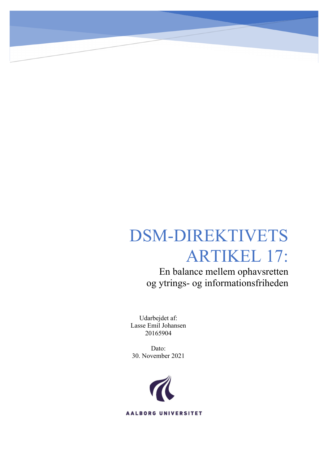# DSM-DIREKTIVETS ARTIKEL 17:

En balance mellem ophavsretten og ytrings- og informationsfriheden

Udarbejdet af: Lasse Emil Johansen 20165904

Dato: 30. November 2021

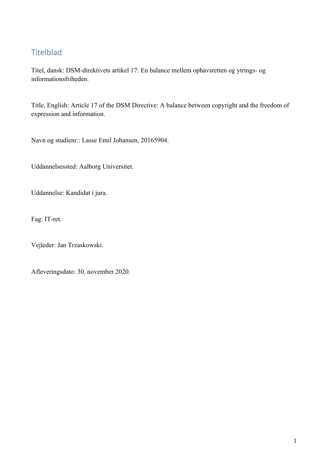#### Titelblad

Titel, dansk: DSM-direktivets artikel 17: En balance mellem ophavsretten og ytrings- og informationsfriheden.

Title, English: Article 17 of the DSM Directive: A balance between copyright and the freedom of expression and information.

Navn og studienr.: Lasse Emil Johansen, 20165904.

Uddannelsessted: Aalborg Universitet.

Uddannelse: Kandidat i jura.

Fag: IT-ret.

Vejleder: Jan Trzaskowski.

Afleveringsdato: 30. november 2020.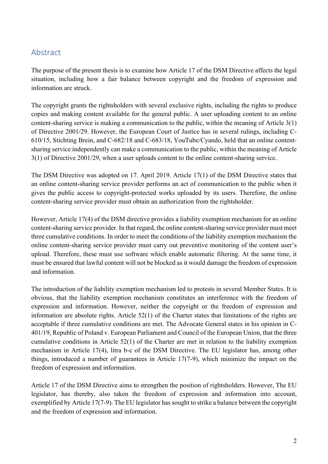#### Abstract

The purpose of the present thesis is to examine how Article 17 of the DSM Directive affects the legal situation, including how a fair balance between copyright and the freedom of expression and information are struck.

The copyright grants the rightsholders with several exclusive rights, including the rights to produce copies and making content available for the general public. A user uploading content to an online content-sharing service is making a communication to the public, within the meaning of Article 3(1) of Directive 2001/29. However, the European Court of Justice has in several rulings, including C-610/15, Stichting Brein, and C-682/18 and C-683/18, YouTube/Cyando, held that an online contentsharing service independently can make a communication to the public, within the meaning of Article 3(1) of Directive 2001/29, when a user uploads content to the online content-sharing service.

The DSM Directive was adopted on 17. April 2019. Article 17(1) of the DSM Directive states that an online content-sharing service provider performs an act of communication to the public when it gives the public access to copyright-protected works uploaded by its users. Therefore, the online content-sharing service provider must obtain an authorization from the rightsholder.

However, Article 17(4) of the DSM directive provides a liability exemption mechanism for an online content-sharing service provider. In that regard, the online content-sharing service provider must meet three cumulative conditions. In order to meet the conditions of the liability exemption mechanism the online content-sharing service provider must carry out preventive monitoring of the content user's upload. Therefore, these must use software which enable automatic filtering. At the same time, it must be ensured that lawful content will not be blocked as it would damage the freedom of expression and information.

The introduction of the liability exemption mechanism led to protests in several Member States. It is obvious, that the liability exemption mechanism constitutes an interference with the freedom of expression and information. However, neither the copyright or the freedom of expression and information are absolute rights. Article 52(1) of the Charter states that limitations of the rights are acceptable if three cumulative conditions are met. The Advocate General states in his opinion in C-401/19, Republic of Poland v. European Parliament and Council of the European Union, that the three cumulative conditions in Article 52(1) of the Charter are met in relation to the liability exemption mechanism in Article 17(4), litra b-c of the DSM Directive. The EU legislator has, among other things, introduced a number of guarantees in Article 17(7-9), which minimize the impact on the freedom of expression and information.

Article 17 of the DSM Directive aims to strengthen the position of rightsholders. However, The EU legislator, has thereby, also taken the freedom of expression and information into account, exemplified by Article 17(7-9). The EU legislator has sought to strike a balance between the copyright and the freedom of expression and information.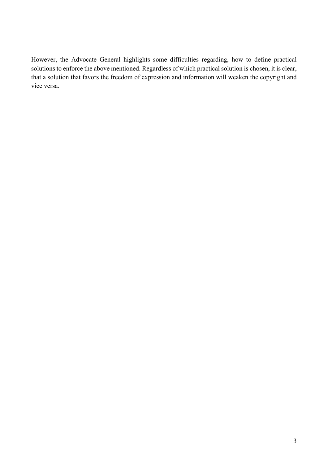However, the Advocate General highlights some difficulties regarding, how to define practical solutions to enforce the above mentioned. Regardless of which practical solution is chosen, it is clear, that a solution that favors the freedom of expression and information will weaken the copyright and vice versa.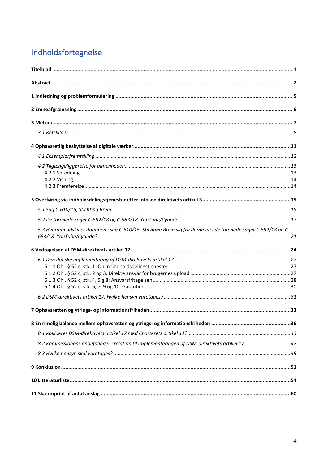# Indholdsfortegnelse

| 5.3 Hvordan adskiller dommen i sag C-610/15, Stichting Brein sig fra dommen i de forenede sager C-682/18 og C- |  |
|----------------------------------------------------------------------------------------------------------------|--|
|                                                                                                                |  |
|                                                                                                                |  |
|                                                                                                                |  |
|                                                                                                                |  |
|                                                                                                                |  |
|                                                                                                                |  |
|                                                                                                                |  |
|                                                                                                                |  |
|                                                                                                                |  |
|                                                                                                                |  |
| 8.2 Kommissionens anbefalinger i relation til implementeringen af DSM-direktivets artikel 17 47                |  |
|                                                                                                                |  |
|                                                                                                                |  |
|                                                                                                                |  |
|                                                                                                                |  |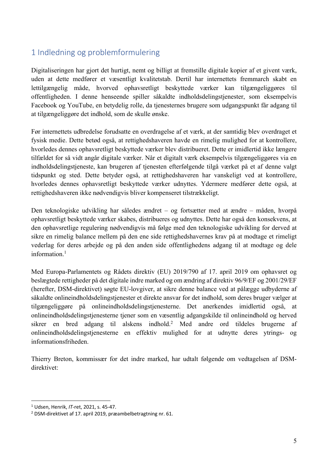#### 1 Indledning og problemformulering

Digitaliseringen har gjort det hurtigt, nemt og billigt at fremstille digitale kopier af et givent værk, uden at dette medfører et væsentligt kvalitetstab. Dertil har internettets fremmarch skabt en lettilgængelig måde, hvorved ophavsretligt beskyttede værker kan tilgængeliggøres til offentligheden. I denne henseende spiller såkaldte indholdsdelingstjenester, som eksempelvis Facebook og YouTube, en betydelig rolle, da tjenesternes brugere som udgangspunkt får adgang til at tilgængeliggøre det indhold, som de skulle ønske.

Før internettets udbredelse forudsatte en overdragelse af et værk, at der samtidig blev overdraget et fysisk medie. Dette betød også, at rettighedshaveren havde en rimelig mulighed for at kontrollere, hvorledes dennes ophavsretligt beskyttede værker blev distribueret. Dette er imidlertid ikke længere tilfældet for så vidt angår digitale værker. Når et digitalt værk eksempelvis tilgængeliggøres via en indholdsdelingstjeneste, kan brugeren af tjenesten efterfølgende tilgå værket på et af denne valgt tidspunkt og sted. Dette betyder også, at rettighedshaveren har vanskeligt ved at kontrollere, hvorledes dennes ophavsretligt beskyttede værker udnyttes. Ydermere medfører dette også, at rettighedshaveren ikke nødvendigvis bliver kompenseret tilstrækkeligt.

Den teknologiske udvikling har således ændret – og fortsætter med at ændre – måden, hvorpå ophavsretligt beskyttede værker skabes, distribueres og udnyttes. Dette har også den konsekvens, at den ophavsretlige regulering nødvendigvis må følge med den teknologiske udvikling for derved at sikre en rimelig balance mellem på den ene side rettighedshavernes krav på at modtage et rimeligt vederlag for deres arbejde og på den anden side offentlighedens adgang til at modtage og dele information.<sup>1</sup>

Med Europa-Parlamentets og Rådets direktiv (EU) 2019/790 af 17. april 2019 om ophavsret og beslægtede rettigheder på det digitale indre marked og om ændring af direktiv 96/9/EF og 2001/29/EF (herefter, DSM-direktivet) søgte EU-lovgiver, at sikre denne balance ved at pålægge udbyderne af såkaldte onlineindholdsdelingstjenester et direkte ansvar for det indhold, som deres bruger vælger at tilgængeliggøre på onlineindholdsdelingstjenesterne. Det anerkendes imidlertid også, at onlineindholdsdelingstjenesterne tjener som en væsentlig adgangskilde til onlineindhold og herved sikrer en bred adgang til alskens indhold.2 Med andre ord tildeles brugerne af onlineindholdsdelingstjenesterne en effektiv mulighed for at udnytte deres ytrings- og informationsfriheden.

Thierry Breton, kommissær for det indre marked, har udtalt følgende om vedtagelsen af DSMdirektivet:

<sup>1</sup> Udsen, Henrik, *IT-*ret, 2021, s. 45-47.

<sup>2</sup> DSM-direktivet af 17. april 2019, præambelbetragtning nr. 61.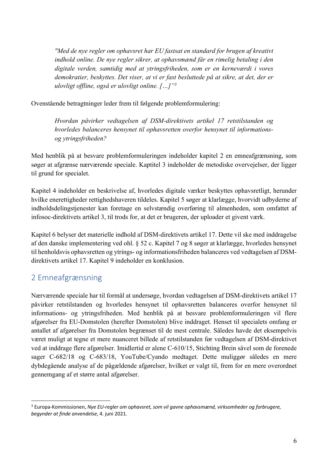*"Med de nye regler om ophavsret har EU fastsat en standard for brugen af kreativt indhold online. De nye regler sikrer, at ophavsmænd får en rimelig betaling i den digitale verden, samtidig med at ytringsfriheden, som er en kerneværdi i vores demokratier, beskyttes. Det viser, at vi er fast besluttede på at sikre, at det, der er ulovligt offline, også er ulovligt online. […]"3*

Ovenstående betragtninger leder frem til følgende problemformulering:

*Hvordan påvirker vedtagelsen af DSM-direktivets artikel 17 retstilstanden og hvorledes balanceres hensynet til ophavsretten overfor hensynet til informationsog ytringsfriheden?* 

Med henblik på at besvare problemformuleringen indeholder kapitel 2 en emneafgrænsning, som søger at afgrænse nærværende speciale. Kaptitel 3 indeholder de metodiske overvejelser, der ligger til grund for specialet.

Kapitel 4 indeholder en beskrivelse af, hvorledes digitale værker beskyttes ophavsretligt, herunder hvilke enerettigheder rettighedshaveren tildeles. Kapitel 5 søger at klarlægge, hvorvidt udbyderne af indholdsdelingstjenester kan foretage en selvstændig overføring til almenheden, som omfattet af infosoc-direktivets artikel 3, til trods for, at det er brugeren, der uploader et givent værk.

Kapitel 6 belyser det materielle indhold af DSM-direktivets artikel 17. Dette vil ske med inddragelse af den danske implementering ved ohl. § 52 c. Kapitel 7 og 8 søger at klarlægge, hvorledes hensynet til henholdsvis ophavsretten og ytrings- og informationsfriheden balanceres ved vedtagelsen af DSMdirektivets artikel 17. Kapitel 9 indeholder en konklusion.

#### 2 Emneafgrænsning

Nærværende speciale har til formål at undersøge, hvordan vedtagelsen af DSM-direktivets artikel 17 påvirker retstilstanden og hvorledes hensynet til ophavsretten balanceres overfor hensynet til informations- og ytringsfriheden. Med henblik på at besvare problemformuleringen vil flere afgørelser fra EU-Domstolen (herefter Domstolen) blive inddraget. Henset til specialets omfang er antallet af afgørelser fra Domstolen begrænset til de mest centrale. Således havde det eksempelvis været muligt at tegne et mere nuanceret billede af retstilstanden før vedtagelsen af DSM-direktivet ved at inddrage flere afgørelser. Imidlertid er alene C-610/15, Stichting Brein såvel som de forenede sager C-682/18 og C-683/18, YouTube/Cyando medtaget. Dette muliggør således en mere dybdegående analyse af de pågældende afgørelser, hvilket er valgt til, frem for en mere overordnet gennemgang af et større antal afgørelser.

<sup>3</sup> Europa-Kommissionen, *Nye EU-regler om ophavsret, som vil gavne ophavsmænd, virksomheder og forbrugere, begynder at finde anvendelse*, 4. juni 2021.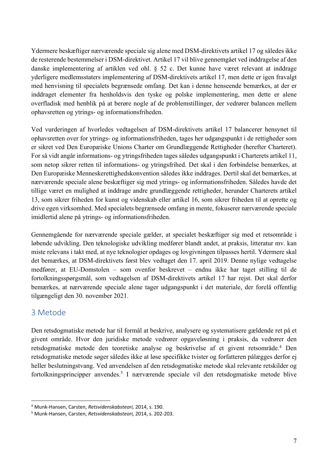Ydermere beskæftiger nærværende speciale sig alene med DSM-direktivets artikel 17 og således ikke de resterende bestemmelser i DSM-direktivet. Artikel 17 vil blive gennemgået ved inddragelse af den danske implementering af artiklen ved ohl. § 52 c. Det kunne have været relevant at inddrage yderligere medlemsstaters implementering af DSM-direktivets artikel 17, men dette er igen fravalgt med henvisning til specialets begrænsede omfang. Det kan i denne henseende bemærkes, at der er inddraget elementer fra henholdsvis den tyske og polske implementering, men dette er alene overfladisk med henblik på at berøre nogle af de problemstillinger, der vedrører balancen mellem ophavsretten og ytrings- og informationsfriheden.

Ved vurderingen af hvorledes vedtagelsen af DSM-direktivets artikel 17 balancerer hensynet til ophavsretten over for ytrings- og informationsfriheden, tages her udgangspunkt i de rettigheder som er sikret ved Den Europæiske Unions Charter om Grundlæggende Rettigheder (herefter Charteret). For så vidt angår informations- og ytringsfriheden tages således udgangspunkt i Charterets artikel 11, som netop sikrer retten til informations- og ytringsfrihed. Det skal i den forbindelse bemærkes, at Den Europæiske Menneskerettighedskonvention således ikke inddrages. Dertil skal det bemærkes, at nærværende speciale alene beskæftiger sig med ytrings- og informationsfriheden. Således havde det tillige været en mulighed at inddrage andre grundlæggende rettigheder, herunder Charterets artikel 13, som sikrer friheden for kunst og videnskab eller artikel 16, som sikrer friheden til at oprette og drive egen virksomhed. Med specialets begrænsede omfang in mente, fokuserer nærværende speciale imidlertid alene på ytrings- og informationsfriheden.

Gennemgående for nærværende speciale gælder, at specialet beskæftiger sig med et retsområde i løbende udvikling. Den teknologiske udvikling medfører blandt andet, at praksis, litteratur mv. kan miste relevans i takt med, at nye teknologier opdages og lovgivningen tilpasses hertil. Ydermere skal det bemærkes, at DSM-direktivets først blev vedtaget den 17. april 2019. Denne nylige vedtagelse medfører, at EU-Domstolen – som ovenfor beskrevet – endnu ikke har taget stilling til de fortolkningsspørgsmål, som vedtagelsen af DSM-direktivets artikel 17 har rejst. Det skal derfor bemærkes, at nærværende speciale alene tager udgangspunkt i det materiale, der forelå offentlig tilgængeligt den 30. november 2021.

#### 3 Metode

Den retsdogmatiske metode har til formål at beskrive, analysere og systematisere gældende ret på et givent område. Hvor den juridiske metode vedrører opgaveløsning i praksis, da vedrører den retsdogmatiske metode den teoretiske analyse og beskrivelse af et givent retsområde.4 Den retsdogmatiske metode søger således ikke at løse specifikke tvister og forfatteren pålægges derfor ej heller beslutningstvang. Ved anvendelsen af den retsdogmatiske metode skal relevante retskilder og fortolkningsprincipper anvendes.5 I nærværende speciale vil den retsdogmatiske metode blive

<sup>4</sup> Munk-Hansen, Carsten, *Retsvidenskabsteori,* 2014, s. 190.

<sup>5</sup> Munk-Hansen, Carsten, *Retsvidenskabsteori,* 2014, s. 202-203.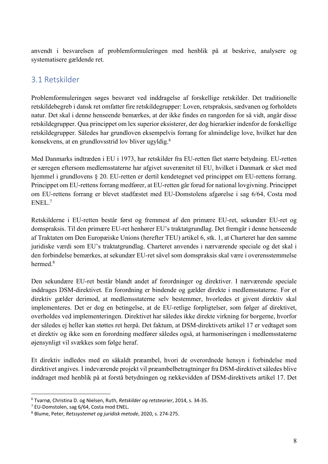anvendt i besvarelsen af problemformuleringen med henblik på at beskrive, analysere og systematisere gældende ret.

## 3.1 Retskilder

Problemformuleringen søges besvaret ved inddragelse af forskellige retskilder. Det traditionelle retskildebegreb i dansk ret omfatter fire retskildegrupper: Loven, retspraksis, sædvanen og forholdets natur. Det skal i denne henseende bemærkes, at der ikke findes en rangorden for så vidt, angår disse retskildegrupper. Qua princippet om lex superior eksisterer, der dog hierarkier indenfor de forskellige retskildegrupper. Således har grundloven eksempelvis forrang for almindelige love, hvilket har den konsekvens, at en grundlovsstrid lov bliver ugyldig.6

Med Danmarks indtræden i EU i 1973, har retskilder fra EU-retten fået større betydning. EU-retten er særegen eftersom medlemsstaterne har afgivet suverænitet til EU, hvilket i Danmark er sket med hjemmel i grundlovens § 20. EU-retten er dertil kendetegnet ved princippet om EU-rettens forrang. Princippet om EU-rettens forrang medfører, at EU-retten går forud for national lovgivning. Princippet om EU-rettens forrang er blevet stadfæstet med EU-Domstolens afgørelse i sag 6/64, Costa mod ENEL. 7

Retskilderne i EU-retten består først og fremmest af den primære EU-ret, sekundær EU-ret og domspraksis. Til den primære EU-ret henhører EU's traktatgrundlag. Det fremgår i denne henseende af Traktaten om Den Europæiske Unions (herefter TEU) artikel 6, stk. 1, at Charteret har den samme juridiske værdi som EU's traktatgrundlag. Charteret anvendes i nærværende speciale og det skal i den forbindelse bemærkes, at sekundær EU-ret såvel som domspraksis skal være i overensstemmelse hermed.<sup>8</sup>

Den sekundære EU-ret består blandt andet af forordninger og direktiver. I nærværende speciale inddrages DSM-direktivet. En forordning er bindende og gælder direkte i medlemsstaterne. For et direktiv gælder derimod, at medlemsstaterne selv bestemmer, hvorledes et givent direktiv skal implementeres. Det er dog en betingelse, at de EU-retlige forpligtelser, som følger af direktivet, overholdes ved implementeringen. Direktivet har således ikke direkte virkning for borgerne, hvorfor der således ej heller kan støttes ret herpå. Det faktum, at DSM-direktivets artikel 17 er vedtaget som et direktiv og ikke som en forordning medfører således også, at harmoniseringen i medlemsstaterne øjensynligt vil svækkes som følge heraf.

Et direktiv indledes med en såkaldt præambel, hvori de overordnede hensyn i forbindelse med direktivet angives. I indeværende projekt vil præambelbetragtninger fra DSM-direktivet således blive inddraget med henblik på at forstå betydningen og rækkevidden af DSM-direktivets artikel 17. Det

<sup>6</sup> Tvarnø, Christina D. og Nielsen, Ruth, *Retskilder og retsteorier*, 2014, s. 34-35. 7 EU-Domstolen, sag 6/64, Costa mod ENEL. 8 Blume, Peter, *Retssystemet og juridisk metode*, 2020, s. 274-275.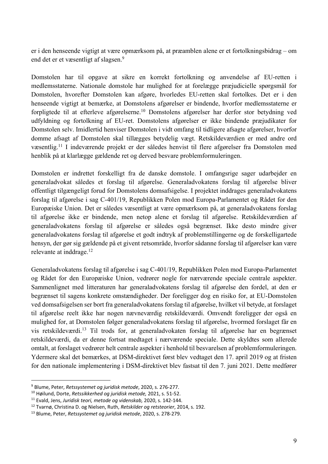er i den henseende vigtigt at være opmærksom på, at præamblen alene er et fortolkningsbidrag – om end det er et væsentligt af slagsen.<sup>9</sup>

Domstolen har til opgave at sikre en korrekt fortolkning og anvendelse af EU-retten i medlemsstaterne. Nationale domstole har mulighed for at forelægge præjudicielle spørgsmål for Domstolen, hvorefter Domstolen kan afgøre, hvorledes EU-retten skal fortolkes. Det er i den henseende vigtigt at bemærke, at Domstolens afgørelser er bindende, hvorfor medlemsstaterne er forpligtede til at efterleve afgørelserne.10 Domstolens afgørelser har derfor stor betydning ved udfyldning og fortolkning af EU-ret. Domstolens afgørelser er ikke bindende præjudikater for Domstolen selv. Imidlertid henviser Domstolen i vidt omfang til tidligere afsagte afgørelser, hvorfor domme afsagt af Domstolen skal tillægges betydelig vægt. Retskildeværdien er med andre ord væsentlig.<sup>11</sup> I indeværende projekt er der således henvist til flere afgørelser fra Domstolen med henblik på at klarlægge gældende ret og derved besvare problemformuleringen.

Domstolen er indrettet forskelligt fra de danske domstole. I omfangsrige sager udarbejder en generaladvokat således et forslag til afgørelse. Generaladvokatens forslag til afgørelse bliver offentligt tilgængeligt forud for Domstolens domsafsigelse. I projektet inddrages generaladvokatens forslag til afgørelse i sag C-401/19, Republikken Polen mod Europa-Parlamentet og Rådet for den Europæiske Union. Det er således væsentligt at være opmærksom på, at generaladvokatens forslag til afgørelse ikke er bindende, men netop alene et forslag til afgørelse. Retskildeværdien af generaladvokatens forslag til afgørelse er således også begrænset. Ikke desto mindre giver generaladvokatens forslag til afgørelse et godt indtryk af problemstillingerne og de forskelligartede hensyn, der gør sig gældende på et givent retsområde, hvorfor sådanne forslag til afgørelser kan være relevante at inddrage. 12

Generaladvokatens forslag til afgørelse i sag C-401/19, Republikken Polen mod Europa-Parlamentet og Rådet for den Europæiske Union, vedrører nogle for nærværende speciale centrale aspekter. Sammenlignet med litteraturen har generaladvokatens forslag til afgørelse den fordel, at den er begrænset til sagens konkrete omstændigheder. Der foreligger dog en risiko for, at EU-Domstolen ved domsafsigelsen ser bort fra generaladvokatens forslag til afgørelse, hvilket vil betyde, at forslaget til afgørelse reelt ikke har nogen nævneværdig retskildeværdi. Omvendt foreligger der også en mulighed for, at Domstolen følger generaladvokatens forslag til afgørelse, hvormed forslaget får en vis retskildeværdi.13 Til trods for, at generaladvokaten forslag til afgørelse har en begrænset retskildeværdi, da er denne fortsat medtaget i nærværende speciale. Dette skyldtes som allerede omtalt, at forslaget vedrører helt centrale aspekter i henhold til besvarelsen af problemformuleringen. Ydermere skal det bemærkes, at DSM-direktivet først blev vedtaget den 17. april 2019 og at fristen for den nationale implementering i DSM-direktivet blev fastsat til den 7. juni 2021. Dette medfører

<sup>9</sup> Blume, Peter, *Retssystemet og juridisk metode*, 2020, s. 276-277.

<sup>10</sup> Høilund, Dorte, *Retssikkerhed og juridisk metode,* 2021, s. 51-52.

<sup>&</sup>lt;sup>11</sup> Evald, Jens, *Juridisk teori, metode og videnskab,* 2020, s. 142-144.<br><sup>12</sup> Tvarnø, Christina D. og Nielsen, Ruth, *Retskilder og retsteorier*, 2014, s. 192.

<sup>13</sup> Blume, Peter, *Retssystemet og juridisk metode*, 2020, s. 278-279.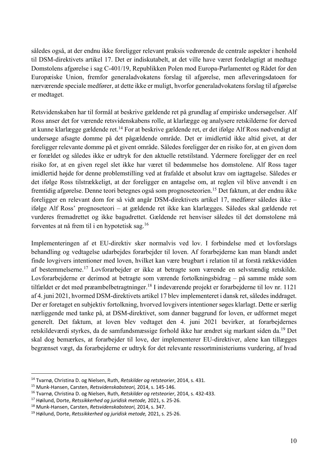således også, at der endnu ikke foreligger relevant praksis vedrørende de centrale aspekter i henhold til DSM-direktivets artikel 17. Det er indiskutabelt, at det ville have været fordelagtigt at medtage Domstolens afgørelse i sag C-401/19, Republikken Polen mod Europa-Parlamentet og Rådet for den Europæiske Union, fremfor generaladvokatens forslag til afgørelse, men afleveringsdatoen for nærværende speciale medfører, at dette ikke er muligt, hvorfor generaladvokatens forslag til afgørelse er medtaget.

Retsvidenskaben har til formål at beskrive gældende ret på grundlag af empiriske undersøgelser. Alf Ross anser det for værende retsvidenskabens rolle, at klarlægge og analysere retskilderne for derved at kunne klarlægge gældende ret.14 For at beskrive gældende ret, er det ifølge Alf Ross nødvendigt at undersøge afsagte domme på det pågældende område. Det er imidlertid ikke altid givet, at der foreligger relevante domme på et givent område. Således foreligger der en risiko for, at en given dom er forældet og således ikke er udtryk for den aktuelle retstilstand. Ydermere foreligger der en reel risiko for, at en given regel slet ikke har været til bedømmelse hos domstolene. Alf Ross tager imidlertid højde for denne problemstilling ved at frafalde et absolut krav om iagttagelse. Således er det ifølge Ross tilstrækkeligt, at der foreligger en antagelse om, at reglen vil blive anvendt i en fremtidig afgørelse. Denne teori betegnes også som prognoseteorien.15 Det faktum, at der endnu ikke foreligger en relevant dom for så vidt angår DSM-direktivets artikel 17, medfører således ikke – ifølge Alf Ross' prognoseteori – at gældende ret ikke kan klarlægges. Således skal gældende ret vurderes fremadrettet og ikke bagudrettet. Gældende ret henviser således til det domstolene må forventes at nå frem til i en hypotetisk sag.16

Implementeringen af et EU-direktiv sker normalvis ved lov. I forbindelse med et lovforslags behandling og vedtagelse udarbejdes forarbejder til loven. Af forarbejderne kan man blandt andet finde lovgivers intentioner med loven, hvilket kan være brugbart i relation til at forstå rækkevidden af bestemmelserne.17 Lovforarbejder er ikke at betragte som værende en selvstændig retskilde. Lovforarbejderne er derimod at betragte som værende fortolkningsbidrag – på samme måde som tilfældet er det med præambelbetragtninger.18 I indeværende projekt er forarbejderne til lov nr. 1121 af 4. juni 2021, hvormed DSM-direktivets artikel 17 blev implementeret i dansk ret, således inddraget. Der er foretaget en subjektiv fortolkning, hvorved lovgivers intentioner søges klarlagt. Dette er særlig nærliggende med tanke på, at DSM-direktivet, som danner baggrund for loven, er udformet meget generelt. Det faktum, at loven blev vedtaget den 4. juni 2021 bevirker, at forarbejdernes retskildeværdi styrkes, da de samfundsmæssige forhold ikke har ændret sig markant siden da.19 Det skal dog bemærkes, at forarbejder til love, der implementerer EU-direktiver, alene kan tillægges begrænset vægt, da forarbejderne er udtryk for det relevante ressortministeriums vurdering, af hvad

<sup>14</sup> Tvarnø, Christina D. og Nielsen, Ruth, *Retskilder og retsteorier*, 2014, s. 431.

<sup>15</sup> Munk-Hansen, Carsten, *Retsvidenskabsteori,* 2014, s. 145-146. 16 Tvarnø, Christina D. og Nielsen, Ruth, *Retskilder og retsteorier*, 2014, s. 432-433.

<sup>17</sup> Høilund, Dorte, *Retssikkerhed og juridisk metode,* 2021, s. 25-26.

<sup>18</sup> Munk-Hansen, Carsten, *Retsvidenskabsteori,* 2014, s. 347.

<sup>19</sup> Høilund, Dorte, *Retssikkerhed og juridisk metode,* 2021, s. 25-26.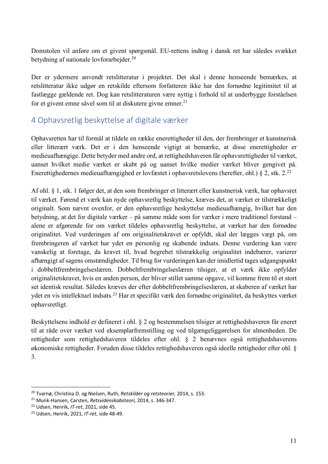Domstolen vil anføre om et givent spørgsmål. EU-rettens indtog i dansk ret har således svækket betydning af nationale lovforarbejder.20

Der er ydermere anvendt retslitteratur i projektet. Det skal i denne henseende bemærkes, at retslitteratur ikke udgør en retskilde eftersom forfatteren ikke har den fornødne legitimitet til at fastlægge gældende ret. Dog kan retslitteraturen være nyttig i forhold til at underbygge forståelsen for et givent emne såvel som til at diskutere givne emner.<sup>21</sup>

### 4 Ophavsretlig beskyttelse af digitale værker

Ophavsretten har til formål at tildele en række enerettigheder til den, der frembringer et kunstnerisk eller litterært værk. Det er i den henseende vigtigt at bemærke, at disse enerettigheder er medieuafhængige. Dette betyder med andre ord, at rettighedshaveren får ophavsrettigheder til værket, uanset hvilket medie værket er skabt på og uanset hvilke medier værket bliver gengivet på. Enerettighedernes medieuafhængighed er lovfæstet i ophavsretslovens (herefter, ohl.) § 2, stk. 2.22

Af ohl. § 1, stk. 1 følger det, at den som frembringer et litterært eller kunstnerisk værk, har ophavsret til værket. Førend et værk kan nyde ophavsretlig beskyttelse, kræves det, at værket er tilstrækkeligt originalt. Som nævnt ovenfor, er den ophavsretlige beskyttelse medieuafhængig, hvilket har den betydning, at det for digitale værker – på samme måde som for værker i mere traditionel forstand – alene er afgørende for om værket tildeles ophavsretlig beskyttelse, at værket har den fornødne originalitet. Ved vurderingen af om originalitetskravet er opfyldt, skal der lægges vægt på, om frembringeren af værket har ydet en personlig og skabende indsats. Denne vurdering kan være vanskelig at foretage, da kravet til, hvad begrebet tilstrækkelig originalitet indebærer, varierer afhængigt af sagens omstændigheder. Til brug for vurderingen kan der imidlertid tages udgangspunkt i dobbeltfrembringelseslæren. Dobbeltfrembringelseslæren tilsiger, at et værk ikke opfylder originalitetskravet, hvis en anden person, der bliver stillet samme opgave, vil komme frem til et stort set identisk resultat. Således kræves der efter dobbeltfrembringelseslæren, at skaberen af værket har ydet en vis intellektuel indsats.23 Har et specifikt værk den fornødne originalitet, da beskyttes værket ophavsretligt.

Beskyttelsens indhold er defineret i ohl. § 2 og bestemmelsen tilsiger at rettighedshaveren får eneret til at råde over værket ved eksemplarfremstilling og ved tilgængeliggørelsen for almenheden. De rettigheder som rettighedshaveren tildeles efter ohl. § 2 benævnes også rettighedshaverens økonomiske rettigheder. Foruden disse tildeles rettighedshaveren også ideelle rettigheder efter ohl. § 3.

<sup>20</sup> Tvarnø, Christina D. og Nielsen, Ruth, *Retskilder og retsteorier,* 2014, s. 153.

<sup>21</sup> Munk-Hansen, Carsten, *Retsvidenskabsteori,* 2014, s. 346-347.

<sup>22</sup> Udsen, Henrik, *IT-ret*, 2021, side 45.

<sup>23</sup> Udsen, Henrik, 2021, *IT-ret*, side 48-49.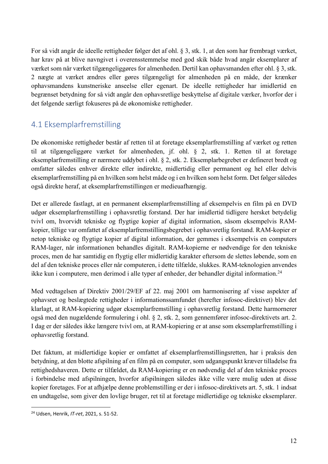For så vidt angår de ideelle rettigheder følger det af ohl. § 3, stk. 1, at den som har frembragt værket, har krav på at blive navngivet i overensstemmelse med god skik både hvad angår eksemplarer af værket som når værket tilgængeliggøres for almenheden. Dertil kan ophavsmanden efter ohl. § 3, stk. 2 nægte at værket ændres eller gøres tilgængeligt for almenheden på en måde, der krænker ophavsmandens kunstneriske anseelse eller egenart. De ideelle rettigheder har imidlertid en begrænset betydning for så vidt angår den ophavsretlige beskyttelse af digitale værker, hvorfor der i det følgende særligt fokuseres på de økonomiske rettigheder.

## 4.1 Eksemplarfremstilling

De økonomiske rettigheder består af retten til at foretage eksemplarfremstilling af værket og retten til at tilgængeliggøre værket for almenheden, jf. ohl. § 2, stk. 1. Retten til at foretage eksemplarfremstilling er nærmere uddybet i ohl. § 2, stk. 2. Eksemplarbegrebet er defineret bredt og omfatter således enhver direkte eller indirekte, midlertidig eller permanent og hel eller delvis eksemplarfremstilling på en hvilken som helst måde og i en hvilken som helst form. Det følger således også direkte heraf, at eksemplarfremstillingen er medieuafhængig.

Det er allerede fastlagt, at en permanent eksemplarfremstilling af eksempelvis en film på en DVD udgør eksemplarfremstilling i ophavsretlig forstand. Der har imidlertid tidligere hersket betydelig tvivl om, hvorvidt tekniske og flygtige kopier af digital information, såsom eksempelvis RAMkopier, tillige var omfattet af eksemplarfremstillingsbegrebet i ophavsretlig forstand. RAM-kopier er netop tekniske og flygtige kopier af digital information, der gemmes i eksempelvis en computers RAM-lager, når informationen behandles digitalt. RAM-kopierne er nødvendige for den tekniske proces, men de har samtidig en flygtig eller midlertidig karakter eftersom de slettes løbende, som en del af den tekniske proces eller når computeren, i dette tilfælde, slukkes. RAM-teknologien anvendes ikke kun i computere, men derimod i alle typer af enheder, der behandler digital information.<sup>24</sup>

Med vedtagelsen af Direktiv 2001/29/EF af 22. maj 2001 om harmonisering af visse aspekter af ophavsret og beslægtede rettigheder i informationssamfundet (herefter infosoc-direktivet) blev det klarlagt, at RAM-kopiering udgør eksemplarfremstilling i ophavsretlig forstand. Dette harmornerer også med den nugældende formulering i ohl. § 2, stk. 2, som gennemfører infosoc-direktivets art. 2. I dag er der således ikke længere tvivl om, at RAM-kopiering er at anse som eksemplarfremstilling i ophavsretlig forstand.

Det faktum, at midlertidige kopier er omfattet af eksemplarfremstillingsretten, har i praksis den betydning, at den blotte afspilning af en film på en computer, som udgangspunkt kræver tilladelse fra rettighedshaveren. Dette er tilfældet, da RAM-kopiering er en nødvendig del af den tekniske proces i forbindelse med afspilningen, hvorfor afspilningen således ikke ville være mulig uden at disse kopier foretages. For at afhjælpe denne problemstilling er der i infosoc-direktivets art. 5, stk. 1 indsat en undtagelse, som giver den lovlige bruger, ret til at foretage midlertidige og tekniske eksemplarer.

<sup>24</sup> Udsen, Henrik, *IT-ret*, 2021, s. 51-52.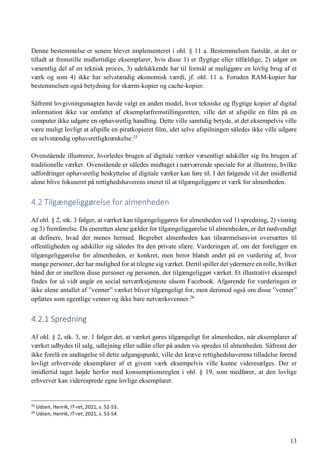Denne bestemmelse er senere blevet implementeret i ohl. § 11 a. Bestemmelsen fastslår, at det er tilladt at fremstille midlertidige eksemplarer, hvis disse 1) er flygtige eller tilfældige, 2) udgør en væsentlig del af en teknisk proces, 3) udelukkende har til formål at muliggøre en lovlig brug af et værk og som 4) ikke har selvstændig økonomisk værdi, jf. ohl. 11 a. Foruden RAM-kopier har bestemmelsen også betydning for skærm-kopier og cache-kopier.

Såfremt lovgivningsmagten havde valgt en anden model, hvor tekniske og flygtige kopier af digital information ikke var omfattet af eksemplarfremstillingsretten, ville det at afspille en film på en computer ikke udgøre en ophavsretlig handling. Dette ville samtidig betyde, at det eksempelvis ville være muligt lovligt at afspille en piratkopieret film, idet selve afspilningen således ikke ville udgøre en selvstændig ophavsretligkrænkelse.25

Ovenstående illustrerer, hvorledes brugen af digitale værker væsentligt adskiller sig fra brugen af traditionelle værker. Ovenstående er således medtaget i nærværende speciale for at illustrere, hvilke udfordringer ophavsretlig beskyttelse af digitale værker kan føre til. I det følgende vil der imidlertid alene blive fokuseret på rettighedshaverens eneret til at tilgængeliggøre et værk for almenheden.

### 4.2 Tilgængeliggørelse for almenheden

Af ohl. § 2, stk. 3 følger, at værket kan tilgængeliggøres for almenheden ved 1) spredning, 2) visning og 3) fremførelse. Da eneretten alene gælder for tilgængeliggørelse til almenheden, er det nødvendigt at definere, hvad der menes hermed. Begrebet almenheden kan tilnærmelsesvist oversættes til offentligheden og adskiller sig således fra den private sfære. Vurderingen af, om der foreligger en tilgængeliggørelse for almenheden, er konkret, men beror blandt andet på en vurdering af, hvor mange personer, der har mulighed for at tilegne sig værket. Dertil spiller det ydermere en rolle, hvilket bånd der er imellem disse personer og personen, der tilgængeliggør værket. Et illustrativt eksempel findes for så vidt angår en social netværkstjeneste såsom Facebook. Afgørende for vurderingen er ikke alene antallet af "venner" værket bliver tilgængeligt for, men derimod også om disse "venner" opfattes som egentlige venner og ikke bare netværksvenner.26

#### 4.2.1 Spredning

Af ohl. § 2, stk. 3, nr. 1 følger det, at værket gøres tilgængeligt for almenheden, når eksemplarer af værket udbydes til salg, udlejning eller udlån eller på anden vis spredes til almenheden. Såfremt der ikke forelå en undtagelse til dette udgangspunkt, ville det kræve rettighedshaverens tilladelse førend lovligt erhvervede eksemplarer af et givent værk eksempelvis ville kunne videresælges. Der er imidlertid taget højde herfor med konsumptionsreglen i ohl. § 19, som medfører, at den lovlige erhverver kan videresprede egne lovlige eksemplarer.

<sup>25</sup> Udsen, Henrik, *IT-ret*, 2021, s. 52-53.

<sup>26</sup> Udsen, Henrik, *IT-ret*, 2021, s. 53-54.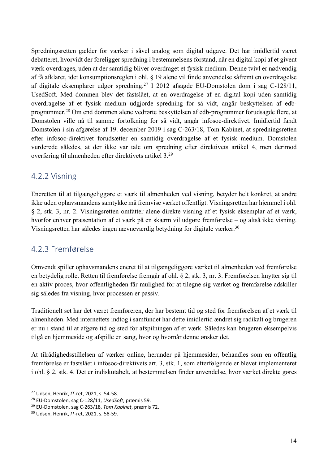Spredningsretten gælder for værker i såvel analog som digital udgave. Det har imidlertid været debatteret, hvorvidt der foreligger spredning i bestemmelsens forstand, når en digital kopi af et givent værk overdrages, uden at der samtidig bliver overdraget et fysisk medium. Denne tvivl er nødvendig af få afklaret, idet konsumptionsreglen i ohl. § 19 alene vil finde anvendelse såfremt en overdragelse af digitale eksemplarer udgør spredning.27 I 2012 afsagde EU-Domstolen dom i sag C-128/11, UsedSoft. Med dommen blev det fastslået, at en overdragelse af en digital kopi uden samtidig overdragelse af et fysisk medium udgjorde spredning for så vidt, angår beskyttelsen af edbprogrammer.28 Om end dommen alene vedrørte beskyttelsen af edb-programmer forudsagde flere, at Domstolen ville nå til samme fortolkning for så vidt, angår infosoc-direktivet. Imidlertid fandt Domstolen i sin afgørelse af 19. december 2019 i sag C-263/18, Tom Kabinet, at spredningsretten efter infosoc-direktivet forudsætter en samtidig overdragelse af et fysisk medium. Domstolen vurderede således, at der ikke var tale om spredning efter direktivets artikel 4, men derimod overføring til almenheden efter direktivets artikel 3.29

#### 4.2.2 Visning

Eneretten til at tilgængeliggøre et værk til almenheden ved visning, betyder helt konkret, at andre ikke uden ophavsmandens samtykke må fremvise værket offentligt. Visningsretten har hjemmel i ohl. § 2, stk. 3, nr. 2. Visningsretten omfatter alene direkte visning af et fysisk eksemplar af et værk, hvorfor enhver præsentation af et værk på en skærm vil udgøre fremførelse – og altså ikke visning. Visningsretten har således ingen nævneværdig betydning for digitale værker.30

#### 4.2.3 Fremførelse

Omvendt spiller ophavsmandens eneret til at tilgængeliggøre værket til almenheden ved fremførelse en betydelig rolle. Retten til fremførelse fremgår af ohl. § 2, stk. 3, nr. 3. Fremførelsen knytter sig til en aktiv proces, hvor offentligheden får mulighed for at tilegne sig værket og fremførelse adskiller sig således fra visning, hvor processen er passiv.

Traditionelt set har det været fremføreren, der har bestemt tid og sted for fremførelsen af et værk til almenheden. Med internettets indtog i samfundet har dette imidlertid ændret sig radikalt og brugeren er nu i stand til at afgøre tid og sted for afspilningen af et værk. Således kan brugeren eksempelvis tilgå en hjemmeside og afspille en sang, hvor og hvornår denne ønsker det.

At tilrådighedsstillelsen af værker online, herunder på hjemmesider, behandles som en offentlig fremførelse er fastslået i infosoc-direktivets art. 3, stk. 1, som efterfølgende er blevet implementeret i ohl. § 2, stk. 4. Det er indiskutabelt, at bestemmelsen finder anvendelse, hvor værket direkte gøres

<sup>27</sup> Udsen, Henrik, *IT-*ret, 2021, s. 54-58.

<sup>28</sup> EU-Domstolen, sag C-128/11, *UsedSoft*, præmis 59. 29 EU-Domstolen, sag C-263/18, *Tom Kabinet*, præmis 72.

<sup>30</sup> Udsen, Henrik, *IT-*ret, 2021, s. 58-59.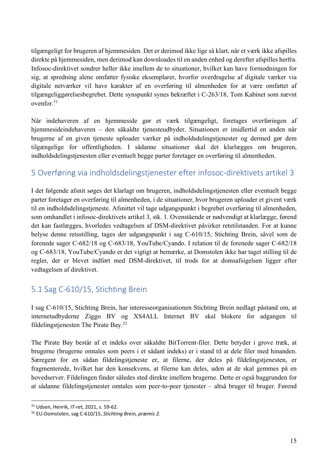tilgængeligt for brugeren af hjemmesiden. Det er derimod ikke lige så klart, når et værk ikke afspilles direkte på hjemmesiden, men derimod kan downloades til en anden enhed og derefter afspilles herfra. Infosoc-direktivet sondrer heller ikke imellem de to situationer, hvilket kan have formodningen for sig, at spredning alene omfatter fysiske eksemplarer, hvorfor overdragelse af digitale værker via digitale netværker vil have karakter af en overføring til almenheden for at være omfattet af tilgængeliggørelsesbegrebet. Dette synspunkt synes bekræftet i C-263/18, Tom Kabinet som nævnt ovenfor.31

Når indehaveren af en hjemmeside gør et værk tilgængeligt, foretages overføringen af hjemmesideindehaveren – den såkaldte tjenesteudbyder. Situationen er imidlertid en anden når brugerne af en given tjeneste uploader værker på indholdsdelingstjenester og dermed gør dem tilgængelige for offentligheden. I sådanne situationer skal det klarlægges om brugeren, indholdsdelingstjenesten eller eventuelt begge parter foretager en overføring til almenheden.

#### 5 Overføring via indholdsdelingstjenester efter infosoc-direktivets artikel 3

I det følgende afsnit søges det klarlagt om brugeren, indholdsdelingstjenesten eller eventuelt begge parter foretager en overføring til almenheden, i de situationer, hvor brugeren uploader et givent værk til en indholdsdelingstjeneste. Afsnittet vil tage udgangspunkt i begrebet overføring til almenheden, som omhandlet i infosoc-direktivets artikel 3, stk. 1. Ovenstående er nødvendigt at klarlægge, førend det kan fastlægges, hvorledes vedtagelsen af DSM-direktivet påvirker retstilstanden. For at kunne belyse denne retsstilling, tages der udgangspunkt i sag C-610/15, Stichting Brein, såvel som de forenede sager C-682/18 og C-683/18, YouTube/Cyando. I relation til de forenede sager C-682/18 og C-683/18, YouTube/Cyando er det vigtigt at bemærke, at Domstolen ikke har taget stilling til de regler, der er blevet indført med DSM-direktivet, til trods for at domsafsigelsen ligger efter vedtagelsen af direktivet.

## 5.1 Sag C-610/15, Stichting Brein

I sag C-610/15, Stichting Brein, har interesseorganisationen Stichting Brein nedlagt påstand om, at internetudbyderne Ziggo BV og XS4ALL Internet BV skal blokere for adgangen til fildelingstjenesten The Pirate Bay.32

The Pirate Bay består af et indeks over såkaldte BitTorrent-filer. Dette betyder i grove træk, at brugerne (brugerne omtales som peers i et sådant indeks) er i stand til at dele filer med hinanden. Særegent for en sådan fildelingstjeneste er, at filerne, der deles på fildelingstjenesten, er fragmenterede, hvilket har den konsekvens, at filerne kan deles, uden at de skal gemmes på en hovedserver. Fildelingen finder således sted direkte imellem brugerne. Dette er også baggrunden for at sådanne fildelingstjenester omtales som peer-to-peer tjenester – altså bruger til bruger. Førend

<sup>31</sup> Udsen, Henrik, *IT-ret*, 2021, s. 59-62.

<sup>32</sup> EU-Domstolen, sag C-610/15, *Stichting Brein, præmis 2.*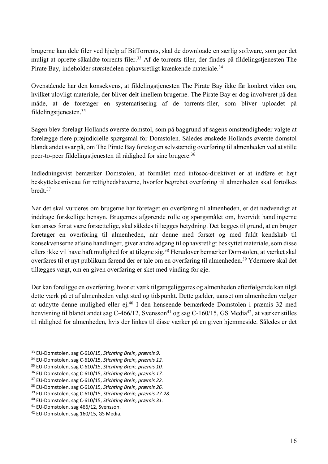brugerne kan dele filer ved hjælp af BitTorrents, skal de downloade en særlig software, som gør det muligt at oprette såkaldte torrents-filer.33 Af de torrents-filer, der findes på fildelingstjenesten The Pirate Bay, indeholder størstedelen ophavsretligt krænkende materiale.34

Ovenstående har den konsekvens, at fildelingstjenesten The Pirate Bay ikke får konkret viden om, hvilket ulovligt materiale, der bliver delt imellem brugerne. The Pirate Bay er dog involveret på den måde, at de foretager en systematisering af de torrents-filer, som bliver uploadet på fildelingstjenesten. 35

Sagen blev forelagt Hollands øverste domstol, som på baggrund af sagens omstændigheder valgte at forelægge flere præjudicielle spørgsmål for Domstolen. Således ønskede Hollands øverste domstol blandt andet svar på, om The Pirate Bay foretog en selvstændig overføring til almenheden ved at stille peer-to-peer fildelingstjenesten til rådighed for sine brugere.36

Indledningsvist bemærker Domstolen, at formålet med infosoc-direktivet er at indføre et højt beskyttelsesniveau for rettighedshaverne, hvorfor begrebet overføring til almenheden skal fortolkes bredt.37

Når det skal vurderes om brugerne har foretaget en overføring til almenheden, er det nødvendigt at inddrage forskellige hensyn. Brugernes afgørende rolle og spørgsmålet om, hvorvidt handlingerne kan anses for at være forsættelige, skal således tillægges betydning. Det lægges til grund, at en bruger foretager en overføring til almenheden, når denne med forsæt og med fuldt kendskab til konsekvenserne af sine handlinger, giver andre adgang til ophavsretligt beskyttet materiale, som disse ellers ikke vil have haft mulighed for at tilegne sig.38 Herudover bemærker Domstolen, at værket skal overføres til et nyt publikum førend der er tale om en overføring til almenheden.39 Ydermere skal det tillægges vægt, om en given overføring er sket med vinding for øje.

Der kan foreligge en overføring, hvor et værk tilgængeliggøres og almenheden efterfølgende kan tilgå dette værk på et af almenheden valgt sted og tidspunkt. Dette gælder, uanset om almenheden vælger at udnytte denne mulighed eller ej.40 I den henseende bemærkede Domstolen i præmis 32 med henvisning til blandt andet sag C-466/12, Svensson<sup>41</sup> og sag C-160/15, GS Media<sup>42</sup>, at værker stilles til rådighed for almenheden, hvis der linkes til disse værker på en given hjemmeside. Således er det

<sup>33</sup> EU-Domstolen, sag C-610/15, *Stichting Brein, præmis 9.*

<sup>34</sup> EU-Domstolen, sag C-610/15, *Stichting Brein, præmis 12.*

<sup>35</sup> EU-Domstolen, sag C-610/15, *Stichting Brein, præmis 10.*

<sup>36</sup> EU-Domstolen, sag C-610/15, *Stichting Brein, præmis 17.*

<sup>37</sup> EU-Domstolen, sag C-610/15, *Stichting Brein, præmis 22.*

<sup>38</sup> EU-Domstolen, sag C-610/15, *Stichting Brein, præmis 26.*

<sup>39</sup> EU-Domstolen, sag C-610/15, *Stichting Brein, præmis 27-28.*

<sup>40</sup> EU-Domstolen, sag C-610/15, *Stichting Brein, præmis 31.*

<sup>&</sup>lt;sup>41</sup> EU-Domstolen, sag 466/12, Svensson.<br><sup>42</sup> EU-Domstolen, sag 160/15, GS Media.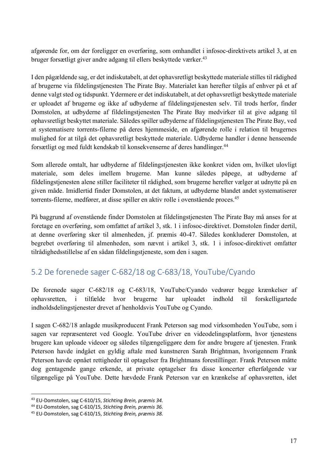afgørende for, om der foreligger en overføring, som omhandlet i infosoc-direktivets artikel 3, at en bruger forsætligt giver andre adgang til ellers beskyttede værker. 43

I den pågældende sag, er det indiskutabelt, at det ophavsretligt beskyttede materiale stilles til rådighed af brugerne via fildelingstjenesten The Pirate Bay. Materialet kan herefter tilgås af enhver på et af denne valgt sted og tidspunkt. Ydermere er det indiskutabelt, at det ophavsretligt beskyttede materiale er uploadet af brugerne og ikke af udbyderne af fildelingstjenesten selv. Til trods herfor, finder Domstolen, at udbyderne af fildelingstjenesten The Pirate Bay medvirker til at give adgang til ophavsretligt beskyttet materiale. Således spiller udbyderne af fildelingstjenesten The Pirate Bay, ved at systematisere torrents-filerne på deres hjemmeside, en afgørende rolle i relation til brugernes mulighed for at tilgå det ophavsretligt beskyttede materiale. Udbyderne handler i denne henseende forsætligt og med fuldt kendskab til konsekvenserne af deres handlinger.44

Som allerede omtalt, har udbyderne af fildelingstjenesten ikke konkret viden om, hvilket ulovligt materiale, som deles imellem brugerne. Man kunne således påpege, at udbyderne af fildelingstjenesten alene stiller faciliteter til rådighed, som brugerne herefter vælger at udnytte på en given måde. Imidlertid finder Domstolen, at det faktum, at udbyderne blandet andet systematiserer torrents-filerne, medfører, at disse spiller en aktiv rolle i ovenstående proces.45

På baggrund af ovenstående finder Domstolen at fildelingstjenesten The Pirate Bay må anses for at foretage en overføring, som omfattet af artikel 3, stk. 1 i infosoc-direktivet. Domstolen finder dertil, at denne overføring sker til almenheden, jf. præmis 40-47. Således konkluderer Domstolen, at begrebet overføring til almenheden, som nævnt i artikel 3, stk. 1 i infosoc-direktivet omfatter tilrådighedsstillelse af en sådan fildelingstjeneste, som den i sagen.

## 5.2 De forenede sager C-682/18 og C-683/18, YouTube/Cyando

De forenede sager C-682/18 og C-683/18, YouTube/Cyando vedrører begge krænkelser af ophavsretten, i tilfælde hvor brugerne har uploadet indhold til forskelligartede indholdsdelingstjenester drevet af henholdsvis YouTube og Cyando.

I sagen C-682/18 anlagde musikproducent Frank Peterson sag mod virksomheden YouTube, som i sagen var repræsenteret ved Google. YouTube driver en videodelingsplatform, hvor tjenestens brugere kan uploade videoer og således tilgængeliggøre dem for andre brugere af tjenesten. Frank Peterson havde indgået en gyldig aftale med kunstneren Sarah Brightman, hvorigennem Frank Peterson havde opnået rettigheder til optagelser fra Brightmans forestillinger. Frank Peterson måtte dog gentagende gange erkende, at private optagelser fra disse koncerter efterfølgende var tilgængelige på YouTube. Dette hævdede Frank Peterson var en krænkelse af ophavsretten, idet

<sup>43</sup> EU-Domstolen, sag C-610/15, *Stichting Brein, præmis 34.*

<sup>44</sup> EU-Domstolen, sag C-610/15, *Stichting Brein, præmis 36.*

<sup>45</sup> EU-Domstolen, sag C-610/15, *Stichting Brein, præmis 38.*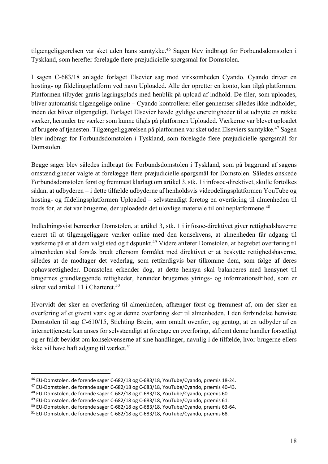tilgængeliggørelsen var sket uden hans samtykke.<sup>46</sup> Sagen blev indbragt for Forbundsdomstolen i Tyskland, som herefter forelagde flere præjudicielle spørgsmål for Domstolen.

I sagen C-683/18 anlagde forlaget Elsevier sag mod virksomheden Cyando. Cyando driver en hosting- og fildelingsplatform ved navn Uploaded. Alle der opretter en konto, kan tilgå platformen. Platformen tilbyder gratis lagringsplads med henblik på upload af indhold. De filer, som uploades, bliver automatisk tilgængelige online – Cyando kontrollerer eller gennemser således ikke indholdet, inden det bliver tilgængeligt. Forlaget Elsevier havde gyldige enerettigheder til at udnytte en række værker, herunder tre værker som kunne tilgås på platformen Uploaded. Værkerne var blevet uploadet af brugere af tjenesten. Tilgængeliggørelsen på platformen var sket uden Elseviers samtykke.47 Sagen blev indbragt for Forbundsdomstolen i Tyskland, som forelagde flere præjudicielle spørgsmål for Domstolen.

Begge sager blev således indbragt for Forbundsdomstolen i Tyskland, som på baggrund af sagens omstændigheder valgte at forelægge flere præjudicielle spørgsmål for Domstolen. Således ønskede Forbundsdomstolen først og fremmest klarlagt om artikel 3, stk. 1 i infosoc-direktivet, skulle fortolkes sådan, at udbyderen – i dette tilfælde udbyderne af henholdsvis videodelingsplatformen YouTube og hosting- og fildelingsplatformen Uploaded – selvstændigt foretog en overføring til almenheden til trods for, at det var brugerne, der uploadede det ulovlige materiale til onlineplatformene.<sup>48</sup>

Indledningsvist bemærker Domstolen, at artikel 3, stk. 1 i infosoc-direktivet giver rettighedshaverne eneret til at tilgængeliggøre værker online med den konsekvens, at almenheden får adgang til værkerne på et af dem valgt sted og tidspunkt.<sup>49</sup> Videre anfører Domstolen, at begrebet overføring til almenheden skal forstås bredt eftersom formålet med direktivet er at beskytte rettighedshaverne, således at de modtager det vederlag, som retfærdigvis bør tilkomme dem, som følge af deres ophavsrettigheder. Domstolen erkender dog, at dette hensyn skal balanceres med hensynet til brugernes grundlæggende rettigheder, herunder brugernes ytrings- og informationsfrihed, som er sikret ved artikel 11 i Charteret.<sup>50</sup>

Hvorvidt der sker en overføring til almenheden, afhænger først og fremmest af, om der sker en overføring af et givent værk og at denne overføring sker til almenheden. I den forbindelse henviste Domstolen til sag C-610/15, Stichting Brein, som omtalt ovenfor, og gentog, at en udbyder af en internettjeneste kan anses for selvstændigt at foretage en overføring, såfremt denne handler forsætligt og er fuldt bevidst om konsekvenserne af sine handlinger, navnlig i de tilfælde, hvor brugerne ellers ikke vil have haft adgang til værket.<sup>51</sup>

<sup>&</sup>lt;sup>46</sup> EU-Domstolen, de forende sager C-682/18 og C-683/18, YouTube/Cyando, præmis 18-24.<br><sup>47</sup> EU-Domstolen, de forende sager C-682/18 og C-683/18, YouTube/Cyando, præmis 40-43.<br><sup>48</sup> EU-Domstolen, de forende sager C-682/18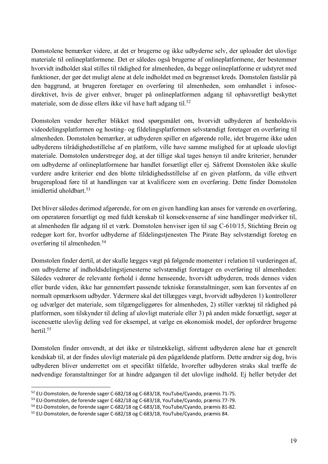Domstolene bemærker videre, at det er brugerne og ikke udbyderne selv, der uploader det ulovlige materiale til onlineplatformene. Det er således også brugerne af onlineplatformene, der bestemmer hvorvidt indholdet skal stilles til rådighed for almenheden, da begge onlineplatforme er udstyret med funktioner, der gør det muligt alene at dele indholdet med en begrænset kreds. Domstolen fastslår på den baggrund, at brugeren foretager en overføring til almenheden, som omhandlet i infosocdirektivet, hvis de giver enhver, bruger på onlineplatformen adgang til ophavsretligt beskyttet materiale, som de disse ellers ikke vil have haft adgang til.<sup>52</sup>

Domstolen vender herefter blikket mod spørgsmålet om, hvorvidt udbyderen af henholdsvis videodelingsplatformen og hosting- og fildelingsplatformen selvstændigt foretager en overføring til almenheden. Domstolen bemærker, at udbyderen spiller en afgørende rolle, idet brugerne ikke uden udbyderens tilrådighedsstillelse af en platform, ville have samme mulighed for at uploade ulovligt materiale. Domstolen understreger dog, at der tillige skal tages hensyn til andre kriterier, herunder om udbyderne af onlineplatformene har handlet forsætligt eller ej. Såfremt Domstolen ikke skulle vurdere andre kriterier end den blotte tilrådighedsstillelse af en given platform, da ville ethvert brugerupload føre til at handlingen var at kvalificere som en overføring. Dette finder Domstolen imidlertid uholdbart.<sup>53</sup>

Det bliver således derimod afgørende, for om en given handling kan anses for værende en overføring, om operatøren forsætligt og med fuldt kenskab til konsekvenserne af sine handlinger medvirker til, at almenheden får adgang til et værk. Domstolen henviser igen til sag C-610/15, Stichting Brein og redegør kort for, hvorfor udbyderne af fildelingstjenesten The Pirate Bay selvstændigt foretog en overføring til almenheden. 54

Domstolen finder dertil, at der skulle lægges vægt på følgende momenter i relation til vurderingen af, om udbyderne af indholdsdelingstjenesterne selvstændigt foretager en overføring til almenheden: Således vedrører de relevante forhold i denne henseende, hvorvidt udbyderen, trods dennes viden eller burde viden, ikke har gennemført passende tekniske foranstaltninger, som kan forventes af en normalt opmærksom udbyder. Ydermere skal det tillægges vægt, hvorvidt udbyderen 1) kontrollerer og udvælger det materiale, som tilgængeliggøres for almenheden, 2) stiller værktøj til rådighed på platformen, som tilskynder til deling af ulovligt materiale eller 3) på anden måde forsætligt, søger at iscenesætte ulovlig deling ved for eksempel, at vælge en økonomisk model, der opfordrer brugerne hertil.55

Domstolen finder omvendt, at det ikke er tilstrækkeligt, såfremt udbyderen alene har et generelt kendskab til, at der findes ulovligt materiale på den pågældende platform. Dette ændrer sig dog, hvis udbyderen bliver underrettet om et specifikt tilfælde, hvorefter udbyderen straks skal træffe de nødvendige foranstaltninger for at hindre adgangen til det ulovlige indhold. Ej heller betyder det

<sup>52</sup> EU-Domstolen, de forende sager C-682/18 og C-683/18, YouTube/Cyando, præmis 71-75.

<sup>53</sup> EU-Domstolen, de forende sager C-682/18 og C-683/18, YouTube/Cyando, præmis 77-79.

<sup>54</sup> EU-Domstolen, de forende sager C-682/18 og C-683/18, YouTube/Cyando, præmis 81-82.

<sup>55</sup> EU-Domstolen, de forende sager C-682/18 og C-683/18, YouTube/Cyando, præmis 84.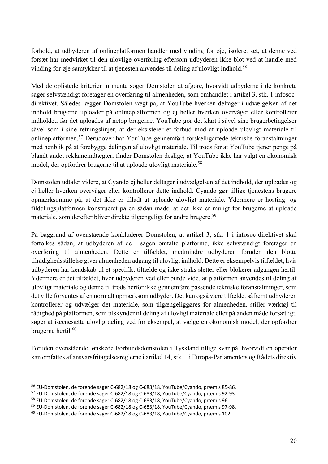forhold, at udbyderen af onlineplatformen handler med vinding for øje, isoleret set, at denne ved forsæt har medvirket til den ulovlige overføring eftersom udbyderen ikke blot ved at handle med vinding for øje samtykker til at tjenesten anvendes til deling af ulovligt indhold.<sup>56</sup>

Med de oplistede kriterier in mente søger Domstolen at afgøre, hvorvidt udbyderne i de konkrete sager selvstændigt foretager en overføring til almenheden, som omhandlet i artikel 3, stk. 1 infosocdirektivet. Således lægger Domstolen vægt på, at YouTube hverken deltager i udvælgelsen af det indhold brugerne uploader på onlineplatformen og ej heller hverken overvåger eller kontrollerer indholdet, før det uploades af netop brugerne. YouTube gør det klart i såvel sine brugerbetingelser såvel som i sine retningslinjer, at der eksisterer et forbud mod at uploade ulovligt materiale til onlineplatformen. <sup>57</sup> Derudover har YouTube gennemført forskelligartede tekniske foranstaltninger med henblik på at forebygge delingen af ulovligt materiale. Til trods for at YouTube tjener penge på blandt andet reklameindtægter, finder Domstolen deslige, at YouTube ikke har valgt en økonomisk model, der opfordrer brugerne til at uploade ulovligt materiale.<sup>58</sup>

Domstolen udtaler videre, at Cyando ej heller deltager i udvælgelsen af det indhold, der uploades og ej heller hverken overvåger eller kontrollerer dette indhold. Cyando gør tillige tjenestens brugere opmærksomme på, at det ikke er tilladt at uploade ulovligt materiale. Ydermere er hosting- og fildelingsplatformen konstrueret på en sådan måde, at det ikke er muligt for brugerne at uploade materiale, som derefter bliver direkte tilgængeligt for andre brugere.59

På baggrund af ovenstående konkluderer Domstolen, at artikel 3, stk. 1 i infosoc-direktivet skal fortolkes sådan, at udbyderen af de i sagen omtalte platforme, ikke selvstændigt foretager en overføring til almenheden. Dette er tilfældet, medmindre udbyderen foruden den blotte tilrådighedsstillelse giver almenheden adgang til ulovligt indhold. Dette er eksempelvis tilfældet, hvis udbyderen har kendskab til et specifikt tilfælde og ikke straks sletter eller blokerer adgangen hertil. Ydermere er det tilfældet, hvor udbyderen ved eller burde vide, at platformen anvendes til deling af ulovligt materiale og denne til trods herfor ikke gennemføre passende tekniske foranstaltninger, som det ville forventes af en normalt opmærksom udbyder. Det kan også være tilfældet såfremt udbyderen kontrollerer og udvælger det materiale, som tilgængeliggøres for almenheden, stiller værktøj til rådighed på platformen, som tilskynder til deling af ulovligt materiale eller på anden måde forsætligt, søger at iscenesætte ulovlig deling ved for eksempel, at vælge en økonomisk model, der opfordrer brugerne hertil.<sup>60</sup>

Foruden ovenstående, ønskede Forbundsdomstolen i Tyskland tillige svar på, hvorvidt en operatør kan omfattes af ansvarsfritagelsesreglerne i artikel 14, stk. 1 i Europa-Parlamentets og Rådets direktiv

<sup>56</sup> EU-Domstolen, de forende sager C-682/18 og C-683/18, YouTube/Cyando, præmis 85-86.

<sup>57</sup> EU-Domstolen, de forende sager C-682/18 og C-683/18, YouTube/Cyando, præmis 92-93.

<sup>58</sup> EU-Domstolen, de forende sager C-682/18 og C-683/18, YouTube/Cyando, præmis 96.

<sup>59</sup> EU-Domstolen, de forende sager C-682/18 og C-683/18, YouTube/Cyando, præmis 97-98.

<sup>60</sup> EU-Domstolen, de forende sager C-682/18 og C-683/18, YouTube/Cyando, præmis 102.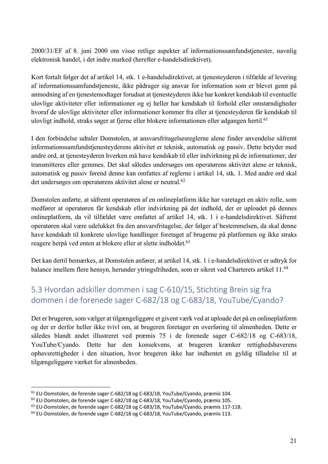2000/31/EF af 8. juni 2000 om visse retlige aspekter af informationssamfundstjenester, navnlig elektronisk handel, i det indre marked (herefter e-handelsdirektivet).

Kort fortalt følger det af artikel 14, stk. 1 e-handelsdirektivet, at tjenesteyderen i tilfælde af levering af informationssamfundstjeneste, ikke pådrager sig ansvar for information som er blevet gemt på anmodning af en tjenestemodtager forudsat at tjenesteyderen ikke har konkret kendskab til eventuelle ulovlige aktiviteter eller informationer og ej heller har kendskab til forhold eller omstændigheder hvoraf de ulovlige aktiviteter eller informationer kommer fra eller at tjenesteyderen får kendskab til ulovligt indhold, straks søger at fjerne eller blokere informationen eller adgangen hertil.<sup>61</sup>

I den forbindelse udtaler Domstolen, at ansvarsfritagelsesreglerne alene finder anvendelse såfremt informationssamfundstjenesteyderens aktivitet er teknisk, automatisk og passiv. Dette betyder med andre ord, at tjenesteyderen hverken må have kendskab til eller indvirkning på de informationer, der transmitteres eller gemmes. Det skal således undersøges om operatørens aktivitet alene er teknisk, automatisk og passiv førend denne kan omfattes af reglerne i artikel 14, stk. 1. Med andre ord skal det undersøges om operatørens aktivitet alene er neutral.<sup>62</sup>

Domstolen anførte, at såfremt operatøren af en onlineplatform ikke har varetaget en aktiv rolle, som medfører at operatøren får kendskab eller indvirkning på det indhold, der er uploadet på dennes onlineplatform, da vil tilfældet være omfattet af artikel 14, stk. 1 i e-handelsdirektivet. Såfremt operatøren skal være udelukket fra den ansvarsfritagelse, der følger af bestemmelsen, da skal denne have kendskab til konkrete ulovlige handlinger foretaget af brugerne på platformen og ikke straks reagere herpå ved enten at blokere eller at slette indholdet.<sup>63</sup>

Det kan dertil bemærkes, at Domstolen anfører, at artikel 14, stk. 1 i e-handelsdirektivet er udtryk for balance imellem flere hensyn, herunder ytringsfriheden, som er sikret ved Charterets artikel 11.64

## 5.3 Hvordan adskiller dommen i sag C-610/15, Stichting Brein sig fra dommen i de forenede sager C-682/18 og C-683/18, YouTube/Cyando?

Det er brugeren, som vælger at tilgængeliggøre et givent værk ved at uploade det på en onlineplatform og der er derfor heller ikke tvivl om, at brugeren foretager en overføring til almenheden. Dette er således blandt andet illustreret ved præmis 75 i de forenede sager C-682/18 og C-683/18, YouTube/Cyando. Dette har den konsekvens, at brugeren krænker rettighedshaverens ophavsrettigheder i den situation, hvor brugeren ikke har indhentet en gyldig tilladelse til at tilgængeliggøre værket for almenheden.

<sup>61</sup> EU-Domstolen, de forende sager C-682/18 og C-683/18, YouTube/Cyando, præmis 104.

<sup>62</sup> EU-Domstolen, de forende sager C-682/18 og C-683/18, YouTube/Cyando, præmis 105.

<sup>63</sup> EU-Domstolen, de forende sager C-682/18 og C-683/18, YouTube/Cyando, præmis 117-118.

<sup>64</sup> EU-Domstolen, de forende sager C-682/18 og C-683/18, YouTube/Cyando, præmis 113.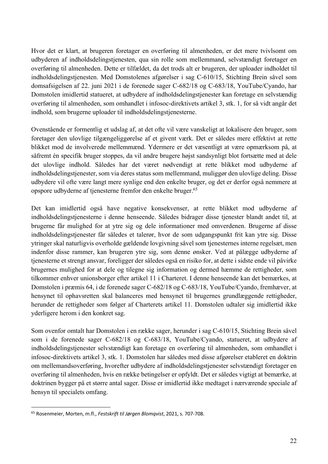Hvor det er klart, at brugeren foretager en overføring til almenheden, er det mere tvivlsomt om udbyderen af indholdsdelingstjenesten, qua sin rolle som mellemmand, selvstændigt foretager en overføring til almenheden. Dette er tilfældet, da det trods alt er brugeren, der uploader indholdet til indholdsdelingstjenesten. Med Domstolenes afgørelser i sag C-610/15, Stichting Brein såvel som domsafsigelsen af 22. juni 2021 i de forenede sager C-682/18 og C-683/18, YouTube/Cyando, har Domstolen imidlertid statueret, at udbydere af indholdsdelingstjenester kan foretage en selvstændig overføring til almenheden, som omhandlet i infosoc-direktivets artikel 3, stk. 1, for så vidt angår det indhold, som brugerne uploader til indholdsdelingstjenesterne.

Ovenstående er formentlig et udslag af, at det ofte vil være vanskeligt at lokalisere den bruger, som foretager den ulovlige tilgængeliggørelse af et givent værk. Det er således mere effektivt at rette blikket mod de involverede mellemmænd. Ydermere er det væsentligt at være opmærksom på, at såfremt én specifik bruger stoppes, da vil andre brugere højst sandsynligt blot fortsætte med at dele det ulovlige indhold. Således har det været nødvendigt at rette blikket mod udbyderne af indholdsdelingstjenester, som via deres status som mellemmand, muliggør den ulovlige deling. Disse udbydere vil ofte være langt mere synlige end den enkelte bruger, og det er derfor også nemmere at opspore udbyderne af tjenesterne fremfor den enkelte bruger. 65

Det kan imidlertid også have negative konsekvenser, at rette blikket mod udbyderne af indholdsdelingstjenesterne i denne henseende. Således bidrager disse tjenester blandt andet til, at brugerne får mulighed for at ytre sig og dele informationer med omverdenen. Brugerne af disse indholdsdelingstjenester får således et talerør, hvor de som udgangspunkt frit kan ytre sig. Disse ytringer skal naturligvis overholde gældende lovgivning såvel som tjenesternes interne regelsæt, men indenfor disse rammer, kan brugeren ytre sig, som denne ønsker. Ved at pålægge udbyderne af tjenesterne et strengt ansvar, foreligger der således også en risiko for, at dette i sidste ende vil påvirke brugernes mulighed for at dele og tilegne sig information og dermed hæmme de rettigheder, som tilkommer enhver unionsborger efter artikel 11 i Charteret. I denne henseende kan det bemærkes, at Domstolen i præmis 64, i de forenede sager C-682/18 og C-683/18, YouTube/Cyando, fremhæver, at hensynet til ophavsretten skal balanceres med hensynet til brugernes grundlæggende rettigheder, herunder de rettigheder som følger af Charterets artikel 11. Domstolen udtaler sig imidlertid ikke yderligere herom i den konkret sag.

Som ovenfor omtalt har Domstolen i en række sager, herunder i sag C-610/15, Stichting Brein såvel som i de forenede sager C-682/18 og C-683/18, YouTube/Cyando, statueret, at udbydere af indholdsdelingstjenester selvstændigt kan foretage en overføring til almenheden, som omhandlet i infosoc-direktivets artikel 3, stk. 1. Domstolen har således med disse afgørelser etableret en doktrin om mellemandsoverføring, hvorefter udbydere af indholdsdelingstjenester selvstændigt foretager en overføring til almenheden, hvis en række betingelser er opfyldt. Det er således vigtigt at bemærke, at doktrinen bygger på et større antal sager. Disse er imidlertid ikke medtaget i nærværende speciale af hensyn til specialets omfang.

<sup>65</sup> Rosenmeier, Morten, m.fl., *Festskrift til Jørgen Blomqvist*, 2021, s. 707-708.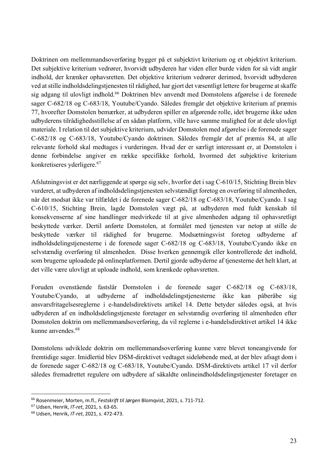Doktrinen om mellemmandsoverføring bygger på et subjektivt kriterium og et objektivt kriterium. Det subjektive kriterium vedrører, hvorvidt udbyderen har viden eller burde viden for så vidt angår indhold, der krænker ophavsretten. Det objektive kriterium vedrører derimod, hvorvidt udbyderen ved at stille indholdsdelingstjenesten til rådighed, har gjort det væsentligt lettere for brugerne at skaffe sig adgang til ulovligt indhold. <sup>66</sup> Doktrinen blev anvendt med Domstolens afgørelse i de forenede sager C-682/18 og C-683/18, Youtube/Cyando. Således fremgår det objektive kriterium af præmis 77, hvorefter Domstolen bemærker, at udbyderen spiller en afgørende rolle, idet brugerne ikke uden udbyderens tilrådighedsstillelse af en sådan platform, ville have samme mulighed for at dele ulovligt materiale. I relation til det subjektive kriterium, udvider Domstolen med afgørelse i de forenede sager C-682/18 og C-683/18, Youtube/Cyando doktrinen. Således fremgår det af præmis 84, at alle relevante forhold skal medtages i vurderingen. Hvad der er særligt interessant er, at Domstolen i denne forbindelse angiver en række specifikke forhold, hvormed det subjektive kriterium konkretiseres yderligere. 67

Afslutningsvist er det nærliggende at spørge sig selv, hvorfor det i sag C-610/15, Stichting Brein blev vurderet, at udbyderen af indholdsdelingstjenesten selvstændigt foretog en overføring til almenheden, når det modsat ikke var tilfældet i de forenede sager C-682/18 og C-683/18, Youtube/Cyando. I sag C-610/15, Stichting Brein, lagde Domstolen vægt på, at udbyderen med fuldt kenskab til konsekvenserne af sine handlinger medvirkede til at give almenheden adgang til ophavsretligt beskyttede værker. Dertil anførte Domstolen, at formålet med tjenesten var netop at stille de beskyttede værker til rådighed for brugerne. Modsætningsvist foretog udbyderne af indholdsdelingstjenesterne i de forenede sager C-682/18 og C-683/18, Youtube/Cyando ikke en selvstændig overføring til almenheden. Disse hverken gennemgik eller kontrollerede det indhold, som brugerne uploadede på onlineplatformen. Dertil gjorde udbyderne af tjenesterne det helt klart, at det ville være ulovligt at uploade indhold, som krænkede ophavsretten.

Foruden ovenstående fastslår Domstolen i de forenede sager C-682/18 og C-683/18, Youtube/Cyando, at udbyderne af indholdsdelingstjenesterne ikke kan påberåbe sig ansvarsfritagelsesreglerne i e-handelsdirektivets artikel 14. Dette betyder således også, at hvis udbyderen af en indholdsdelingstjeneste foretager en selvstændig overføring til almenheden efter Domstolen doktrin om mellemmandsoverføring, da vil reglerne i e-handelsdirektivet artikel 14 ikke kunne anvendes.<sup>68</sup>

Domstolens udviklede doktrin om mellemmandsoverføring kunne være blevet toneangivende for fremtidige sager. Imidlertid blev DSM-direktivet vedtaget sideløbende med, at der blev afsagt dom i de forenede sager C-682/18 og C-683/18, Youtube/Cyando. DSM-direktivets artikel 17 vil derfor således fremadrettet regulere om udbydere af såkaldte onlineindholdsdelingstjenester foretager en

<sup>66</sup> Rosenmeier, Morten, m.fl., *Festskrift til Jørgen* Blomqvist, 2021, s. 711-712.

<sup>67</sup> Udsen, Henrik, *IT-ret*, 2021, s. 63-65.

<sup>68</sup> Udsen, Henrik, *IT-ret*, 2021, s. 472-473.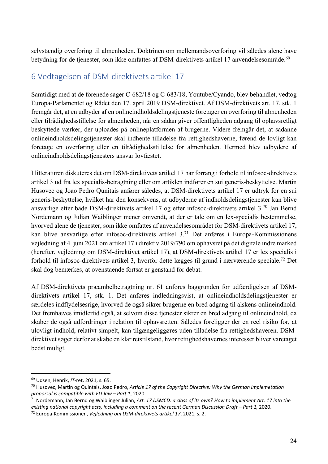selvstændig overføring til almenheden. Doktrinen om mellemandsoverføring vil således alene have betydning for de tjenester, som ikke omfattes af DSM-direktivets artikel 17 anvendelsesområde.<sup>69</sup>

#### 6 Vedtagelsen af DSM-direktivets artikel 17

Samtidigt med at de forenede sager C-682/18 og C-683/18, Youtube/Cyando, blev behandlet, vedtog Europa-Parlamentet og Rådet den 17. april 2019 DSM-direktivet. Af DSM-direktivets art. 17, stk. 1 fremgår det, at en udbyder af en onlineindholdsdelingstjeneste foretager en overføring til almenheden eller tilrådighedsstillelse for almenheden, når en sådan giver offentligheden adgang til ophavsretligt beskyttede værker, der uploades på onlineplatformen af brugerne. Videre fremgår det, at sådanne onlineindholdsdelingstjenester skal indhente tilladelse fra rettighedshaverne, førend de lovligt kan foretage en overføring eller en tilrådighedsstillelse for almenheden. Hermed blev udbydere af onlineindholdsdelingstjenesters ansvar lovfæstet.

I litteraturen diskuteres det om DSM-direktivets artikel 17 har forrang i forhold til infosoc-direktivets artikel 3 ud fra lex specialis-betragtning eller om artiklen indfører en sui generis-beskyttelse. Martin Husovec og Joao Pedro Qunitais anfører således, at DSM-direktivets artikel 17 er udtryk for en sui generis-beskyttelse, hvilket har den konsekvens, at udbyderne af indholdsdelingstjenester kan blive ansvarlige efter både DSM-direktivets artikel 17 og efter infosoc-direktivets artikel 3.70 Jan Bernd Nordemann og Julian Waiblinger mener omvendt, at der er tale om en lex-specialis bestemmelse, hvorved alene de tjenester, som ikke omfattes af anvendelsesområdet for DSM-direktivets artikel 17, kan blive ansvarlige efter infosoc-direktivets artikel 3.71 Det anføres i Europa-Kommissionens vejledning af 4. juni 2021 om artikel 17 i direktiv 2019/790 om ophavsret på det digitale indre marked (herefter, vejledning om DSM-direktivet artikel 17), at DSM-direktivets artikel 17 er lex specialis i forhold til infosoc-direktivets artikel 3, hvorfor dette lægges til grund i nærværende speciale.72 Det skal dog bemærkes, at ovenstående fortsat er genstand for debat.

Af DSM-direktivets præambelbetragtning nr. 61 anføres baggrunden for udfærdigelsen af DSMdirektivets artikel 17, stk. 1. Det anføres indledningsvist, at onlineindholdsdelingstjenester er særdeles indflydelsesrige, hvorved de også sikrer brugerne en bred adgang til alskens onlineindhold. Det fremhæves imidlertid også, at selvom disse tjenester sikrer en bred adgang til onlineindhold, da skaber de også udfordringer i relation til ophavsretten. Således foreligger der en reel risiko for, at ulovligt indhold, relativt simpelt, kan tilgængeliggøres uden tilladelse fra rettighedshaveren. DSMdirektivet søger derfor at skabe en klar retstilstand, hvor rettighedshavernes interesser bliver varetaget bedst muligt.

<sup>69</sup> Udsen, Henrik, *IT-*ret, 2021, s. 65.

<sup>70</sup> Husovec, Martin og Quintais, Joao Pedro, *Article 17 of the Copyright Directive: Why the German implemetation proporsal is compatible with EU-law – Part 1*, 2020.

<sup>71</sup> Nordemann, Jan Bernd og Waiblinger Julian, *Art. 17 DSMCD: a class of its own? How to implement Art. 17 into the existing national copyright acts, including a comment on the recent German Discussion Draft – Part 1,* 2020.

<sup>72</sup> Europa-Kommissionen, *Vejledning om DSM-direktivets artikel 17*, 2021, s. 2.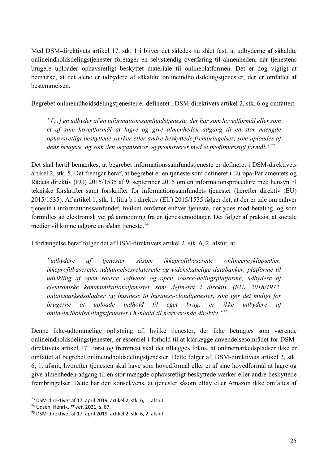Med DSM-direktivets artikel 17, stk. 1 i bliver det således nu slået fast, at udbyderne af såkaldte onlineindholdsdelingstjenester foretager en selvstændig overføring til almenheden, når tjenestens brugere uploader ophavsretligt beskyttet materiale til onlineplatformen. Det er dog vigtigt at bemærke, at det alene er udbydere af såkaldte onlineindholdsdelingstjenester, der er omfattet af bestemmelsen.

Begrebet onlineindholdsdelingstjenester er defineret i DSM-direktivets artikel 2, stk. 6 og omfatter:

*"[…] en udbyder af en informationssamfundstjeneste, der har som hovedformål eller som et af sine hovedformål at lagre og give almenheden adgang til en stor mængde ophavsretligt beskyttede værker eller andre beskyttede frembringelser, som uploades af dens brugere, og som den organiserer og promoverer med et profitmæssigt formål."73*

Det skal hertil bemærkes, at begrebet informationssamfundstjeneste er defineret i DSM-direktivets artikel 2, stk. 5. Det fremgår heraf, at begrebet er en tjeneste som defineret i Europa-Parlamentets og Rådets direktiv (EU) 2015/1535 af 9. september 2015 om en informationsprocedure med hensyn til tekniske forskrifter samt forskrifter for informationssamfundets tjenester (herefter direktiv (EU) 2015/1535). Af artikel 1, stk. 1, litra b i direktiv (EU) 2015/1535 følger det, at der er tale om enhver tjeneste i informationssamfundet, hvilket omfatter enhver tjeneste, der ydes mod betaling, og som formidles ad elektronisk vej på anmodning fra en tjenestemodtager. Det følger af praksis, at sociale medier vil kunne udgøre en sådan tjeneste.74

I forlængelse heraf følger det af DSM-direktivets artikel 2, stk. 6, 2. afsnit, at:

*"udbydere af tjenester såsom ikkeprofitbaserede onlineencyklopædier, ikkeprofitbaserede, uddannelsesrelaterede og videnskabelige databanker, platforme til udvikling af open source software og open source-delingsplatforme, udbydere af elektroniske kommunikationstjenester som defineret i direktiv (EU) 2018/1972, onlinemarkedspladser og business to business-cloudtjenester, som gør det muligt for brugerne at uploade indhold til eget brug, er ikke udbydere af onlineindholdsdelingstjenester i henhold til nærværende direktiv."75*

Denne ikke-udtømmelige oplistning af, hvilke tjenester, der ikke betragtes som værende onlineindholdsdelingstjenester, er essentiel i forhold til at klarlægge anvendelsesområdet for DSMdirektivets artikel 17. Først og fremmest skal det tillægges fokus, at onlinemarkedspladser ikke er omfattet af begrebet onlineindholdsdelingstjenester. Dette følger af, DSM-direktivets artikel 2, stk. 6, 1. afsnit, hvorefter tjenesten skal have som hovedformål eller et af sine hovedformål at lagre og give almenheden adgang til en stor mængde ophavsretligt beskyttede værker eller andre beskyttede frembringelser. Dette har den konsekvens, at tjenester såsom eBay eller Amazon ikke omfattes af

<sup>73</sup> DSM-direktivet af 17. april 2019, artikel 2, stk. 6, 1. afsnit. 74 Udsen, Henrik, *IT-ret*, 2021, s. 67.

<sup>75</sup> DSM-direktivet af 17. april 2019, artikel 2, stk. 6, 2. afsnit.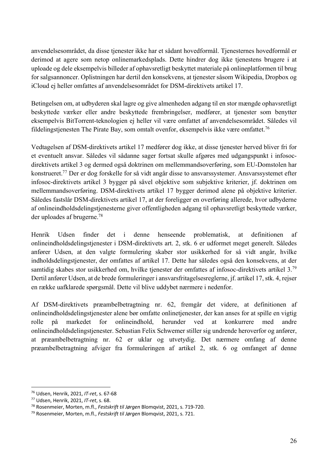anvendelsesområdet, da disse tjenester ikke har et sådant hovedformål. Tjenesternes hovedformål er derimod at agere som netop onlinemarkedsplads. Dette hindrer dog ikke tjenestens brugere i at uploade og dele eksempelvis billeder af ophavsretligt beskyttet materiale på onlineplatformen til brug for salgsannoncer. Oplistningen har dertil den konsekvens, at tjenester såsom Wikipedia, Dropbox og iCloud ej heller omfattes af anvendelsesområdet for DSM-direktivets artikel 17.

Betingelsen om, at udbyderen skal lagre og give almenheden adgang til en stor mængde ophavsretligt beskyttede værker eller andre beskyttede frembringelser, medfører, at tjenester som benytter eksempelvis BitTorrent-teknologien ej heller vil være omfattet af anvendelsesområdet. Således vil fildelingstjenesten The Pirate Bay, som omtalt ovenfor, eksempelvis ikke være omfattet.76

Vedtagelsen af DSM-direktivets artikel 17 medfører dog ikke, at disse tjenester herved bliver fri for et eventuelt ansvar. Således vil sådanne sager fortsat skulle afgøres med udgangspunkt i infosocdirektivets artikel 3 og dermed også doktrinen om mellemmandsoverføring, som EU-Domstolen har konstrueret.77 Der er dog forskelle for så vidt angår disse to ansvarssystemer. Ansvarssystemet efter infosoc-direktivets artikel 3 bygger på såvel objektive som subjektive kriterier, jf. doktrinen om mellemmandsoverføring. DSM-direktivets artikel 17 bygger derimod alene på objektive kriterier. Således fastslår DSM-direktivets artikel 17, at der foreligger en overføring allerede, hvor udbyderne af onlineindholdsdelingstjenesterne giver offentligheden adgang til ophavsretligt beskyttede værker, der uploades af brugerne.78

Henrik Udsen finder det i denne henseende problematisk, at definitionen af onlineindholdsdelingstjenester i DSM-direktivets art. 2, stk. 6 er udformet meget generelt. Således anfører Udsen, at den valgte formulering skaber stor usikkerhed for så vidt angår, hvilke indholdsdelingstjenester, der omfattes af artikel 17. Dette har således også den konsekvens, at der samtidig skabes stor usikkerhed om, hvilke tjenester der omfattes af infosoc-direktivets artikel 3.79 Dertil anfører Udsen, at de brede formuleringer i ansvarsfritagelsesreglerne, jf. artikel 17, stk. 4, rejser en række uafklarede spørgsmål. Dette vil blive uddybet nærmere i nedenfor.

Af DSM-direktivets præambelbetragtning nr. 62, fremgår det videre, at definitionen af onlineindholdsdelingstjenester alene bør omfatte onlinetjenester, der kan anses for at spille en vigtig rolle på markedet for onlineindhold, herunder ved at konkurrere med andre onlineindholdsdelingstjenester. Sebastian Felix Schwemer stiller sig undrende heroverfor og anfører, at præambelbetragtning nr. 62 er uklar og utvetydig. Det nærmere omfang af denne præambelbetragtning afviger fra formuleringen af artikel 2, stk. 6 og omfanget af denne

<sup>76</sup> Udsen, Henrik, 2021, *IT-ret*, s. 67-68

<sup>77</sup> Udsen, Henrik, 2021, *IT-ret*, s. 68.

<sup>78</sup> Rosenmeier, Morten, m.fl., *Festskrift til Jørgen* Blomqvist, 2021, s. 719-720.

<sup>79</sup> Rosenmeier, Morten, m.fl., *Festskrift til Jørgen* Blomqvist, 2021, s. 721.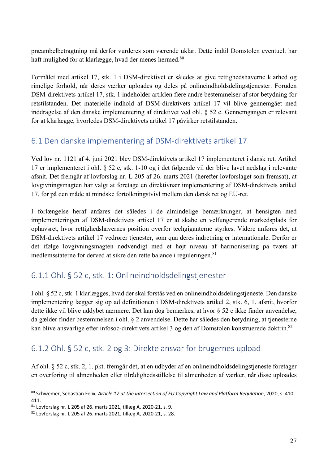præambelbetragtning må derfor vurderes som værende uklar. Dette indtil Domstolen eventuelt har haft mulighed for at klarlægge, hvad der menes hermed.<sup>80</sup>

Formålet med artikel 17, stk. 1 i DSM-direktivet er således at give rettighedshaverne klarhed og rimelige forhold, når deres værker uploades og deles på onlineindholdsdelingstjenester. Foruden DSM-direktivets artikel 17, stk. 1 indeholder artiklen flere andre bestemmelser af stor betydning for retstilstanden. Det materielle indhold af DSM-direktivets artikel 17 vil blive gennemgået med inddragelse af den danske implementering af direktivet ved ohl. § 52 c. Gennemgangen er relevant for at klarlægge, hvorledes DSM-direktivets artikel 17 påvirker retstilstanden.

### 6.1 Den danske implementering af DSM-direktivets artikel 17

Ved lov nr. 1121 af 4. juni 2021 blev DSM-direktivets artikel 17 implementeret i dansk ret. Artikel 17 er implementeret i ohl. § 52 c, stk. 1-10 og i det følgende vil der blive lavet nedslag i relevante afsnit. Det fremgår af lovforslag nr. L 205 af 26. marts 2021 (herefter lovforslaget som fremsat), at lovgivningsmagten har valgt at foretage en direktivnær implementering af DSM-direktivets artikel 17, for på den måde at mindske fortolkningstvivl mellem den dansk ret og EU-ret.

I forlængelse heraf anføres det således i de almindelige bemærkninger, at hensigten med implementeringen af DSM-direktivets artikel 17 er at skabe en velfungerende markedsplads for ophavsret, hvor rettighedshavernes position overfor techgiganterne styrkes. Videre anføres det, at DSM-direktivets artikel 17 vedrører tjenester, som qua deres indretning er internationale. Derfor er det ifølge lovgivningsmagten nødvendigt med et højt niveau af harmonisering på tværs af medlemsstaterne for derved at sikre den rette balance i reguleringen.<sup>81</sup>

## 6.1.1 Ohl. § 52 c, stk. 1: Onlineindholdsdelingstjenester

I ohl. § 52 c, stk. 1 klarlægges, hvad der skal forstås ved en onlineindholdsdelingstjeneste. Den danske implementering lægger sig op ad definitionen i DSM-direktivets artikel 2, stk. 6, 1. afsnit, hvorfor dette ikke vil blive uddybet nærmere. Det kan dog bemærkes, at hvor § 52 c ikke finder anvendelse, da gælder finder bestemmelsen i ohl. § 2 anvendelse. Dette har således den betydning, at tjenesterne kan blive ansvarlige efter infosoc-direktivets artikel 3 og den af Domstolen konstruerede doktrin. 82

#### 6.1.2 Ohl. § 52 c, stk. 2 og 3: Direkte ansvar for brugernes upload

Af ohl. § 52 c, stk. 2, 1. pkt. fremgår det, at en udbyder af en onlineindholdsdelingstjeneste foretager en overføring til almenheden eller tilrådighedsstillelse til almenheden af værker, når disse uploades

<sup>80</sup> Schwemer, Sebastian Felix, *Article 17 at the intersection of EU Copyright Law and Platform Regulation*, 2020, s. 410- 411.

<sup>81</sup> Lovforslag nr. L 205 af 26. marts 2021, tillæg A, 2020-21, s. 9.

<sup>82</sup> Lovforslag nr. L 205 af 26. marts 2021, tillæg A, 2020-21, s. 28.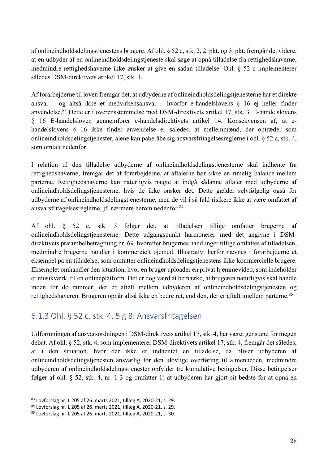af onlineindholdsdelingstjenestens brugere. Af ohl. § 52 c, stk. 2, 2. pkt. og 3. pkt. fremgår det videre, at en udbyder af en onlineindholdsdelingstjeneste skal søge at opnå tilladelse fra rettighedshaverne, medmindre rettighedshaverne ikke ønsker at give en sådan tilladelse. Ohl. § 52 c implementerer således DSM-direktivets artikel 17, stk. 1.

Af forarbejderne til loven fremgår det, at udbyderne af onlineindholdsdelingstjenesterne har et direkte ansvar – og altså ikke et medvirkensansvar – hvorfor e-handelslovens § 16 ej heller finder anvendelse.83 Dette er i overensstemmelse med DSM-direktivets artikel 17, stk. 3. E-handelslovens § 16 E-handelsloven gennemfører e-handelsdirektivets artikel 14. Konsekvensen af, at ehandelslovens § 16 ikke finder anvendelse er således, at mellemmænd, der optræder som onlineindholdsdelingstjenester, alene kan påberåbe sig ansvarsfritagelsesreglerne i ohl. § 52 c, stk. 4, som omtalt nedenfor.

I relation til den tilladelse udbyderne af onlineindholdsdelingstjenesterne skal indhente fra rettighedshaverne, fremgår det af forarbejderne, at aftalerne bør sikre en rimelig balance mellem parterne. Rettighedshaverne kan naturligvis nægte at indgå sådanne aftaler med udbyderne af onlineindholdsdelingstjenesterne, hvis de ikke ønsker det. Dette gælder selvfølgelig også for udbyderne af onlineindholdsdelingstjenesterne, men de vil i så fald risikere ikke at være omfattet af ansvarsfritagelsesreglerne, jf. nærmere herom nedenfor.84

Af ohl. § 52 c, stk. 3 følger det, at tilladelsen tillige omfatter brugerne af onlineindholdsdelingstjenesterne. Dette udgangspunkt harmonerer med det angivne i DSMdirektivets præambelbetragtning nr. 69, hvorefter brugernes handlinger tillige omfattes af tilladelsen, medmindre brugerne handler i kommercielt øjemed. Illustrativt herfor nævnes i forarbejderne et eksempel på en tilladelse, som omfatter onlineindholdsdelingstjenestens ikke-kommercielle brugere. Eksemplet omhandler den situation, hvor en bruger uploader en privat hjemmevideo, som indeholder et musikværk, til en onlineplatform. Det er dog værd at bemærke, at brugeren naturligvis skal handle inden for de rammer, der er aftalt mellem udbyderen af onlineindholdsdelingstjenesten og rettighedshaveren. Brugeren opnår altså ikke en bedre ret, end den, der er aftalt imellem parterne.<sup>85</sup>

#### 6.1.3 Ohl. § 52 c, stk. 4, 5 g 8: Ansvarsfritagelsen

Udformningen af ansvarsordningen i DSM-direktivets artikel 17, stk. 4, har været genstand for megen debat. Af ohl. § 52, stk. 4, som implementerer DSM-direktivets artikel 17, stk. 4, fremgår det således, at i den situation, hvor der ikke er indhentet en tilladelse, da bliver udbyderen af onlineindholdsdelingstjenesten ansvarlig for den ulovlige overføring til almenheden, medmindre udbyderen af onlineindholdsdelingstjenester opfylder tre kumulative betingelser. Disse betingelser følger af ohl. § 52, stk. 4, nr. 1-3 og omfatter 1) at udbyderen har gjort sit bedste for at opnå en

<sup>83</sup> Lovforslag nr. L 205 af 26. marts 2021, tillæg A, 2020-21, s. 29.

<sup>84</sup> Lovforslag nr. L 205 af 26. marts 2021, tillæg A, 2020-21, s. 29.

<sup>85</sup> Lovforslag nr. L 205 af 26. marts 2021, tillæg A, 2020-21, s. 30.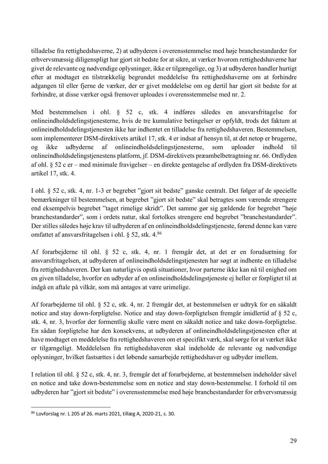tilladelse fra rettighedshaverne, 2) at udbyderen i overensstemmelse med høje branchestandarder for erhvervsmæssig diligenspligt har gjort sit bedste for at sikre, at værker hvorom rettighedshaverne har givet de relevante og nødvendige oplysninger, ikke er tilgængelige, og 3) at udbyderen handler hurtigt efter at modtaget en tilstrækkelig begrundet meddelelse fra rettighedshaverne om at forhindre adgangen til eller fjerne de værker, der er givet meddelelse om og dertil har gjort sit bedste for at forhindre, at disse værker også fremover uploades i overensstemmelse med nr. 2.

Med bestemmelsen i ohl. § 52 c, stk. 4 indføres således en ansvarsfritagelse for onlineindholdsdelingstjenesterne, hvis de tre kumulative betingelser er opfyldt, trods det faktum at onlineindholdsdelingstjenesten ikke har indhentet en tilladelse fra rettighedshaveren. Bestemmelsen, som implementerer DSM-direktivets artikel 17, stk. 4 er indsat af hensyn til, at det netop er brugerne, og ikke udbyderne af onlineindholdsdelingstjenesterne, som uploader indhold til onlineindholdsdelingstjenestens platform, jf. DSM-direktivets præambelbetragtning nr. 66. Ordlyden af ohl. § 52 c er – med minimale fravigelser – en direkte gentagelse af ordlyden fra DSM-direktivets artikel 17, stk. 4.

I ohl. § 52 c, stk. 4, nr. 1-3 er begrebet "gjort sit bedste" ganske centralt. Det følger af de specielle bemærkninger til bestemmelsen, at begrebet "gjort sit bedste" skal betragtes som værende strengere end eksempelvis begrebet "taget rimelige skridt". Det samme gør sig gældende for begrebet "høje branchestandarder", som i ordets natur, skal fortolkes strengere end begrebet "branchestandarder". Der stilles således høje krav til udbyderen af en onlineindholdsdelingstjeneste, førend denne kan være omfattet af ansvarsfritagelsen i ohl. § 52, stk. 4.86

Af forarbejderne til ohl. § 52 c, stk. 4, nr. 1 fremgår det, at det er en forudsætning for ansvarsfritagelsen, at udbyderen af onlineindholdsdelingstjenesten har søgt at indhente en tilladelse fra rettighedshaveren. Der kan naturligvis opstå situationer, hvor parterne ikke kan nå til enighed om en given tilladelse, hvorfor en udbyder af en onlineindholdsdelingstjeneste ej heller er forpligtet til at indgå en aftale på vilkår, som må antages at være urimelige.

Af forarbejderne til ohl. § 52 c, stk. 4, nr. 2 fremgår det, at bestemmelsen er udtryk for en såkaldt notice and stay down-forpligtelse. Notice and stay down-forpligtelsen fremgår imidlertid af § 52 c, stk. 4, nr. 3, hvorfor der formentlig skulle være ment en såkaldt notice and take down-forpligtelse. En sådan forpligtelse har den konsekvens, at udbyderen af onlineindholdsdelingstjenesten efter at have modtaget en meddelelse fra rettighedshaveren om et specifikt værk, skal sørge for at værket ikke er tilgængeligt. Meddelelsen fra rettighedshaveren skal indeholde de relevante og nødvendige oplysninger, hvilket fastsættes i det løbende samarbejde rettighedshaver og udbyder imellem.

I relation til ohl. § 52 c, stk. 4, nr. 3, fremgår det af forarbejderne, at bestemmelsen indeholder såvel en notice and take down-bestemmelse som en notice and stay down-bestemmelse. I forhold til om udbyderen har "gjort sit bedste" i overensstemmelse med høje branchestandarder for erhvervsmæssig

<sup>86</sup> Lovforslag nr. L 205 af 26. marts 2021, tillæg A, 2020-21, s. 30.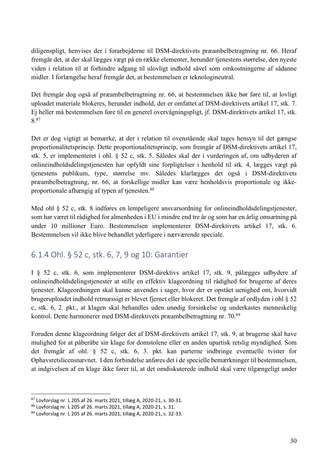diligenspligt, henvises der i forarbejderne til DSM-direktivets præambelbetragtning nr. 66. Heraf fremgår det, at der skal lægges vægt på en række elementer, herunder tjenestens størrelse, den nyeste viden i relation til at forhindre adgang til ulovligt indhold såvel som omkostningerne af sådanne midler. I forlængelse heraf fremgår det, at bestemmelsen er teknologineutral.

Det fremgår dog også af præambelbetragtning nr. 66, at bestemmelsen ikke bør føre til, at lovligt uploadet materiale blokeres, herunder indhold, der er omfattet af DSM-direktivets artikel 17, stk. 7. Ej heller må bestemmelsen føre til en generel overvågningspligt, jf. DSM-direktivets artikel 17, stk. 8.87

Det er dog vigtigt at bemærke, at der i relation til ovenstående skal tages hensyn til det gængse proportionalitetsprincip. Dette proportionalitetsprincip, som fremgår af DSM-direktivets artikel 17, stk. 5, er implementeret i ohl. § 52 c, stk. 5. Således skal der i vurderingen af, om udbyderen af onlineindholdsdelingstjenesten har opfyldt sine forpligtelser i henhold til stk. 4, lægges vægt på tjenestens publikum, type, størrelse mv. Således klarlægges det også i DSM-direktivets præambelbetragtning, nr. 66, at forskellige midler kan være henholdsvis proportionale og ikkeproportionale afhængig af typen af tjenesten.88

Med ohl § 52 c, stk. 8 indføres en lempeligere ansvarsordning for onlineindholdsdelingstjenester, som har været til rådighed for almenheden i EU i mindre end tre år og som har en årlig omsætning på under 10 millioner Euro. Bestemmelsen implementerer DSM-direktivets artikel 17, stk. 6. Bestemmelsen vil ikke blive behandlet yderligere i nærværende speciale.

#### 6.1.4 Ohl. § 52 c, stk. 6, 7, 9 og 10: Garantier

I § 52 c, stk. 6, som implementerer DSM-direktivs artikel 17, stk. 9, pålægges udbydere af onlineindholdsdelingstjenester at stille en effektiv klageordning til rådighed for brugerne af deres tjenester. Klageordningen skal kunne anvendes i sager, hvor der er opstået uenighed om, hvorvidt brugeruploadet indhold retmæssigt er blevet fjernet eller blokeret. Det fremgår af ordlyden i ohl § 52 c, stk. 6, 2. pkt., at klagen skal behandles uden unødig forsinkelse og underkastes menneskelig kontrol. Dette harmonerer med DSM-direktivets præambelbetragtning nr. 70.89

Foruden denne klageordning følger det af DSM-direktivets artikel 17, stk. 9, at brugerne skal have mulighed for at påberåbe sin klage for domstolene eller en anden upartisk retslig myndighed. Som det fremgår af ohl. § 52 c, stk. 6, 3. pkt. kan parterne indbringe eventuelle tvister for Ophavsretslicensnævnet. I den forbindelse anføres det i de specielle bemærkninger til bestemmelsen, at indgivelsen af en klage ikke fører til, at det omdiskuterede indhold skal være tilgængeligt under

<sup>87</sup> Lovforslag nr. L 205 af 26. marts 2021, tillæg A, 2020-21, s. 30-31.

<sup>88</sup> Lovforslag nr. L 205 af 26. marts 2021, tillæg A, 2020-21, s. 31.

<sup>89</sup> Lovforslag nr. L 205 af 26. marts 2021, tillæg A, 2020-21, s. 32-33.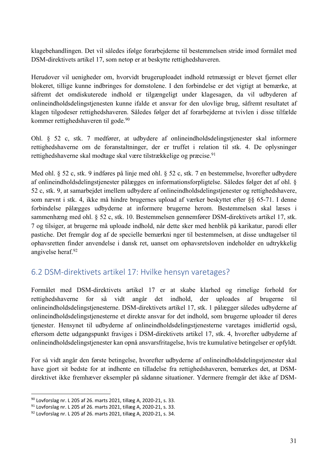klagebehandlingen. Det vil således ifølge forarbejderne til bestemmelsen stride imod formålet med DSM-direktivets artikel 17, som netop er at beskytte rettighedshaveren.

Herudover vil uenigheder om, hvorvidt brugeruploadet indhold retmæssigt er blevet fjernet eller blokeret, tillige kunne indbringes for domstolene. I den forbindelse er det vigtigt at bemærke, at såfremt det omdiskuterede indhold er tilgængeligt under klagesagen, da vil udbyderen af onlineindholdsdelingstjenesten kunne ifalde et ansvar for den ulovlige brug, såfremt resultatet af klagen tilgodeser rettighedshaveren. Således følger det af forarbejderne at tvivlen i disse tilfælde kommer rettighedshaveren til gode.<sup>90</sup>

Ohl. § 52 c, stk. 7 medfører, at udbydere af onlineindholdsdelingstjenester skal informere rettighedshaverne om de foranstaltninger, der er truffet i relation til stk. 4. De oplysninger rettighedshaverne skal modtage skal være tilstrækkelige og præcise.<sup>91</sup>

Med ohl. § 52 c, stk. 9 indføres på linje med ohl. § 52 c, stk. 7 en bestemmelse, hvorefter udbydere af onlineindholdsdelingstjenester pålægges en informationsforpligtelse. Således følger det af ohl. § 52 c, stk. 9, at samarbejdet imellem udbydere af onlineindholdsdelingstjenester og rettighedshavere, som nævnt i stk. 4, ikke må hindre brugernes upload af værker beskyttet efter §§ 65-71. I denne forbindelse pålægges udbyderne at informere brugerne herom. Bestemmelsen skal læses i sammenhæng med ohl. § 52 c, stk. 10. Bestemmelsen gennemfører DSM-direktivets artikel 17, stk. 7 og tilsiger, at brugerne må uploade indhold, når dette sker med henblik på karikatur, parodi eller pastiche. Det fremgår dog af de specielle bemærkni nger til bestemmelsen, at disse undtagelser til ophavsretten finder anvendelse i dansk ret, uanset om ophavsretsloven indeholder en udtrykkelig angivelse heraf.92

#### 6.2 DSM-direktivets artikel 17: Hvilke hensyn varetages?

Formålet med DSM-direktivets artikel 17 er at skabe klarhed og rimelige forhold for rettighedshaverne for så vidt angår det indhold, der uploades af brugerne til onlineindholdsdelingstjenesterne. DSM-direktivets artikel 17, stk. 1 pålægger således udbyderne af onlineindholdsdelingstjenesterne et direkte ansvar for det indhold, som brugerne uploader til deres tjenester. Hensynet til udbyderne af onlineindholdsdelingstjenesterne varetages imidlertid også, eftersom dette udgangspunkt fraviges i DSM-direktivets artikel 17, stk. 4, hvorefter udbyderne af onlineindholdsdelingstjenester kan opnå ansvarsfritagelse, hvis tre kumulative betingelser er opfyldt.

For så vidt angår den første betingelse, hvorefter udbyderne af onlineindholdsdelingstjenester skal have gjort sit bedste for at indhente en tilladelse fra rettighedshaveren, bemærkes det, at DSMdirektivet ikke fremhæver eksempler på sådanne situationer. Ydermere fremgår det ikke af DSM-

<sup>90</sup> Lovforslag nr. L 205 af 26. marts 2021, tillæg A, 2020-21, s. 33.

<sup>91</sup> Lovforslag nr. L 205 af 26. marts 2021, tillæg A, 2020-21, s. 33.

<sup>92</sup> Lovforslag nr. L 205 af 26. marts 2021, tillæg A, 2020-21, s. 34.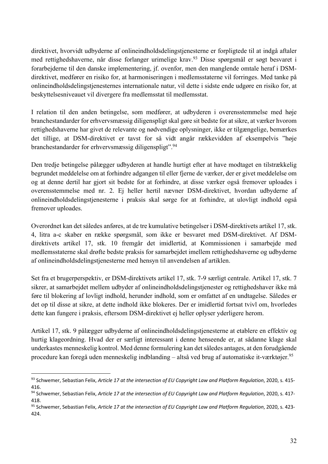direktivet, hvorvidt udbyderne af onlineindholdsdelingstjenesterne er forpligtede til at indgå aftaler med rettighedshaverne, når disse forlanger urimelige krav.<sup>93</sup> Disse spørgsmål er søgt besvaret i forarbejderne til den danske implementering, jf. ovenfor, men den manglende omtale heraf i DSMdirektivet, medfører en risiko for, at harmoniseringen i medlemsstaterne vil forringes. Med tanke på onlineindholdsdelingstjenesternes internationale natur, vil dette i sidste ende udgøre en risiko for, at beskyttelsesniveauet vil divergere fra medlemsstat til medlemsstat.

I relation til den anden betingelse, som medfører, at udbyderen i overensstemmelse med høje branchestandarder for erhvervsmæssig diligenspligt skal gøre sit bedste for at sikre, at værker hvorom rettighedshaverne har givet de relevante og nødvendige oplysninger, ikke er tilgængelige, bemærkes det tillige, at DSM-direktivet er tavst for så vidt angår rækkevidden af eksempelvis "høje branchestandarder for erhvervsmæssig diligenspligt".94

Den tredje betingelse pålægger udbyderen at handle hurtigt efter at have modtaget en tilstrækkelig begrundet meddelelse om at forhindre adgangen til eller fjerne de værker, der er givet meddelelse om og at denne dertil har gjort sit bedste for at forhindre, at disse værker også fremover uploades i overensstemmelse med nr. 2. Ej heller hertil nævner DSM-direktivet, hvordan udbyderne af onlineindholdsdelingstjenesterne i praksis skal sørge for at forhindre, at ulovligt indhold også fremover uploades.

Overordnet kan det således anføres, at de tre kumulative betingelser i DSM-direktivets artikel 17, stk. 4, litra a-c skaber en række spørgsmål, som ikke er besvaret med DSM-direktivet. Af DSMdirektivets artikel 17, stk. 10 fremgår det imidlertid, at Kommissionen i samarbejde med medlemsstaterne skal drøfte bedste praksis for samarbejdet imellem rettighedshaverne og udbyderne af onlineindholdsdelingstjenesterne med hensyn til anvendelsen af artiklen.

Set fra et brugerperspektiv, er DSM-direktivets artikel 17, stk. 7-9 særligt centrale. Artikel 17, stk. 7 sikrer, at samarbejdet mellem udbyder af onlineindholdsdelingstjenester og rettighedshaver ikke må føre til blokering af lovligt indhold, herunder indhold, som er omfattet af en undtagelse. Således er det op til disse at sikre, at dette indhold ikke blokeres. Der er imidlertid fortsat tvivl om, hvorledes dette kan fungere i praksis, eftersom DSM-direktivet ej heller oplyser yderligere herom.

Artikel 17, stk. 9 pålægger udbyderne af onlineindholdsdelingstjenesterne at etablere en effektiv og hurtig klageordning. Hvad der er særligt interessant i denne henseende er, at sådanne klage skal underkastes menneskelig kontrol. Med denne formulering kan det således antages, at den forudgående procedure kan foregå uden menneskelig indblanding – altså ved brug af automatiske it-værktøjer.95

<sup>93</sup> Schwemer, Sebastian Felix, *Article 17 at the intersection of EU Copyright Law and Platform Regulation*, 2020, s. 415- 416.

<sup>94</sup> Schwemer, Sebastian Felix, *Article 17 at the intersection of EU Copyright Law and Platform Regulation*, 2020, s. 417-418.

<sup>95</sup> Schwemer, Sebastian Felix, *Article 17 at the intersection of EU Copyright Law and Platform Regulation*, 2020, s. 423- 424.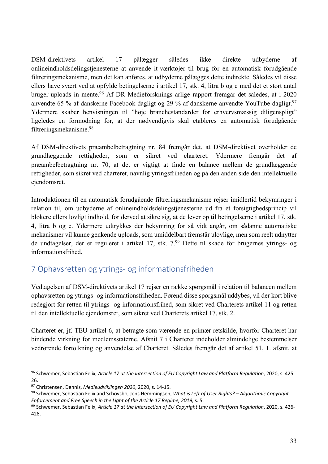DSM-direktivets artikel 17 pålægger således ikke direkte udbyderne af onlineindholdsdelingstjenesterne at anvende it-værktøjer til brug for en automatisk forudgående filtreringsmekanisme, men det kan anføres, at udbyderne pålægges dette indirekte. Således vil disse ellers have svært ved at opfylde betingelserne i artikel 17, stk. 4, litra b og c med det et stort antal bruger-uploads in mente.96 Af DR Medieforsknings årlige rapport fremgår det således, at i 2020 anvendte 65 % af danskerne Facebook dagligt og 29 % af danskerne anvendte YouTube dagligt.<sup>97</sup> Ydermere skaber henvisningen til "høje branchestandarder for erhvervsmæssig diligenspligt" ligeledes en formodning for, at der nødvendigvis skal etableres en automatisk forudgående filtreringsmekanisme. 98

Af DSM-direktivets præambelbetragtning nr. 84 fremgår det, at DSM-direktivet overholder de grundlæggende rettigheder, som er sikret ved charteret. Ydermere fremgår det af præambelbetragtning nr. 70, at det er vigtigt at finde en balance mellem de grundlæggende rettigheder, som sikret ved charteret, navnlig ytringsfriheden og på den anden side den intellektuelle ejendomsret.

Introduktionen til en automatisk forudgående filtreringsmekanisme rejser imidlertid bekymringer i relation til, om udbyderne af onlineindholdsdelingstjenesterne ud fra et forsigtighedsprincip vil blokere ellers lovligt indhold, for derved at sikre sig, at de lever op til betingelserne i artikel 17, stk. 4, litra b og c. Ydermere udtrykkes der bekymring for så vidt angår, om sådanne automatiske mekanismer vil kunne genkende uploads, som umiddelbart fremstår ulovlige, men som reelt udnytter de undtagelser, der er reguleret i artikel 17, stk. 7.99 Dette til skade for brugernes ytrings- og informationsfrihed.

#### 7 Ophavsretten og ytrings- og informationsfriheden

Vedtagelsen af DSM-direktivets artikel 17 rejser en række spørgsmål i relation til balancen mellem ophavsretten og ytrings- og informationsfriheden. Førend disse spørgsmål uddybes, vil der kort blive redegjort for retten til ytrings- og informationsfrihed, som sikret ved Charterets artikel 11 og retten til den intellektuelle ejendomsret, som sikret ved Charterets artikel 17, stk. 2.

Charteret er, jf. TEU artikel 6, at betragte som værende en primær retskilde, hvorfor Charteret har bindende virkning for medlemsstaterne. Afsnit 7 i Charteret indeholder almindelige bestemmelser vedrørende fortolkning og anvendelse af Charteret. Således fremgår det af artikel 51, 1. afsnit, at

<sup>96</sup> Schwemer, Sebastian Felix, *Article 17 at the intersection of EU Copyright Law and Platform Regulation*, 2020, s. 425- 26.

<sup>97</sup> Christensen, Dennis, *Medieudviklingen <sup>2020</sup>*, 2020, s. 14-15. 98 Schwemer, Sebastian Felix and Schovsbo, Jens Hemmingsen, *What is Left of User Rights? – Algorithmic Copyright Enforcement and Free Speech in the Light of the Article 17 Regime, 2019,* s. 5.

<sup>99</sup> Schwemer, Sebastian Felix, *Article 17 at the intersection of EU Copyright Law and Platform Regulation*, 2020, s. 426- 428.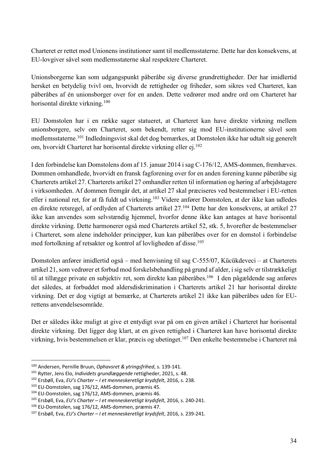Charteret er rettet mod Unionens institutioner samt til medlemsstaterne. Dette har den konsekvens, at EU-lovgiver såvel som medlemsstaterne skal respektere Charteret.

Unionsborgerne kan som udgangspunkt påberåbe sig diverse grundrettigheder. Der har imidlertid hersket en betydelig tvivl om, hvorvidt de rettigheder og friheder, som sikres ved Charteret, kan påberåbes af én unionsborger over for en anden. Dette vedrører med andre ord om Charteret har horisontal direkte virkning.100

EU Domstolen har i en række sager statueret, at Charteret kan have direkte virkning mellem unionsborgere, selv om Charteret, som bekendt, retter sig mod EU-institutionerne såvel som medlemsstaterne.101 Indledningsvist skal det dog bemærkes, at Domstolen ikke har udtalt sig generelt om, hvorvidt Charteret har horisontal direkte virkning eller ej.<sup>102</sup>

I den forbindelse kan Domstolens dom af 15. januar 2014 i sag C-176/12, AMS-dommen, fremhæves. Dommen omhandlede, hvorvidt en fransk fagforening over for en anden forening kunne påberåbe sig Charterets artikel 27. Charterets artikel 27 omhandler retten til information og høring af arbejdstagere i virksomheden. Af dommen fremgår det, at artikel 27 skal præciseres ved bestemmelser i EU-retten eller i national ret, for at få fuldt ud virkning.<sup>103</sup> Videre anfører Domstolen, at der ikke kan udledes en direkte retsregel, af ordlyden af Charterets artikel 27.104 Dette har den konsekvens, at artikel 27 ikke kan anvendes som selvstændig hjemmel, hvorfor denne ikke kan antages at have horisontal direkte virkning. Dette harmonerer også med Charterets artikel 52, stk. 5, hvorefter de bestemmelser i Charteret, som alene indeholder principper, kun kan påberåbes over for en domstol i forbindelse med fortolkning af retsakter og kontrol af lovligheden af disse.105

Domstolen anfører imidlertid også – med henvisning til sag C-555/07, Kücükdeveci – at Charterets artikel 21, som vedrører et forbud mod forskelsbehandling på grund af alder, i sig selv er tilstrækkeligt til at tillægge private en subjektiv ret, som direkte kan påberåbes.<sup>106</sup> I den pågældende sag anføres det således, at forbuddet mod aldersdiskrimination i Charterets artikel 21 har horisontal direkte virkning. Det er dog vigtigt at bemærke, at Charterets artikel 21 ikke kan påberåbes uden for EUrettens anvendelsesområde.

Det er således ikke muligt at give et entydigt svar på om en given artikel i Charteret har horisontal direkte virkning. Det ligger dog klart, at en given rettighed i Charteret kan have horisontal direkte virkning, hvis bestemmelsen er klar, præcis og ubetinget.107 Den enkelte bestemmelse i Charteret må

<sup>100</sup> Andersen, Pernille Bruun, *Ophavsret & ytringsfrihed*, s. 139-141.

<sup>101</sup> Rytter, Jens Elo, *Individets grundlæggende* rettigheder, 2021, s. 48.

<sup>102</sup> Ersbøll, Eva, *EU's Charter – I et menneskeretligt krydsfelt*, 2016, s. 238.

<sup>&</sup>lt;sup>103</sup> EU-Domstolen, sag 176/12, AMS-dommen, præmis 45.<br><sup>104</sup> EU-Domstolen, sag 176/12, AMS-dommen, præmis 46.

<sup>105</sup> Ersbøll, Eva, *EU's Charter – I et menneskeretligt krydsfelt*, 2016, s. 240-241. 106 EU-Domstolen, sag 176/12, AMS-dommen, præmis 47.

<sup>107</sup> Ersbøll, Eva, *EU's Charter – I et menneskeretligt krydsfelt*, 2016, s. 239-241.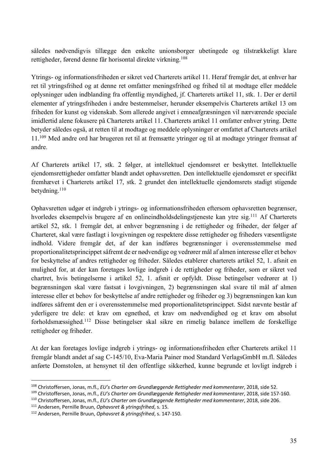således nødvendigvis tillægge den enkelte unionsborger ubetingede og tilstrækkeligt klare rettigheder, førend denne får horisontal direkte virkning.108

Ytrings- og informationsfriheden er sikret ved Charterets artikel 11. Heraf fremgår det, at enhver har ret til ytringsfrihed og at denne ret omfatter meningsfrihed og frihed til at modtage eller meddele oplysninger uden indblanding fra offentlig myndighed, jf. Charterets artikel 11, stk. 1. Der er dertil elementer af ytringsfriheden i andre bestemmelser, herunder eksempelvis Charterets artikel 13 om friheden for kunst og videnskab. Som allerede angivet i emneafgræsningen vil nærværende speciale imidlertid alene fokusere på Charterets artikel 11. Charterets artikel 11 omfatter enhver ytring. Dette betyder således også, at retten til at modtage og meddele oplysninger er omfattet af Charterets artikel 11.109 Med andre ord har brugeren ret til at fremsætte ytringer og til at modtage ytringer fremsat af andre.

Af Charterets artikel 17, stk. 2 følger, at intellektuel ejendomsret er beskyttet. Intellektuelle ejendomsrettigheder omfatter blandt andet ophavsretten. Den intellektuelle ejendomsret er specifikt fremhævet i Charterets artikel 17, stk. 2 grundet den intellektuelle ejendomsrets stadigt stigende betydning.<sup>110</sup>

Ophavsretten udgør et indgreb i ytrings- og informationsfriheden eftersom ophavsretten begrænser, hvorledes eksempelvis brugere af en onlineindholdsdelingstjeneste kan ytre sig.111 Af Charterets artikel 52, stk. 1 fremgår det, at enhver begrænsning i de rettigheder og friheder, der følger af Charteret, skal være fastlagt i lovgivningen og respektere disse rettigheder og friheders væsentligste indhold. Videre fremgår det, af der kan indføres begrænsninger i overensstemmelse med proportionalitetsprincippet såfremt de er nødvendige og vedrører mål af almen interesse eller et behov for beskyttelse af andres rettigheder og friheder. Således etablerer charterets artikel 52, 1. afsnit en mulighed for, at der kan foretages lovlige indgreb i de rettigheder og friheder, som er sikret ved chartret, hvis betingelserne i artikel 52, 1. afsnit er opfyldt. Disse betingelser vedrører at 1) begrænsningen skal være fastsat i lovgivningen, 2) begrænsningen skal svare til mål af almen interesse eller et behov for beskyttelse af andre rettigheder og friheder og 3) begrænsningen kan kun indføres såfremt den er i overensstemmelse med proportionalitetsprincippet. Sidst nævnte består af yderligere tre dele: et krav om egnethed, et krav om nødvendighed og et krav om absolut forholdsmæssighed.112 Disse betingelser skal sikre en rimelig balance imellem de forskellige rettigheder og friheder.

At der kan foretages lovlige indgreb i ytrings- og informationsfriheden efter Charterets artikel 11 fremgår blandt andet af sag C-145/10, Eva-Maria Painer mod Standard VerlagsGmbH m.fl. Således anførte Domstolen, at hensynet til den offentlige sikkerhed, kunne begrunde et lovligt indgreb i

<sup>111</sup> Andersen, Pernille Bruun, *Ophavsret & ytringsfrihed*, s. 15.

<sup>108</sup> Christoffersen, Jonas, m.fl., *EU's Charter om Grundlæggende Rettigheder med kommentarer*, 2018, side 52.

<sup>&</sup>lt;sup>109</sup> Christoffersen, Jonas, m.fl., EU's Charter om Grundlæggende Rettigheder med kommentarer, 2018, side 157-160.<br><sup>110</sup> Christoffersen, Jonas, m.fl., EU's Charter om Grundlæggende Rettigheder med kommentarer, 2018, side 2

<sup>112</sup> Andersen, Pernille Bruun, *Ophavsret & ytringsfrihed*, s. 147-150.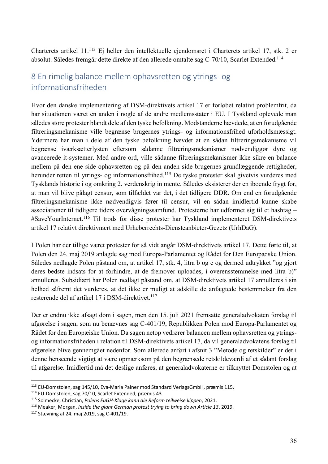Charterets artikel 11.113 Ej heller den intellektuelle ejendomsret i Charterets artikel 17, stk. 2 er absolut. Således fremgår dette direkte af den allerede omtalte sag C-70/10, Scarlet Extended.114

#### 8 En rimelig balance mellem ophavsretten og ytrings- og informationsfriheden

Hvor den danske implementering af DSM-direktivets artikel 17 er forløbet relativt problemfrit, da har situationen været en anden i nogle af de andre medlemsstater i EU. I Tyskland oplevede man således store protester blandt dele af den tyske befolkning. Modstanderne hævdede, at en forudgående filtreringsmekanisme ville begrænse brugernes ytrings- og informationsfrihed uforholdsmæssigt. Ydermere har man i dele af den tyske befolkning hævdet at en sådan filtreringsmekanisme vil begrænse iværksætterlysten eftersom sådanne filtreringsmekanismer nødvendiggør dyre og avancerede it-systemer. Med andre ord, ville sådanne filtreringsmekanismer ikke sikre en balance mellem på den ene side ophavsretten og på den anden side brugernes grundlæggende rettigheder, herunder retten til ytrings- og informationsfrihed. <sup>115</sup> De tyske protester skal givetvis vurderes med Tysklands historie i og omkring 2. verdenskrig in mente. Således eksisterer der en iboende frygt for, at man vil blive pålagt censur, som tilfældet var det, i det tidligere DDR. Om end en forudgående filtreringsmekanisme ikke nødvendigvis fører til censur, vil en sådan imidlertid kunne skabe associationer til tidligere tiders overvågningssamfund. Protesterne har udformet sig til et hashtag – #SaveYourInternet. <sup>116</sup> Til trods for disse protester har Tyskland implementeret DSM-direktivets artikel 17 relativt direktivnært med Urheberrechts-Diensteanbieter-Gezetz (UrhDaG).

I Polen har der tillige været protester for så vidt angår DSM-direktivets artikel 17. Dette førte til, at Polen den 24. maj 2019 anlagde sag mod Europa-Parlamentet og Rådet for Den Europæiske Union. Således nedlagde Polen påstand om, at artikel 17, stk. 4, litra b og c og dermed udtrykket "og gjort deres bedste indsats for at forhindre, at de fremover uploades, i overensstemmelse med litra b)" annulleres. Subsidiært har Polen nedlagt påstand om, at DSM-direktivets artikel 17 annulleres i sin helhed såfremt det vurderes, at det ikke er muligt at adskille de anfægtede bestemmelser fra den resterende del af artikel 17 i DSM-direktivet.<sup>117</sup>

Der er endnu ikke afsagt dom i sagen, men den 15. juli 2021 fremsatte generaladvokaten forslag til afgørelse i sagen, som nu benævnes sag C-401/19, Republikken Polen mod Europa-Parlamentet og Rådet for den Europæiske Union. Da sagen netop vedrører balancen mellem ophavsretten og ytringsog informationsfriheden i relation til DSM-direktivets artikel 17, da vil generaladvokatens forslag til afgørelse blive gennemgået nedenfor. Som allerede anført i afsnit 3 "Metode og retskilder" er det i denne henseende vigtigt at være opmærksom på den begrænsede retskildeværdi af et sådant forslag til afgørelse. Imidlertid må det deslige anføres, at generaladvokaterne er tilknyttet Domstolen og at

<sup>&</sup>lt;sup>113</sup> EU-Domstolen, sag 145/10, Eva-Maria Painer mod Standard VerlagsGmbH, præmis 115.<br><sup>114</sup> EU-Domstolen, sag 70/10, Scarlet Extended, præmis 43.

<sup>115</sup> Solmecke, Christian, *Polens EuGH-Klage kann die Reform teilweise kippen*, 2021.

<sup>&</sup>lt;sup>116</sup> Meaker, Morgan, *Inside the giant German protest trying to bring down Article 13*, 2019.<br><sup>117</sup> Stævning af 24. maj 2019, sag C-401/19.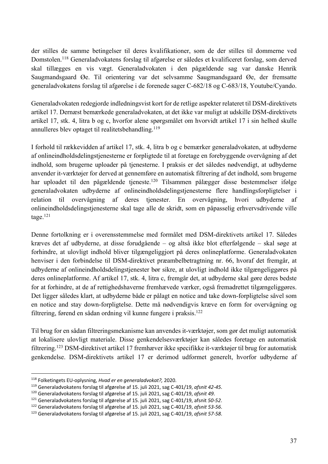der stilles de samme betingelser til deres kvalifikationer, som de der stilles til dommerne ved Domstolen.118 Generaladvokatens forslag til afgørelse er således et kvalificeret forslag, som derved skal tillægges en vis vægt. Generaladvokaten i den pågældende sag var danske Henrik Saugmandsgaard Øe. Til orientering var det selvsamme Saugmandsgaard Øe, der fremsatte generaladvokatens forslag til afgørelse i de forenede sager C-682/18 og C-683/18, Youtube/Cyando.

Generaladvokaten redegjorde indledningsvist kort for de retlige aspekter relateret til DSM-direktivets artikel 17. Dernæst bemærkede generaladvokaten, at det ikke var muligt at udskille DSM-direktivets artikel 17, stk. 4, litra b og c, hvorfor alene spørgsmålet om hvorvidt artikel 17 i sin helhed skulle annulleres blev optaget til realitetsbehandling. 119

I forhold til rækkevidden af artikel 17, stk. 4, litra b og c bemærker generaladvokaten, at udbyderne af onlineindholdsdelingstjenesterne er forpligtede til at foretage en forebyggende overvågning af det indhold, som brugerne uploader på tjenesterne. I praksis er det således nødvendigt, at udbyderne anvender it-værktøjer for derved at gennemføre en automatisk filtrering af det indhold, som brugerne har uploadet til den pågældende tjeneste.<sup>120</sup> Tilsammen pålægger disse bestemmelser ifølge generaladvokaten udbyderne af onlineindholdsdelingstjenesterne flere handlingsforpligtelser i relation til overvågning af deres tjenester. En overvågning, hvori udbyderne af onlineindholdsdelingstjenesterne skal tage alle de skridt, som en påpasselig erhvervsdrivende ville tage.121

Denne fortolkning er i overensstemmelse med formålet med DSM-direktivets artikel 17. Således kræves det af udbyderne, at disse forudgående – og altså ikke blot efterfølgende – skal søge at forhindre, at ulovligt indhold bliver tilgængeliggjort på deres onlineplatforme. Generaladvokaten henviser i den forbindelse til DSM-direktivet præambelbetragtning nr. 66, hvoraf det fremgår, at udbyderne af onlineindholdsdelingstjenester bør sikre, at ulovligt indhold ikke tilgængeliggøres på deres onlineplatforme. Af artikel 17, stk. 4, litra c, fremgår det, at udbyderne skal gøre deres bedste for at forhindre, at de af rettighedshaverne fremhævede værker, også fremadrettet tilgængeliggøres. Det ligger således klart, at udbyderne både er pålagt en notice and take down-forpligtelse såvel som en notice and stay down-forpligtelse. Dette må nødvendigvis kræve en form for overvågning og filtrering, førend en sådan ordning vil kunne fungere i praksis.122

Til brug for en sådan filtreringsmekanisme kan anvendes it-værktøjer, som gør det muligt automatisk at lokalisere ulovligt materiale. Disse genkendelsesværktøjer kan således foretage en automatisk filtrering.123 DSM-direktivet artikel 17 fremhæver ikke specifikke it-værktøjer til brug for automatisk genkendelse. DSM-direktivets artikel 17 er derimod udformet generelt, hvorfor udbyderne af

<sup>118</sup> Folketingets EU-oplysning, *Hvad er en generaladvokat?,* 2020.

<sup>119</sup> Generaladvokatens forslag til afgørelse af 15. juli 2021, sag C-401/19, *afsnit 42-45*.

<sup>120</sup> Generaladvokatens forslag til afgørelse af 15. juli 2021, sag C-401/19, *afsnit 49*.

<sup>121</sup> Generaladvokatens forslag til afgørelse af 15. juli 2021, sag C-401/19, afsnit *50-52*.

<sup>122</sup> Generaladvokatens forslag til afgørelse af 15. juli 2021, sag C-401/19, *afsnit 53-56*.

<sup>123</sup> Generaladvokatens forslag til afgørelse af 15. juli 2021, sag C-401/19, *afsnit 57-58*.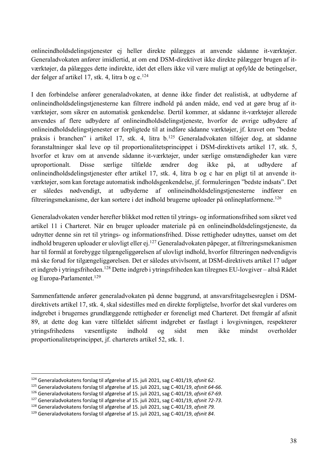onlineindholdsdelingstjenester ej heller direkte pålægges at anvende sådanne it-værktøjer. Generaladvokaten anfører imidlertid, at om end DSM-direktivet ikke direkte pålægger brugen af itværktøjer, da pålægges dette indirekte, idet det ellers ikke vil være muligt at opfylde de betingelser, der følger af artikel 17, stk. 4, litra b og c.<sup>124</sup>

I den forbindelse anfører generaladvokaten, at denne ikke finder det realistisk, at udbyderne af onlineindholdsdelingstjenesterne kan filtrere indhold på anden måde, end ved at gøre brug af itværktøjer, som sikrer en automatisk genkendelse. Dertil kommer, at sådanne it-værktøjer allerede anvendes af flere udbydere af onlineindholdsdelingstjeneste, hvorfor de øvrige udbydere af onlineindholdsdelingstjenester er forpligtede til at indføre sådanne værktøjer, jf. kravet om "bedste praksis i branchen" i artikel 17, stk. 4, litra b.125 Generaladvokaten tilføjer dog, at sådanne foranstaltninger skal leve op til proportionalitetsprincippet i DSM-direktivets artikel 17, stk. 5, hvorfor et krav om at anvende sådanne it-værktøjer, under særlige omstændigheder kan være uproportionalt. Disse særlige tilfælde ændrer dog ikke på, at udbydere af onlineindholdsdelingstjenester efter artikel 17, stk. 4, litra b og c har en pligt til at anvende itværktøjer, som kan foretage automatisk indholdsgenkendelse, jf. formuleringen "bedste indsats". Det er således nødvendigt, at udbyderne af onlineindholdsdelingstjenesterne indfører en filtreringsmekanisme, der kan sortere i det indhold brugerne uploader på onlineplatformene.<sup>126</sup>

Generaladvokaten vender herefter blikket mod retten til ytrings- og informationsfrihed som sikret ved artikel 11 i Charteret. Når en bruger uploader materiale på en onlineindholdsdelingstjeneste, da udnytter denne sin ret til ytrings- og informationsfrihed. Disse rettigheder udnyttes, uanset om det indhold brugeren uploader er ulovligt eller ej.<sup>127</sup> Generaladvokaten påpeger, at filtreringsmekanismen har til formål at forebygge tilgængeliggørelsen af ulovligt indhold, hvorfor filtreringen nødvendigvis må ske forud for tilgængeliggørelsen. Det er således utvivlsomt, at DSM-direktivets artikel 17 udgør et indgreb i ytringsfriheden.128 Dette indgreb i ytringsfriheden kan tilregnes EU-lovgiver – altså Rådet og Europa-Parlamentet. 129

Sammenfattende anfører generaladvokaten på denne baggrund, at ansvarsfritagelsesreglen i DSMdirektivets artikel 17, stk. 4, skal sidestilles med en direkte forpligtelse, hvorfor det skal vurderes om indgrebet i brugernes grundlæggende rettigheder er foreneligt med Charteret. Det fremgår af afsnit 89, at dette dog kan være tilfældet såfremt indgrebet er fastlagt i lovgivningen, respekterer ytringsfrihedens væsentligste indhold og sidst men ikke mindst overholder proportionalitetsprincippet, jf. charterets artikel 52, stk. 1.

<sup>124</sup> Generaladvokatens forslag til afgørelse af 15. juli 2021, sag C-401/19, *afsnit 62*.

<sup>125</sup> Generaladvokatens forslag til afgørelse af 15. juli 2021, sag C-401/19, *afsnit 64-66*.

<sup>126</sup> Generaladvokatens forslag til afgørelse af 15. juli 2021, sag C-401/19, *afsnit 67-69*.

<sup>127</sup> Generaladvokatens forslag til afgørelse af 15. juli 2021, sag C-401/19, *afsnit 72-73*.

<sup>128</sup> Generaladvokatens forslag til afgørelse af 15. juli 2021, sag C-401/19, *afsnit 79.*

<sup>129</sup> Generaladvokatens forslag til afgørelse af 15. juli 2021, sag C-401/19, *afsnit 84*.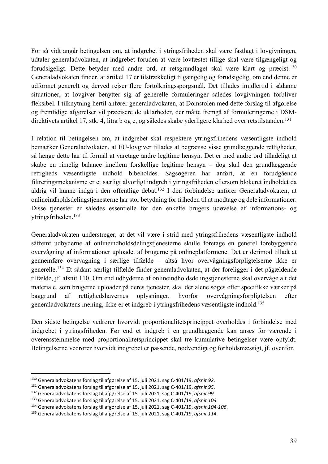For så vidt angår betingelsen om, at indgrebet i ytringsfriheden skal være fastlagt i lovgivningen, udtaler generaladvokaten, at indgrebet foruden at være lovfæstet tillige skal være tilgængeligt og forudsigeligt. Dette betyder med andre ord, at retsgrundlaget skal være klart og præcist.<sup>130</sup> Generaladvokaten finder, at artikel 17 er tilstrækkeligt tilgængelig og forudsigelig, om end denne er udformet generelt og derved rejser flere fortolkningsspørgsmål. Det tillades imidlertid i sådanne situationer, at lovgiver benytter sig af generelle formuleringer således lovgivningen forbliver fleksibel. I tilknytning hertil anfører generaladvokaten, at Domstolen med dette forslag til afgørelse og fremtidige afgørelser vil præcisere de uklarheder, der måtte fremgå af formuleringerne i DSMdirektivets artikel 17, stk. 4, litra b og c, og således skabe yderligere klarhed over retstilstanden.<sup>131</sup>

I relation til betingelsen om, at indgrebet skal respektere ytringsfrihedens væsentligste indhold bemærker Generaladvokaten, at EU-lovgiver tillades at begrænse visse grundlæggende rettigheder, så længe dette har til formål at varetage andre legitime hensyn. Det er med andre ord tilladeligt at skabe en rimelig balance imellem forskellige legitime hensyn – dog skal den grundlæggende rettigheds væsentligste indhold bibeholdes. Sagsøgeren har anført, at en forudgående filtreringsmekanisme er et særligt alvorligt indgreb i ytringsfriheden eftersom blokeret indholdet da aldrig vil kunne indgå i den offentlige debat.132 I den forbindelse anfører Generaladvokaten, at onlineindholdsdelingstjenesterne har stor betydning for friheden til at modtage og dele informationer. Disse tjenester er således essentielle for den enkelte brugers udøvelse af informations- og ytringsfriheden.133

Generaladvokaten understreger, at det vil være i strid med ytringsfrihedens væsentligste indhold såfremt udbyderne af onlineindholdsdelingstjenesterne skulle foretage en generel forebyggende overvågning af informationer uploadet af brugerne på onlineplatformene. Det er derimod tilladt at gennemføre overvågning i særlige tilfælde – altså hvor overvågningsforpligtelserne ikke er generelle. <sup>134</sup> Et sådant særligt tilfælde finder generaladvokaten, at der foreligger i det pågældende tilfælde, jf. afsnit 110. Om end udbyderne af onlineindholdsdelingstjenesterne skal overvåge alt det materiale, som brugerne uploader på deres tjenester, skal der alene søges efter specifikke værker på baggrund af rettighedshavernes oplysninger, hvorfor overvågningsforpligtelsen efter generaladvokatens mening, ikke er et indgreb i ytringsfrihedens væsentligste indhold. 135

Den sidste betingelse vedrører hvorvidt proportionalitetsprincippet overholdes i forbindelse med indgrebet i ytringsfriheden. Før end et indgreb i en grundlæggende kan anses for værende i overensstemmelse med proportionalitetsprincippet skal tre kumulative betingelser være opfyldt. Betingelserne vedrører hvorvidt indgrebet er passende, nødvendigt og forholdsmæssigt, jf. ovenfor.

<sup>130</sup> Generaladvokatens forslag til afgørelse af 15. juli 2021, sag C-401/19, *afsnit 92*.

<sup>131</sup> Generaladvokatens forslag til afgørelse af 15. juli 2021, sag C-401/19, *afsnit 95*.

<sup>132</sup> Generaladvokatens forslag til afgørelse af 15. juli 2021, sag C-401/19, *afsnit 99*.

<sup>133</sup> Generaladvokatens forslag til afgørelse af 15. juli 2021, sag C-401/19, *afsnit 103.*

<sup>134</sup> Generaladvokatens forslag til afgørelse af 15. juli 2021, sag C-401/19, *afsnit 104-106*.

<sup>135</sup> Generaladvokatens forslag til afgørelse af 15. juli 2021, sag C-401/19, *afsnit 114*.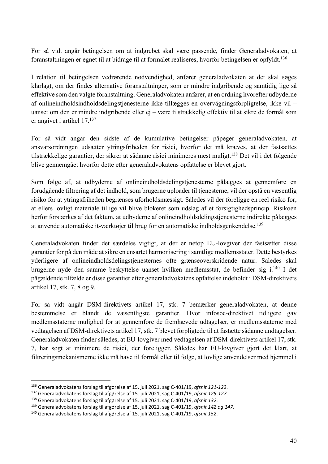For så vidt angår betingelsen om at indgrebet skal være passende, finder Generaladvokaten, at foranstaltningen er egnet til at bidrage til at formålet realiseres, hvorfor betingelsen er opfyldt. 136

I relation til betingelsen vedrørende nødvendighed, anfører generaladvokaten at det skal søges klarlagt, om der findes alternative foranstaltninger, som er mindre indgribende og samtidig lige så effektive som den valgte foranstaltning. Generaladvokaten anfører, at en ordning hvorefter udbyderne af onlineindholdsindholdsdelingstjenesterne ikke tillægges en overvågningsforpligtelse, ikke vil – uanset om den er mindre indgribende eller ej – være tilstrækkelig effektiv til at sikre de formål som er angivet i artikel 17. 137

For så vidt angår den sidste af de kumulative betingelser påpeger generaladvokaten, at ansvarsordningen udsætter ytringsfriheden for risici, hvorfor det må kræves, at der fastsættes tilstrækkelige garantier, der sikrer at sådanne risici minimeres mest muligt.138 Det vil i det følgende blive gennemgået hvorfor dette efter generaladvokatens opfattelse er blevet gjort.

Som følge af, at udbyderne af onlineindholdsdelingstjenesterne pålægges at gennemføre en forudgående filtrering af det indhold, som brugerne uploader til tjenesterne, vil der opstå en væsentlig risiko for at ytringsfriheden begrænses uforholdsmæssigt. Således vil der foreligge en reel risiko for, at ellers lovligt materiale tillige vil blive blokeret som udslag af et forsigtighedsprincip. Risikoen herfor forstærkes af det faktum, at udbyderne af onlineindholdsdelingstjenesterne indirekte pålægges at anvende automatiske it-værktøjer til brug for en automatiske indholdsgenkendelse. 139

Generaladvokaten finder det særdeles vigtigt, at der er netop EU-lovgiver der fastsætter disse garantier for på den måde at sikre en ensartet harmonisering i samtlige medlemsstater. Dette bestyrkes yderligere af onlineindholdsdelingstjenesternes ofte grænseoverskridende natur. Således skal brugerne nyde den samme beskyttelse uanset hvilken medlemsstat, de befinder sig i.<sup>140</sup> I det pågældende tilfælde er disse garantier efter generaladvokatens opfattelse indeholdt i DSM-direktivets artikel 17, stk. 7, 8 og 9.

For så vidt angår DSM-direktivets artikel 17, stk. 7 bemærker generaladvokaten, at denne bestemmelse er blandt de væsentligste garantier. Hvor infosoc-direktivet tidligere gav medlemsstaterne mulighed for at gennemføre de fremhævede udtagelser, er medlemsstaterne med vedtagelsen af DSM-direktivets artikel 17, stk. 7 blevet forpligtede til at fastætte sådanne undtagelser. Generaladvokaten finder således, at EU-lovgiver med vedtagelsen af DSM-direktivets artikel 17, stk. 7, har søgt at minimere de risici, der foreligger. Således har EU-lovgiver gjort det klart, at filtreringsmekanismerne ikke må have til formål eller til følge, at lovlige anvendelser med hjemmel i

<sup>136</sup> Generaladvokatens forslag til afgørelse af 15. juli 2021, sag C-401/19, *afsnit 121-122*.

<sup>137</sup> Generaladvokatens forslag til afgørelse af 15. juli 2021, sag C-401/19, *afsnit 125-127*.

<sup>138</sup> Generaladvokatens forslag til afgørelse af 15. juli 2021, sag C-401/19, *afsnit 132*.

<sup>139</sup> Generaladvokatens forslag til afgørelse af 15. juli 2021, sag C-401/19, *afsnit 142 og 147*.

<sup>140</sup> Generaladvokatens forslag til afgørelse af 15. juli 2021, sag C-401/19, *afsnit 152*.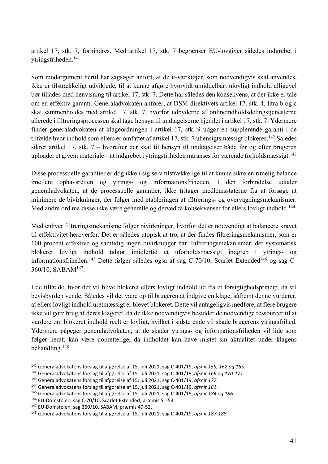artikel 17, stk. 7, forhindres. Med artikel 17, stk. 7 begrænser EU-lovgiver således indgrebet i ytringsfriheden.141

Som modargument hertil har sagsøger anført, at de it-værktøjer, som nødvendigvis skal anvendes, ikke er tilstrækkeligt udviklede, til at kunne afgøre hvorvidt umiddelbart ulovligt indhold alligevel bør tillades med henvisning til artikel 17, stk. 7. Dette har således den konsekvens, at der ikke er tale om en effektiv garanti. Generaladvokaten anfører, at DSM-direktivets artikel 17, stk. 4, litra b og c skal sammenholdes med artikel 17, stk. 7, hvorfor udbyderne af onlineindholdsdelingstjenesterne allerede i filtreringsprocessen skal tage hensyn til undtagelserne hjemlet i artikel 17, stk. 7. Ydermere finder generaladvokaten at klageordningen i artikel 17, stk. 9 udgør en supplerende garanti i de tilfælde hvor indhold som ellers er omfattet af artikel 17, stk. 7 uhensigtsmæssigt blokeres.<sup>142</sup> Således sikrer artikel 17, stk. 7 – hvorefter der skal til hensyn til undtagelser både før og efter brugeren uploader et givent materiale – at indgrebet i ytringsfriheden må anses for værende forholdsmæssigt. 143

Disse processuelle garantier er dog ikke i sig selv tilstrækkelige til at kunne sikre en rimelig balance imellem ophavsretten og ytrings- og informationsfriheden. I den forbindelse udtaler generaladvokaten, at de processuelle garantier, ikke fritager medlemsstaterne fra at forsøge at minimere de bivirkninger, der følger med etableringen af filtrerings- og overvågningsmekanismer. Med andre ord må disse ikke være generelle og derved få konsekvenser for ellers lovligt indhold.<sup>144</sup>

Med enhver filtreringsmekanisme følger bivirkninger, hvorfor det er nødvendigt at balancere kravet til effektivitet heroverfor. Det er således utopisk at tro, at der findes filtreringsmekanismer, som er 100 procent effektive og samtidig ingen bivirkninger har. Filtreringsmekanismer, der systematisk blokerer lovligt indhold udgør imidlertid et uforholdsmæssigt indgreb i ytrings- og informationsfriheden.<sup>145</sup> Dette følger således også af sag C-70/10, Scarlet Extended<sup>146</sup> og sag C-360/10, SABAM147.

I de tilfælde, hvor der vil blive blokeret ellers lovligt indhold ud fra et forsigtighedsprincip, da vil bevisbyrden vende. Således vil det være op til brugeren at indgive en klage, såfremt denne vurderer, at ellers lovligt indhold uretmæssigt er blevet blokeret. Dette vil antageligvis medføre, at flere brugere ikke vil gøre brug af deres klageret, da de ikke nødvendigvis besidder de nødvendige ressourcer til at vurdere om blokeret indhold reelt er lovligt, hvilket i sidste ende vil skade brugerens ytringsfrihed. Ydermere påpeger generaladvokaten, at de skader ytrings- og informationsfriheden vil lide som følger heraf, kan være uoprettelige, da indholdet kan have mistet sin aktualitet under klagens behandling. 148

<sup>141</sup> Generaladvokatens forslag til afgørelse af 15. juli 2021, sag C-401/19, *afsnit 159, 162 og 165*.

<sup>142</sup> Generaladvokatens forslag til afgørelse af 15. juli 2021, sag C-401/19, *afsnit 166 og 170-171*.

<sup>143</sup> Generaladvokatens forslag til afgørelse af 15. juli 2021, sag C-401/19, *afsnit 177.*

<sup>144</sup> Generaladvokatens forslag til afgørelse af 15. juli 2021, sag C-401/19, *afsnit 181*.

<sup>145</sup> Generaladvokatens forslag til afgørelse af 15. juli 2021, sag C-401/19, *afsnit 184 og 186*.

<sup>146</sup> EU-Domstolen, sag C-70/10, Scarlet Extended, præmis 51-54. 147 EU-Domstolen, sag 360/10, SABAM, præmis 49-52. 148 Generaladvokatens forslag til afgørelse af 15. juli 2021, sag C-401/19, *afsnit 187-188*.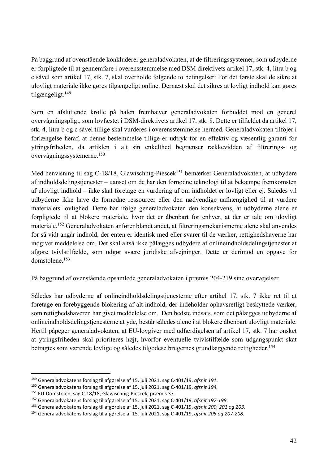På baggrund af ovenstående konkluderer generaladvokaten, at de filtreringssystemer, som udbyderne er forpligtede til at gennemføre i overensstemmelse med DSM direktivets artikel 17, stk. 4, litra b og c såvel som artikel 17, stk. 7, skal overholde følgende to betingelser: For det første skal de sikre at ulovligt materiale ikke gøres tilgængeligt online. Dernæst skal det sikres at lovligt indhold kan gøres tilgængeligt.149

Som en afsluttende krølle på halen fremhæver generaladvokaten forbuddet mod en generel overvågningspligt, som lovfæstet i DSM-direktivets artikel 17, stk. 8. Dette er tilfældet da artikel 17, stk. 4, litra b og c såvel tillige skal vurderes i overensstemmelse hermed. Generaladvokaten tilføjer i forlængelse heraf, at denne bestemmelse tillige er udtryk for en effektiv og væsentlig garanti for ytringsfriheden, da artiklen i alt sin enkelthed begrænser rækkevidden af filtrerings- og overvågningssystemerne.150

Med henvisning til sag C-18/18, Glawischnig-Piescek<sup>151</sup> bemærker Generaladvokaten, at udbydere af indholdsdelingstjenester – uanset om de har den fornødne teknologi til at bekæmpe fremkomsten af ulovligt indhold – ikke skal foretage en vurdering af om indholdet er lovligt eller ej. Således vil udbyderne ikke have de fornødne ressourcer eller den nødvendige uafhængighed til at vurdere materialets lovlighed. Dette har ifølge generaladvokaten den konsekvens, at udbyderne alene er forpligtede til at blokere materiale, hvor det er åbenbart for enhver, at der er tale om ulovligt materiale.152 Generaladvokaten anfører blandt andet, at filtreringsmekanismerne alene skal anvendes for så vidt angår indhold, der enten er identisk med eller svarer til de værker, rettighedshaverne har indgivet meddelelse om. Det skal altså ikke pålægges udbydere af onlineindholdsdelingstjenester at afgøre tvivlstilfælde, som udgør svære juridiske afvejninger. Dette er derimod en opgave for domstolene. 153

På baggrund af ovenstående opsamlede generaladvokaten i præmis 204-219 sine overvejelser.

Således har udbyderne af onlineindholdsdelingstjenesterne efter artikel 17, stk. 7 ikke ret til at foretage en forebyggende blokering af alt indhold, der indeholder ophavsretligt beskyttede værker, som rettighedshaveren har givet meddelelse om. Den bedste indsats, som det pålægges udbyderne af onlineindholdsdelingstjenesterne at yde, består således alene i at blokere åbenbart ulovligt materiale. Hertil påpeger generaladvokaten, at EU-lovgiver med udfærdigelsen af artikel 17, stk. 7 har ønsket at ytringsfriheden skal prioriteres højt, hvorfor eventuelle tvivlstilfælde som udgangspunkt skat betragtes som værende lovlige og således tilgodese brugernes grundlæggende rettigheder. 154

<sup>149</sup> Generaladvokatens forslag til afgørelse af 15. juli 2021, sag C-401/19, *afsnit 191*.

<sup>150</sup> Generaladvokatens forslag til afgørelse af 15. juli 2021, sag C-401/19, *afsnit 194.*

<sup>151</sup> EU-Domstolen, sag C-18/18, Glawischnig-Piescek, præmis 37.

<sup>152</sup> Generaladvokatens forslag til afgørelse af 15. juli 2021, sag C-401/19, *afsnit 197-198*.

<sup>153</sup> Generaladvokatens forslag til afgørelse af 15. juli 2021, sag C-401/19, *afsnit 200, 201 og 203*.

<sup>154</sup> Generaladvokatens forslag til afgørelse af 15. juli 2021, sag C-401/19, *afsnit 205 og 207-208.*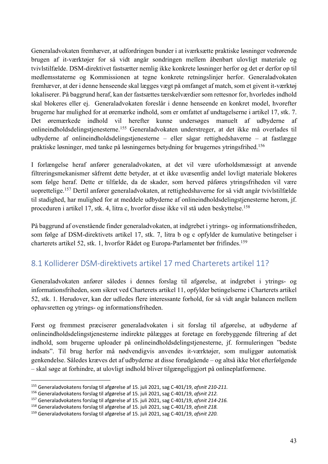Generaladvokaten fremhæver, at udfordringen bunder i at iværksætte praktiske løsninger vedrørende brugen af it-værktøjer for så vidt angår sondringen mellem åbenbart ulovligt materiale og tvivlstilfælde. DSM-direktivet fastsætter nemlig ikke konkrete løsninger herfor og det er derfor op til medlemsstaterne og Kommissionen at tegne konkrete retningslinjer herfor. Generaladvokaten fremhæver, at der i denne henseende skal lægges vægt på omfanget af match, som et givent it-værktøj lokaliserer. På baggrund heraf, kan der fastsættes tærskelværdier som rettesnor for, hvorledes indhold skal blokeres eller ej. Generaladvokaten foreslår i denne henseende en konkret model, hvorefter brugerne har mulighed for at øremærke indhold, som er omfattet af undtagelserne i artikel 17, stk. 7. Det øremærkede indhold vil herefter kunne undersøges manuelt af udbyderne af onlineindholdsdelingstjenesterne.155 Generaladvokaten understreger, at det ikke må overlades til udbyderne af onlineindholdsdelingstjenesterne – eller sågar rettighedshaverne – at fastlægge praktiske løsninger, med tanke på løsningernes betydning for brugernes ytringsfrihed.156

I forlængelse heraf anfører generaladvokaten, at det vil være uforholdsmæssigt at anvende filtreringsmekanismer såfremt dette betyder, at et ikke uvæsentlig andel lovligt materiale blokeres som følge heraf. Dette er tilfælde, da de skader, som herved påføres ytringsfriheden vil være uoprettelige.157 Dertil anfører generaladvokaten, at rettighedshaverne for så vidt angår tvivlstilfælde til stadighed, har mulighed for at meddele udbyderne af onlineindholdsdelingstjenesterne herom, jf. proceduren i artikel 17, stk. 4, litra c, hvorfor disse ikke vil stå uden beskyttelse. 158

På baggrund af ovenstående finder generaladvokaten, at indgrebet i ytrings- og informationsfriheden, som følge af DSM-direktivets artikel 17, stk. 7, litra b og c opfylder de kumulative betingelser i charterets artikel 52, stk. 1, hvorfor Rådet og Europa-Parlamentet bør frifindes.159

#### 8.1 Kolliderer DSM-direktivets artikel 17 med Charterets artikel 11?

Generaladvokaten anfører således i dennes forslag til afgørelse, at indgrebet i ytrings- og informationsfriheden, som sikret ved Charterets artikel 11, opfylder betingelserne i Charterets artikel 52, stk. 1. Herudover, kan der udledes flere interessante forhold, for så vidt angår balancen mellem ophavsretten og ytrings- og informationsfriheden.

Først og fremmest præciserer generaladvokaten i sit forslag til afgørelse, at udbyderne af onlineindholdsdelingstjenesterne indirekte pålægges at foretage en forebyggende filtrering af det indhold, som brugerne uploader på onlineindholdsdelingstjenesterne, jf. formuleringen "bedste indsats". Til brug herfor må nødvendigvis anvendes it-værktøjer, som muliggør automatisk genkendelse. Således kræves det af udbyderne at disse forudgående – og altså ikke blot efterfølgende – skal søge at forhindre, at ulovligt indhold bliver tilgængeliggjort på onlineplatformene.

<sup>155</sup> Generaladvokatens forslag til afgørelse af 15. juli 2021, sag C-401/19, *afsnit 210-211.*

<sup>156</sup> Generaladvokatens forslag til afgørelse af 15. juli 2021, sag C-401/19, *afsnit 212.*

<sup>157</sup> Generaladvokatens forslag til afgørelse af 15. juli 2021, sag C-401/19, *afsnit 214-216.*

<sup>158</sup> Generaladvokatens forslag til afgørelse af 15. juli 2021, sag C-401/19, *afsnit 218.*

<sup>159</sup> Generaladvokatens forslag til afgørelse af 15. juli 2021, sag C-401/19, *afsnit 220.*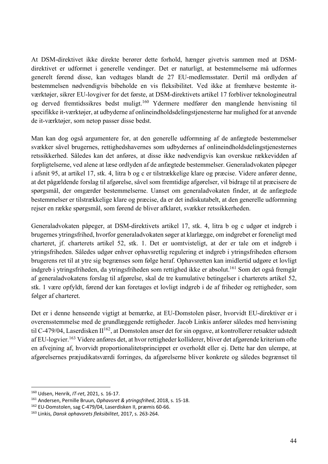At DSM-direktivet ikke direkte berører dette forhold, hænger givetvis sammen med at DSMdirektivet er udformet i generelle vendinger. Det er naturligt, at bestemmelserne må udformes generelt førend disse, kan vedtages blandt de 27 EU-medlemsstater. Dertil må ordlyden af bestemmelsen nødvendigvis bibeholde en vis fleksibilitet. Ved ikke at fremhæve bestemte itværktøjer, sikrer EU-lovgiver for det første, at DSM-direktivets artikel 17 forbliver teknologineutral og derved fremtidssikres bedst muligt.160 Ydermere medfører den manglende henvisning til specifikke it-værktøjer, at udbyderne af onlineindholdsdelingstjenesterne har mulighed for at anvende de it-værktøjer, som netop passer disse bedst.

Man kan dog også argumentere for, at den generelle udformning af de anfægtede bestemmelser svækker såvel brugernes, rettighedshavernes som udbydernes af onlineindholdsdelingstjenesternes retssikkerhed. Således kan det anføres, at disse ikke nødvendigvis kan overskue rækkevidden af forpligtelserne, ved alene at læse ordlyden af de anfægtede bestemmelser. Generaladvokaten påpeger i afsnit 95, at artikel 17, stk. 4, litra b og c er tilstrækkelige klare og præcise. Videre anfører denne, at det pågældende forslag til afgørelse, såvel som fremtidige afgørelser, vil bidrage til at præcisere de spørgsmål, der omgærder bestemmelserne. Uanset om generaladvokaten finder, at de anfægtede bestemmelser er tilstrækkelige klare og præcise, da er det indiskutabelt, at den generelle udformning rejser en række spørgsmål, som førend de bliver afklaret, svækker retssikkerheden.

Generaladvokaten påpeger, at DSM-direktivets artikel 17, stk. 4, litra b og c udgør et indgreb i brugernes ytringsfrihed, hvorfor generaladvokaten søger at klarlægge, om indgrebet er foreneligt med charteret, jf. charterets artikel 52, stk. 1. Det er uomtvisteligt, at der er tale om et indgreb i ytringsfriheden. Således udgør enhver ophavsretlig regulering et indgreb i ytringsfriheden eftersom brugerens ret til at ytre sig begrænses som følge heraf. Ophavsretten kan imidlertid udgøre et lovligt indgreb i ytringsfriheden, da ytringsfriheden som rettighed ikke er absolut.161 Som det også fremgår af generaladvokatens forslag til afgørelse, skal de tre kumulative betingelser i charterets artikel 52, stk. 1 være opfyldt, førend der kan foretages et lovligt indgreb i de af friheder og rettigheder, som følger af charteret.

Det er i denne henseende vigtigt at bemærke, at EU-Domstolen påser, hvorvidt EU-direktiver er i overensstemmelse med de grundlæggende rettigheder. Jacob Linkis anfører således med henvisning til C-479/04, Laserdisken  $II^{162}$ , at Domstolen anser det for sin opgave, at kontrollerer retsakter udstedt af EU-logvier.163 Videre anføres det, at hvor rettigheder kolliderer, bliver det afgørende kriterium ofte en afvejning af, hvorvidt proportionalitetsprincippet er overholdt eller ej. Dette har den ulempe, at afgørelsernes præjudikatsværdi forringes, da afgørelserne bliver konkrete og således begrænset til

<sup>&</sup>lt;sup>160</sup> Udsen, Henrik, *IT-ret*, 2021, s. 16-17.<br><sup>161</sup> Andersen, Pernille Bruun, *Ophavsret & ytringsfrihed*, 2018, s. 15-18.

<sup>162</sup> EU-Domstolen, sag C-479/04, Laserdisken II, præmis 60-66.

<sup>163</sup> Linkis, *Dansk ophavsrets fleksibilitet*, 2017, s. 263-264.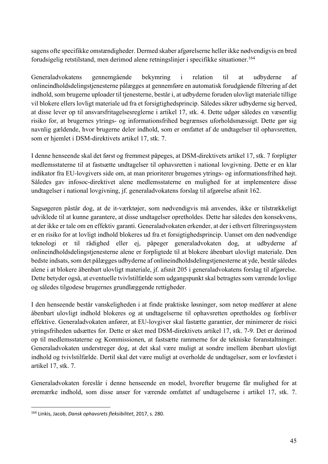sagens ofte specifikke omstændigheder. Dermed skaber afgørelserne heller ikke nødvendigvis en bred forudsigelig retstilstand, men derimod alene retningslinjer i specifikke situationer.164

Generaladvokatens gennemgående bekymring i relation til at udbyderne af onlineindholdsdelingstjenesterne pålægges at gennemføre en automatisk forudgående filtrering af det indhold, som brugerne uploader til tjenesterne, består i, at udbyderne foruden ulovligt materiale tillige vil blokere ellers lovligt materiale ud fra et forsigtighedsprincip. Således sikrer udbyderne sig herved, at disse lever op til ansvarsfritagelsesreglerne i artikel 17, stk. 4. Dette udgør således en væsentlig risiko for, at brugernes ytrings- og informationsfrihed begrænses uforholdsmæssigt. Dette gør sig navnlig gældende, hvor brugerne deler indhold, som er omfattet af de undtagelser til ophavsretten, som er hjemlet i DSM-direktivets artikel 17, stk. 7.

I denne henseende skal det først og fremmest påpeges, at DSM-direktivets artikel 17, stk. 7 forpligter medlemsstaterne til at fastsætte undtagelser til ophavsretten i national lovgivning. Dette er en klar indikator fra EU-lovgivers side om, at man prioriterer brugernes ytrings- og informationsfrihed højt. Således gav infosoc-direktivet alene medlemsstaterne en mulighed for at implementere disse undtagelser i national lovgivning, jf. generaladvokatens forslag til afgørelse afsnit 162.

Sagsøgeren påstår dog, at de it-værktøjer, som nødvendigvis må anvendes, ikke er tilstrækkeligt udviklede til at kunne garantere, at disse undtagelser opretholdes. Dette har således den konsekvens, at der ikke er tale om en effektiv garanti. Generaladvokaten erkender, at der i ethvert filtreringssystem er en risiko for at lovligt indhold blokeres ud fra et forsigtighedsprincip. Uanset om den nødvendige teknologi er til rådighed eller ej, påpeger generaladvokaten dog, at udbyderne af onlineindholdsdelingstjenesterne alene er forpligtede til at blokere åbenbart ulovligt materiale. Den bedste indsats, som det pålægges udbyderne af onlineindholdsdelingstjenesterne at yde, består således alene i at blokere åbenbart ulovligt materiale, jf. afsnit 205 i generaladvokatens forslag til afgørelse. Dette betyder også, at eventuelle tvivlstilfælde som udgangspunkt skal betragtes som værende lovlige og således tilgodese brugernes grundlæggende rettigheder.

I den henseende består vanskeligheden i at finde praktiske løsninger, som netop medfører at alene åbenbart ulovligt indhold blokeres og at undtagelserne til ophavsretten opretholdes og forbliver effektive. Generaladvokaten anfører, at EU-lovgiver skal fastætte garantier, der minimerer de risici ytringsfriheden udsættes for. Dette er sket med DSM-direktivets artikel 17, stk. 7-9. Det er derimod op til medlemsstaterne og Kommissionen, at fastsætte rammerne for de tekniske foranstaltninger. Generaladvokaten understreger dog, at det skal være muligt at sondre imellem åbenbart ulovligt indhold og tvivlstilfælde. Dertil skal det være muligt at overholde de undtagelser, som er lovfæstet i artikel 17, stk. 7.

Generaladvokaten foreslår i denne henseende en model, hvorefter brugerne får mulighed for at øremærke indhold, som disse anser for værende omfattet af undtagelserne i artikel 17, stk. 7.

<sup>164</sup> Linkis, Jacob, *Dansk ophavsrets fleksibilitet*, 2017, s. 280.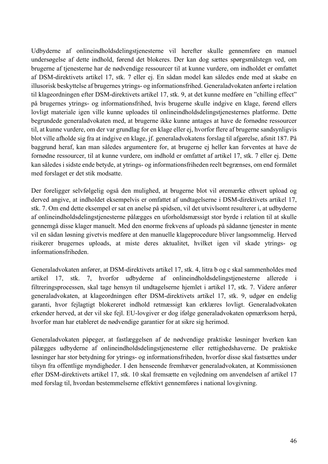Udbyderne af onlineindholdsdelingstjenesterne vil herefter skulle gennemføre en manuel undersøgelse af dette indhold, førend det blokeres. Der kan dog sættes spørgsmålstegn ved, om brugerne af tjenesterne har de nødvendige ressourcer til at kunne vurdere, om indholdet er omfattet af DSM-direktivets artikel 17, stk. 7 eller ej. En sådan model kan således ende med at skabe en illusorisk beskyttelse af brugernes ytrings- og informationsfrihed. Generaladvokaten anførte i relation til klageordningen efter DSM-direktivets artikel 17, stk. 9, at det kunne medføre en "chilling effect" på brugernes ytrings- og informationsfrihed, hvis brugerne skulle indgive en klage, førend ellers lovligt materiale igen ville kunne uploades til onlineindholdsdelingstjenesternes platforme. Dette begrundede generaladvokaten med, at brugerne ikke kunne antages at have de fornødne ressourcer til, at kunne vurdere, om der var grundlag for en klage eller ej, hvorfor flere af brugerne sandsynligvis blot ville afholde sig fra at indgive en klage, jf. generaladvokatens forslag til afgørelse, afsnit 187. På baggrund heraf, kan man således argumentere for, at brugerne ej heller kan forventes at have de fornødne ressourcer, til at kunne vurdere, om indhold er omfattet af artikel 17, stk. 7 eller ej. Dette kan således i sidste ende betyde, at ytrings- og informationsfriheden reelt begrænses, om end formålet med forslaget er det stik modsatte.

Der foreligger selvfølgelig også den mulighed, at brugerne blot vil øremærke ethvert upload og derved angive, at indholdet eksempelvis er omfattet af undtagelserne i DSM-direktivets artikel 17, stk. 7. Om end dette eksempel er sat en anelse på spidsen, vil det utvivlsomt resulterer i, at udbyderne af onlineindholdsdelingstjenesterne pålægges en uforholdsmæssigt stor byrde i relation til at skulle gennemgå disse klager manuelt. Med den enorme frekvens af uploads på sådanne tjenester in mente vil en sådan løsning givetvis medføre at den manuelle klageprocedure bliver langsommelig. Herved risikerer brugernes uploads, at miste deres aktualitet, hvilket igen vil skade ytrings- og informationsfriheden.

Generaladvokaten anfører, at DSM-direktivets artikel 17, stk. 4, litra b og c skal sammenholdes med artikel 17, stk. 7, hvorfor udbyderne af onlineindholdsdelingstjenesterne allerede i filtreringsprocessen, skal tage hensyn til undtagelserne hjemlet i artikel 17, stk. 7. Videre anfører generaladvokaten, at klageordningen efter DSM-direktivets artikel 17, stk. 9, udgør en endelig garanti, hvor fejlagtigt blokereret indhold retmæssigt kan erklæres lovligt. Generaladvokaten erkender herved, at der vil ske fejl. EU-lovgiver er dog ifølge generaladvokaten opmærksom herpå, hvorfor man har etableret de nødvendige garantier for at sikre sig herimod.

Generaladvokaten påpeger, at fastlæggelsen af de nødvendige praktiske løsninger hverken kan pålægges udbyderne af onlineindholdsdelingstjenesterne eller rettighedshaverne. De praktiske løsninger har stor betydning for ytrings- og informationsfriheden, hvorfor disse skal fastsættes under tilsyn fra offentlige myndigheder. I den henseende fremhæver generaladvokaten, at Kommissionen efter DSM-direktivets artikel 17, stk. 10 skal fremsætte en vejledning om anvendelsen af artikel 17 med forslag til, hvordan bestemmelserne effektivt gennemføres i national lovgivning.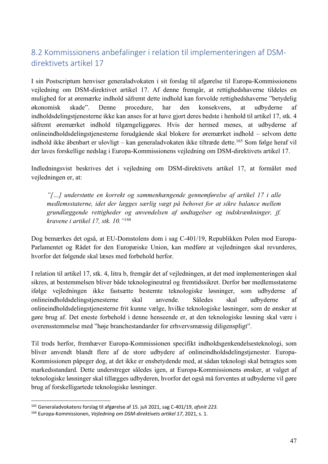## 8.2 Kommissionens anbefalinger i relation til implementeringen af DSMdirektivets artikel 17

I sin Postscriptum henviser generaladvokaten i sit forslag til afgørelse til Europa-Kommissionens vejledning om DSM-direktivet artikel 17. Af denne fremgår, at rettighedshaverne tildeles en mulighed for at øremærke indhold såfremt dette indhold kan forvolde rettighedshaverne "betydelig økonomisk skade". Denne procedure, har den konsekvens, at udbyderne af indholdsdelingstjenesterne ikke kan anses for at have gjort deres bedste i henhold til artikel 17, stk. 4 såfremt øremærket indhold tilgængeliggøres. Hvis der hermed menes, at udbyderne af onlineindholdsdelingstjenesterne forudgående skal blokere for øremærket indhold – selvom dette indhold ikke åbenbart er ulovligt – kan generaladvokaten ikke tiltræde dette.165 Som følge heraf vil der laves forskellige nedslag i Europa-Kommissionens vejledning om DSM-direktivets artikel 17.

Indledningsvist beskrives det i vejledning om DSM-direktivets artikel 17, at formålet med vejledningen er, at:

*"[…] understøtte en korrekt og sammenhængende gennemførelse af artikel 17 i alle medlemsstaterne, idet der lægges særlig vægt på behovet for at sikre balance mellem grundlæggende rettigheder og anvendelsen af undtagelser og indskrænkninger, jf. kravene i artikel 17, stk. 10."166*

Dog bemærkes det også, at EU-Domstolens dom i sag C-401/19, Republikken Polen mod Europa-Parlamentet og Rådet for den Europæiske Union, kan medføre at vejledningen skal revurderes, hvorfor det følgende skal læses med forbehold herfor.

I relation til artikel 17, stk. 4, litra b, fremgår det af vejledningen, at det med implementeringen skal sikres, at bestemmelsen bliver både teknologineutral og fremtidssikret. Derfor bør medlemsstaterne ifølge vejledningen ikke fastsætte bestemte teknologiske løsninger, som udbyderne af onlineindholdsdelingstjenesterne skal anvende. Således skal udbyderne af onlineindholdsdelingstjenesterne frit kunne vælge, hvilke teknologiske løsninger, som de ønsker at gøre brug af. Det eneste forbehold i denne henseende er, at den teknologiske løsning skal være i overensstemmelse med "høje branchestandarder for erhvervsmæssig diligenspligt".

Til trods herfor, fremhæver Europa-Kommissionen specifikt indholdsgenkendelsesteknologi, som bliver anvendt blandt flere af de store udbydere af onlineindholdsdelingstjenester. Europa-Kommissionen påpeger dog, at det ikke er ensbetydende med, at sådan teknologi skal betragtes som markedsstandard. Dette understreger således igen, at Europa-Kommissionens ønsker, at valget af teknologiske løsninger skal tillægges udbyderen, hvorfor det også må forventes at udbyderne vil gøre brug af forskelligartede teknologiske løsninger.

<sup>165</sup> Generaladvokatens forslag til afgørelse af 15. juli 2021, sag C-401/19, *afsnit 223.*

<sup>166</sup> Europa-Kommissionen, *Vejledning om DSM-direktivets artikel 17*, 2021, s. 1.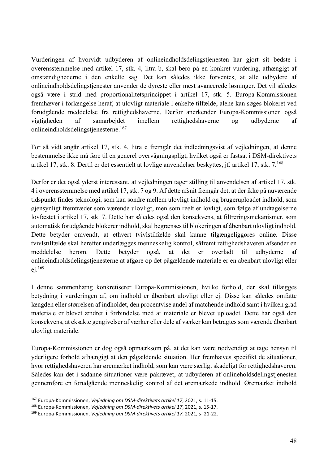Vurderingen af hvorvidt udbyderen af onlineindholdsdelingstjenesten har gjort sit bedste i overensstemmelse med artikel 17, stk. 4, litra b, skal bero på en konkret vurdering, afhængigt af omstændighederne i den enkelte sag. Det kan således ikke forventes, at alle udbydere af onlineindholdsdelingstjenester anvender de dyreste eller mest avancerede løsninger. Det vil således også være i strid med proportionalitetsprincippet i artikel 17, stk. 5. Europa-Kommissionen fremhæver i forlængelse heraf, at ulovligt materiale i enkelte tilfælde, alene kan søges blokeret ved forudgående meddelelse fra rettighedshaverne. Derfor anerkender Europa-Kommissionen også vigtigheden af samarbejdet imellem rettighedshaverne og udbyderne af onlineindholdsdelingstjenesterne.167

For så vidt angår artikel 17, stk. 4, litra c fremgår det indledningsvist af vejledningen, at denne bestemmelse ikke må føre til en generel overvågningspligt, hvilket også er fastsat i DSM-direktivets artikel 17, stk. 8. Dertil er det essentielt at lovlige anvendelser beskyttes, jf. artikel 17, stk. 7.168

Derfor er det også yderst interessant, at vejledningen tager stilling til anvendelsen af artikel 17, stk. 4 i overensstemmelse med artikel 17, stk. 7 og 9. Af dette afsnit fremgår det, at der ikke på nuværende tidspunkt findes teknologi, som kan sondre mellem ulovligt indhold og brugeruploadet indhold, som øjensynligt fremtræder som værende ulovligt, men som reelt er lovligt, som følge af undtagelserne lovfæstet i artikel 17, stk. 7. Dette har således også den konsekvens, at filtreringsmekanismer, som automatisk forudgående blokerer indhold, skal begrænses til blokeringen af åbenbart ulovligt indhold. Dette betyder omvendt, at ethvert tvivlstilfælde skal kunne tilgængeliggøres online. Disse tvivlstilfælde skal herefter underlægges menneskelig kontrol, såfremt rettighedshaveren afsender en meddelelse herom. Dette betyder også, at det er overladt til udbyderne af onlineindholdsdelingstjenesterne at afgøre op det pågældende materiale er en åbenbart ulovligt eller ej. 169

I denne sammenhæng konkretiserer Europa-Kommissionen, hvilke forhold, der skal tillægges betydning i vurderingen af, om indhold er åbenbart ulovligt eller ej. Disse kan således omfatte længden eller størrelsen af indholdet, den procentvise andel af matchende indhold samt i hvilken grad materiale er blevet ændret i forbindelse med at materiale er blevet uploadet. Dette har også den konsekvens, at eksakte gengivelser af værker eller dele af værker kan betragtes som værende åbenbart ulovligt materiale.

Europa-Kommissionen er dog også opmærksom på, at det kan være nødvendigt at tage hensyn til yderligere forhold afhængigt at den pågældende situation. Her fremhæves specifikt de situationer, hvor rettighedshaveren har øremærket indhold, som kan være særligt skadeligt for rettighedshaveren. Således kan det i sådanne situationer være påkrævet, at udbyderen af onlineholdsdelingstjenesten gennemføre en forudgående menneskelig kontrol af det øremærkede indhold. Øremærket indhold

<sup>167</sup> Europa-Kommissionen, *Vejledning om DSM-direktivets artikel 17*, 2021, s. 11-15.

<sup>168</sup> Europa-Kommissionen, *Vejledning om DSM-direktivets artikel 17*, 2021, s. 15-17.

<sup>169</sup> Europa-Kommissionen, *Vejledning om DSM-direktivets artikel 17*, 2021, s- 21-22.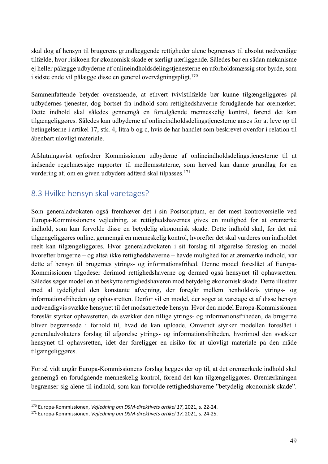skal dog af hensyn til brugerens grundlæggende rettigheder alene begrænses til absolut nødvendige tilfælde, hvor risikoen for økonomisk skade er særligt nærliggende. Således bør en sådan mekanisme ej heller pålægge udbyderne af onlineindholdsdelingstjenesterne en uforholdsmæssig stor byrde, som i sidste ende vil pålægge disse en generel overvågningspligt.<sup>170</sup>

Sammenfattende betyder ovenstående, at ethvert tvivlstilfælde bør kunne tilgængeliggøres på udbydernes tjenester, dog bortset fra indhold som rettighedshaverne forudgående har øremærket. Dette indhold skal således gennemgå en forudgående menneskelig kontrol, førend det kan tilgængeliggøres. Således kan udbyderne af onlineindholdsdelingstjenesterne anses for at leve op til betingelserne i artikel 17, stk. 4, litra b og c, hvis de har handlet som beskrevet ovenfor i relation til åbenbart ulovligt materiale.

Afslutningsvist opfordrer Kommissionen udbyderne af onlineindholdsdelingstjenesterne til at indsende regelmæssige rapporter til medlemsstaterne, som herved kan danne grundlag for en vurdering af, om en given udbyders adfærd skal tilpasses.171

#### 8.3 Hvilke hensyn skal varetages?

Som generaladvokaten også fremhæver det i sin Postscriptum, er det mest kontroversielle ved Europa-Kommissionens vejledning, at rettighedshavernes gives en mulighed for at øremærke indhold, som kan forvolde disse en betydelig økonomisk skade. Dette indhold skal, før det må tilgængeliggøres online, gennemgå en menneskelig kontrol, hvorefter det skal vurderes om indholdet reelt kan tilgængeliggøres. Hvor generaladvokaten i sit forslag til afgørelse foreslog en model hvorefter brugerne – og altså ikke rettighedshaverne – havde mulighed for at øremærke indhold, var dette af hensyn til brugernes ytrings- og informationsfrihed. Denne model foreslået af Europa-Kommissionen tilgodeser derimod rettighedshaverne og dermed også hensynet til ophavsretten. Således søger modellen at beskytte rettighedshaveren mod betydelig økonomisk skade. Dette illustrer med al tydelighed den konstante afvejning, der foregår mellem henholdsvis ytrings- og informationsfriheden og ophavsretten. Derfor vil en model, der søger at varetage et af disse hensyn nødvendigvis svække hensynet til det modsatrettede hensyn. Hvor den model Europa-Kommissionen foreslår styrker ophavsretten, da svækker den tillige ytrings- og informationsfriheden, da brugerne bliver begrænsede i forhold til, hvad de kan uploade. Omvendt styrker modellen foreslået i generaladvokatens forslag til afgørelse ytrings- og informationsfriheden, hvorimod den svækker hensynet til ophavsretten, idet der foreligger en risiko for at ulovligt materiale på den måde tilgængeliggøres.

For så vidt angår Europa-Kommissionens forslag lægges der op til, at det øremærkede indhold skal gennemgå en forudgående menneskelig kontrol, førend det kan tilgængeliggøres. Øremærkningen begrænser sig alene til indhold, som kan forvolde rettighedshaverne "betydelig økonomisk skade".

<sup>170</sup> Europa-Kommissionen, *Vejledning om DSM-direktivets artikel 17*, 2021, s. 22-24.

<sup>171</sup> Europa-Kommissionen, *Vejledning om DSM-direktivets artikel 17*, 2021, s. 24-25.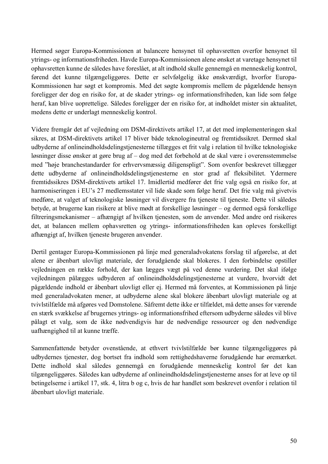Hermed søger Europa-Kommissionen at balancere hensynet til ophavsretten overfor hensynet til ytrings- og informationsfriheden. Havde Europa-Kommissionen alene ønsket at varetage hensynet til ophavsretten kunne de således have foreslået, at alt indhold skulle gennemgå en menneskelig kontrol, førend det kunne tilgængeliggøres. Dette er selvfølgelig ikke ønskværdigt, hvorfor Europa-Kommissionen har søgt et kompromis. Med det søgte kompromis mellem de pågældende hensyn foreligger der dog en risiko for, at de skader ytrings- og informationsfriheden, kan lide som følge heraf, kan blive uoprettelige. Således foreligger der en risiko for, at indholdet mister sin aktualitet, medens dette er underlagt menneskelig kontrol.

Videre fremgår det af vejledning om DSM-direktivets artikel 17, at det med implementeringen skal sikres, at DSM-direktivets artikel 17 bliver både teknologineutral og fremtidssikret. Dermed skal udbyderne af onlineindholdsdelingstjenesterne tillægges et frit valg i relation til hvilke teknologiske løsninger disse ønsker at gøre brug af – dog med det forbehold at de skal være i overensstemmelse med "høje branchestandarder for erhvervsmæssig diligenspligt". Som ovenfor beskrevet tillægger dette udbyderne af onlineindholdsdelingstjenesterne en stor grad af fleksibilitet. Ydermere fremtidssikres DSM-direktivets artikel 17. Imidlertid medfører det frie valg også en risiko for, at harmoniseringen i EU's 27 medlemsstater vil lide skade som følge heraf. Det frie valg må givetvis medføre, at valget af teknologiske løsninger vil divergere fra tjeneste til tjeneste. Dette vil således betyde, at brugerne kan risikere at blive mødt at forskellige løsninger – og dermed også forskellige filtreringsmekanismer – afhængigt af hvilken tjenesten, som de anvender. Med andre ord risikeres det, at balancen mellem ophavsretten og ytrings- informationsfriheden kan opleves forskelligt afhængigt af, hvilken tjeneste brugeren anvender.

Dertil gentager Europa-Kommissionen på linje med generaladvokatens forslag til afgørelse, at det alene er åbenbart ulovligt materiale, der forudgående skal blokeres. I den forbindelse opstiller vejledningen en række forhold, der kan lægges vægt på ved denne vurdering. Det skal ifølge vejledningen pålægges udbyderen af onlineindholdsdelingstjenesterne at vurdere, hvorvidt det pågældende indhold er åbenbart ulovligt eller ej. Hermed må forventes, at Kommissionen på linje med generaladvokaten mener, at udbyderne alene skal blokere åbenbart ulovligt materiale og at tvivlstilfælde må afgøres ved Domstolene. Såfremt dette ikke er tilfældet, må dette anses for værende en stærk svækkelse af brugernes ytrings- og informationsfrihed eftersom udbyderne således vil blive pålagt et valg, som de ikke nødvendigvis har de nødvendige ressourcer og den nødvendige uafhængighed til at kunne træffe.

Sammenfattende betyder ovenstående, at ethvert tvivlstilfælde bør kunne tilgængeliggøres på udbydernes tjenester, dog bortset fra indhold som rettighedshaverne forudgående har øremærket. Dette indhold skal således gennemgå en forudgående menneskelig kontrol før det kan tilgængeliggøres. Således kan udbyderne af onlineindholdsdelingstjenesterne anses for at leve op til betingelserne i artikel 17, stk. 4, litra b og c, hvis de har handlet som beskrevet ovenfor i relation til åbenbart ulovligt materiale.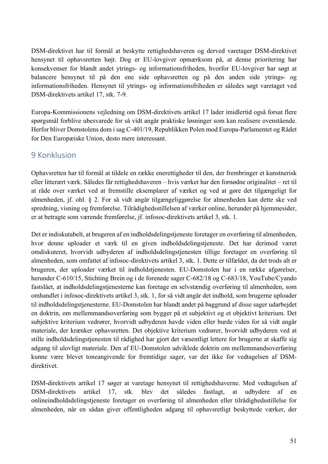DSM-direktivet har til formål at beskytte rettighedshaveren og derved varetager DSM-direktivet hensynet til ophavsretten højt. Dog er EU-lovgiver opmærksom på, at denne prioritering har konsekvenser for blandt andet ytrings- og informationsfriheden, hvorfor EU-lovgiver har søgt at balancere hensynet til på den ene side ophavsretten og på den anden side ytrings- og informationsfriheden. Hensynet til ytrings- og informationsfriheden er således søgt varetaget ved DSM-direktivets artikel 17, stk. 7-9.

Europa-Kommissionens vejledning om DSM-direktivets artikel 17 lader imidlertid også forsat flere spørgsmål forblive ubesvarede for så vidt angår praktiske løsninger som kan realisere ovenstående. Herfor bliver Domstolens dom i sag C-401/19, Republikken Polen mod Europa-Parlamentet og Rådet for Den Europæiske Union, desto mere interessant.

#### 9 Konklusion

Ophavsretten har til formål at tildele en række enerettigheder til den, der frembringer et kunstnerisk eller litterært værk. Således får rettighedshaveren – hvis værket har den fornødne originalitet – ret til at råde over værket ved at fremstille eksemplarer af værket og ved at gøre det tilgængeligt for almenheden, jf. ohl. § 2. For så vidt angår tilgængeliggørelse for almenheden kan dette ske ved spredning, visning og fremførelse. Tilrådighedsstillelsen af værker online, herunder på hjemmesider, er at betragte som værende fremførelse, jf. infosoc-direktivets artikel 3, stk. 1.

Det er indiskutabelt, at brugeren af en indholdsdelingstjeneste foretager en overføring til almenheden, hvor denne uploader et værk til en given indholdsdelingstjeneste. Det har derimod været omdiskuteret, hvorvidt udbyderen af indholdsdelingstjenesten tillige foretager en overføring til almenheden, som omfattet af infosoc-direktivets artikel 3, stk. 1. Dette er tilfældet, da det trods alt er brugeren, der uploader værket til indholdstjenesten. EU-Domstolen har i en række afgørelser, herunder C-610/15, Stichting Brein og i de forenede sager C-682/18 og C-683/18, YouTube/Cyando fastslået, at indholdsdelingstjenesterne kan foretage en selvstændig overføring til almenheden, som omhandlet i infosoc-direktivets artikel 3, stk. 1, for så vidt angår det indhold, som brugerne uploader til indholdsdelingstjenesterne. EU-Domstolen har blandt andet på baggrund af disse sager udarbejdet en doktrin, om mellemmandsoverføring som bygger på et subjektivt og et objektivt kriterium. Det subjektive kriterium vedrører, hvorvidt udbyderen havde viden eller burde viden for så vidt angår materiale, der krænker ophavsretten. Det objektive kriterium vedrører, hvorvidt udbyderen ved at stille indholdsdelingstjenesten til rådighed har gjort det væsentligt lettere for brugerne at skaffe sig adgang til ulovligt materiale. Den af EU-Domstolen udviklede doktrin om mellemmandsoverføring kunne være blevet toneangivende for fremtidige sager, var det ikke for vedtagelsen af DSMdirektivet.

DSM-direktivets artikel 17 søger at varetage hensynet til rettighedshaverne. Med vedtagelsen af DSM-direktivets artikel 17, stk. blev det således fastlagt, at udbydere af en onlineindholdsdelingstjeneste foretager en overføring til almenheden eller tilrådighedsstillelse for almenheden, når en sådan giver offentligheden adgang til ophavsretligt beskyttede værker, der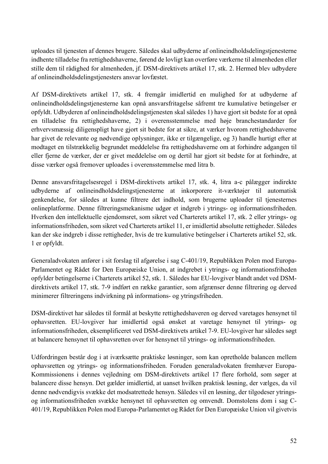uploades til tjenesten af dennes brugere. Således skal udbyderne af onlineindholdsdelingstjenesterne indhente tilladelse fra rettighedshaverne, førend de lovligt kan overføre værkerne til almenheden eller stille dem til rådighed for almenheden, jf. DSM-direktivets artikel 17, stk. 2. Hermed blev udbydere af onlineindholdsdelingstjenesters ansvar lovfæstet.

Af DSM-direktivets artikel 17, stk. 4 fremgår imidlertid en mulighed for at udbyderne af onlineindholdsdelingstjenesterne kan opnå ansvarsfritagelse såfremt tre kumulative betingelser er opfyldt. Udbyderen af onlineindholdsdelingstjenesten skal således 1) have gjort sit bedste for at opnå en tilladelse fra rettighedshaverne, 2) i overensstemmelse med høje branchestandarder for erhvervsmæssig diligenspligt have gjort sit bedste for at sikre, at værker hvorom rettighedshaverne har givet de relevante og nødvendige oplysninger, ikke er tilgængelige, og 3) handle hurtigt efter at modtaget en tilstrækkelig begrundet meddelelse fra rettighedshaverne om at forhindre adgangen til eller fjerne de værker, der er givet meddelelse om og dertil har gjort sit bedste for at forhindre, at disse værker også fremover uploades i overensstemmelse med litra b.

Denne ansvarsfritagelsesregel i DSM-direktivets artikel 17, stk. 4, litra a-c pålægger indirekte udbyderne af onlineindholdsdelingstjenesterne at inkorporere it-værktøjer til automatisk genkendelse, for således at kunne filtrere det indhold, som brugerne uploader til tjenesternes onlineplatforme. Denne filtreringsmekanisme udgør et indgreb i ytrings- og informationsfriheden. Hverken den intellektuelle ejendomsret, som sikret ved Charterets artikel 17, stk. 2 eller ytrings- og informationsfriheden, som sikret ved Charterets artikel 11, er imidlertid absolutte rettigheder. Således kan der ske indgreb i disse rettigheder, hvis de tre kumulative betingelser i Charterets artikel 52, stk. 1 er opfyldt.

Generaladvokaten anfører i sit forslag til afgørelse i sag C-401/19, Republikken Polen mod Europa-Parlamentet og Rådet for Den Europæiske Union, at indgrebet i ytrings- og informationsfriheden opfylder betingelserne i Charterets artikel 52, stk. 1. Således har EU-lovgiver blandt andet ved DSMdirektivets artikel 17, stk. 7-9 indført en række garantier, som afgrænser denne filtrering og derved minimerer filtreringens indvirkning på informations- og ytringsfriheden.

DSM-direktivet har således til formål at beskytte rettighedshaveren og derved varetages hensynet til ophavsretten. EU-lovgiver har imidlertid også ønsket at varetage hensynet til ytrings- og informationsfriheden, eksemplificeret ved DSM-direktivets artikel 7-9. EU-lovgiver har således søgt at balancere hensynet til ophavsretten over for hensynet til ytrings- og informationsfriheden.

Udfordringen består dog i at iværksætte praktiske løsninger, som kan opretholde balancen mellem ophavsretten og ytrings- og informationsfriheden. Foruden generaladvokaten fremhæver Europa-Kommissionens i dennes vejledning om DSM-direktivets artikel 17 flere forhold, som søger at balancere disse hensyn. Det gælder imidlertid, at uanset hvilken praktisk løsning, der vælges, da vil denne nødvendigvis svække det modsatrettede hensyn. Således vil en løsning, der tilgodeser ytringsog informationsfriheden svække hensynet til ophavsretten og omvendt. Domstolens dom i sag C-401/19, Republikken Polen mod Europa-Parlamentet og Rådet for Den Europæiske Union vil givetvis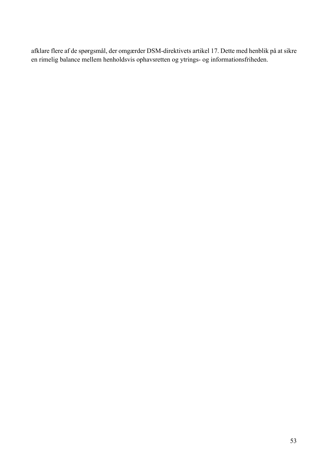afklare flere af de spørgsmål, der omgærder DSM-direktivets artikel 17. Dette med henblik på at sikre en rimelig balance mellem henholdsvis ophavsretten og ytrings- og informationsfriheden.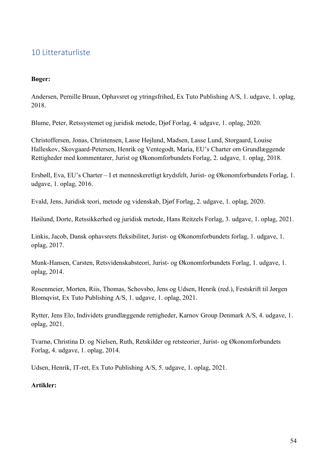#### 10 Litteraturliste

#### **Bøger:**

Andersen, Pernille Bruun, Ophavsret og ytringsfrihed, Ex Tuto Publishing A/S, 1. udgave, 1. oplag, 2018.

Blume, Peter, Retssystemet og juridisk metode, Djøf Forlag, 4. udgave, 1. oplag, 2020.

Christoffersen, Jonas, Christensen, Lasse Højlund, Madsen, Lasse Lund, Storgaard, Louise Halleskov, Skovgaard-Petersen, Henrik og Ventegodt, Maria, EU's Charter om Grundlæggende Rettigheder med kommentarer, Jurist og Økonomforbundets Forlag, 2. udgave, 1. oplag, 2018.

Ersbøll, Eva, EU's Charter – I et menneskeretligt krydsfelt, Jurist- og Økonomforbundets Forlag, 1. udgave, 1. oplag, 2016.

Evald, Jens, Juridisk teori, metode og videnskab, Djøf Forlag, 2. udgave, 1. oplag, 2020.

Høilund, Dorte, Retssikkerhed og juridisk metode, Hans Reitzels Forlag, 3. udgave, 1. oplag, 2021.

Linkis, Jacob, Dansk ophavsrets fleksibilitet, Jurist- og Økonomforbundets forlag, 1. udgave, 1. oplag, 2017.

Munk-Hansen, Carsten, Retsvidenskabsteori, Jurist- og Økonomforbundets Forlag, 1. udgave, 1. oplag, 2014.

Rosenmeier, Morten, Riis, Thomas, Schovsbo, Jens og Udsen, Henrik (red.), Festskrift til Jørgen Blomqvist, Ex Tuto Publishing A/S, 1. udgave, 1. oplag, 2021.

Rytter, Jens Elo, Individets grundlæggende rettigheder, Karnov Group Denmark A/S, 4. udgave, 1. oplag, 2021.

Tvarnø, Christina D. og Nielsen, Ruth, Retskilder og retsteorier, Jurist- og Økonomforbundets Forlag, 4. udgave, 1. oplag, 2014.

Udsen, Henrik, IT-ret, Ex Tuto Publishing A/S, 5. udgave, 1. oplag, 2021.

#### **Artikler:**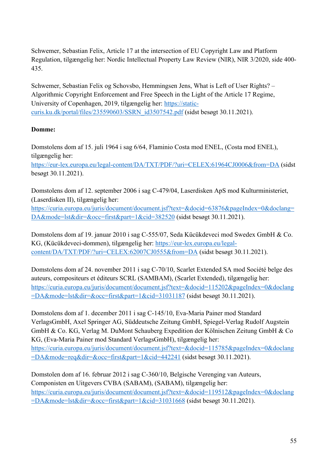Schwemer, Sebastian Felix, Article 17 at the intersection of EU Copyright Law and Platform Regulation, tilgængelig her: Nordic Intellectual Property Law Review (NIR), NIR 3/2020, side 400- 435.

Schwemer, Sebastian Felix og Schovsbo, Hemmingsen Jens, What is Left of User Rights? – Algorithmic Copyright Enforcement and Free Speech in the Light of the Article 17 Regime, University of Copenhagen, 2019, tilgængelig her: https://staticcuris.ku.dk/portal/files/235590603/SSRN\_id3507542.pdf (sidst besøgt 30.11.2021).

#### **Domme:**

Domstolens dom af 15. juli 1964 i sag 6/64, Flaminio Costa mod ENEL, (Costa mod ENEL), tilgængelig her:

https://eur-lex.europa.eu/legal-content/DA/TXT/PDF/?uri=CELEX:61964CJ0006&from=DA (sidst besøgt 30.11.2021).

Domstolens dom af 12. september 2006 i sag C-479/04, Laserdisken ApS mod Kulturministeriet, (Laserdisken II), tilgængelig her:

https://curia.europa.eu/juris/document/document.jsf?text=&docid=63876&pageIndex=0&doclang= DA&mode=lst&dir=&occ=first&part=1&cid=382520 (sidst besøgt 30.11.2021).

Domstolens dom af 19. januar 2010 i sag C-555/07, Seda Kücükdeveci mod Swedex GmbH & Co. KG, (Kücükdeveci-dommen), tilgængelig her: https://eur-lex.europa.eu/legalcontent/DA/TXT/PDF/?uri=CELEX:62007CJ0555&from=DA (sidst besøgt 30.11.2021).

Domstolens dom af 24. november 2011 i sag C-70/10, Scarlet Extended SA mod Société belge des auteurs, compositeurs et éditeurs SCRL (SAMBAM), (Scarlet Extended), tilgængelig her: https://curia.europa.eu/juris/document/document.jsf?text=&docid=115202&pageIndex=0&doclang =DA&mode=lst&dir=&occ=first&part=1&cid=31031187 (sidst besøgt 30.11.2021).

Domstolens dom af 1. december 2011 i sag C-145/10, Eva-Maria Painer mod Standard VerlagsGmbH, Axel Springer AG, Süddeutsche Zeitung GmbH, Spiegel-Verlag Rudolf Augstein GmbH & Co. KG, Verlag M. DuMont Schauberg Expedition der Kölnischen Zeitung GmbH & Co KG, (Eva-Maria Painer mod Standard VerlagsGmbH), tilgængelig her: https://curia.europa.eu/juris/document/document.jsf?text=&docid=115785&pageIndex=0&doclang =DA&mode=req&dir=&occ=first&part=1&cid=442241 (sidst besøgt 30.11.2021).

Domstolen dom af 16. februar 2012 i sag C-360/10, Belgische Verenging van Auteurs, Componisten en Uitgevers CVBA (SABAM), (SABAM), tilgængelig her: https://curia.europa.eu/juris/document/document.jsf?text=&docid=119512&pageIndex=0&doclang =DA&mode=lst&dir=&occ=first&part=1&cid=31031668 (sidst besøgt 30.11.2021).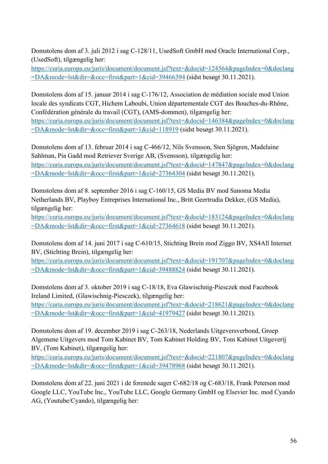Domstolens dom af 3. juli 2012 i sag C-128/11, UsedSoft GmbH mod Oracle International Corp., (UsedSoft), tilgængelig her:

https://curia.europa.eu/juris/document/document.jsf?text=&docid=124564&pageIndex=0&doclang =DA&mode=lst&dir=&occ=first&part=1&cid=39466394 (sidst besøgt 30.11.2021).

Domstolens dom af 15. januar 2014 i sag C-176/12, Association de médiation sociale mod Union locale des syndicats CGT, Hichem Laboubi, Union départementale CGT des Bouches-du-Rhône, Confédération générale du travail (CGT), (AMS-dommen), tilgængelig her: https://curia.europa.eu/juris/document/document.jsf?text=&docid=146384&pageIndex=0&doclang =DA&mode=lst&dir=&occ=first&part=1&cid=118919 (sidst besøgt 30.11.2021).

Domstolens dom af 13. februar 2014 i sag C-466/12, Nils Svensson, Sten Sjögren, Madelaine Sahlman, Pia Gadd mod Retriever Sverige AB, (Svensson), tilgængelig her: https://curia.europa.eu/juris/document/document.jsf?text=&docid=147847&pageIndex=0&doclang =DA&mode=lst&dir=&occ=first&part=1&cid=27364304 (sidst besøgt 30.11.2021).

Domstolens dom af 8. september 2016 i sag C-160/15, GS Media BV mod Sanoma Media Netherlands BV, Playboy Entreprises International Inc., Britt Geertrudia Dekker, (GS Media), tilgængelig her:

https://curia.europa.eu/juris/document/document.jsf?text=&docid=183124&pageIndex=0&doclang =DA&mode=lst&dir=&occ=first&part=1&cid=27364618 (sidst besøgt 30.11.2021).

Domstolens dom af 14. juni 2017 i sag C-610/15, Stichting Brein mod Ziggo BV, XS4All Internet BV, (Stichting Brein), tilgængelig her:

https://curia.europa.eu/juris/document/document.jsf?text=&docid=191707&pageIndex=0&doclang =DA&mode=lst&dir=&occ=first&part=1&cid=39488824 (sidst besøgt 30.11.2021).

Domstolens dom af 3. oktober 2019 i sag C-18/18, Eva Glawischnig-Piesczek mod Facebook Ireland Limited, (Glawischnig-Piesczek), tilgængelig her: https://curia.europa.eu/juris/document/document.jsf?text=&docid=218621&pageIndex=0&doclang =DA&mode=lst&dir=&occ=first&part=1&cid=41979427 (sidst besøgt 30.11.2021).

Domstolens dom af 19. december 2019 i sag C-263/18, Nederlands Uitgeversverbond, Groep Algemene Uitgevers mod Tom Kabinet BV, Tom Kabinet Holding BV, Tom Kabinet Uitgeverij BV, (Tom Kabinet), tilgængelig her:

https://curia.europa.eu/juris/document/document.jsf?text=&docid=221807&pageIndex=0&doclang =DA&mode=lst&dir=&occ=first&part=1&cid=39478968 (sidst besøgt 30.11.2021).

Domstolens dom af 22. juni 2021 i de forenede sager C-682/18 og C-683/18, Frank Peterson mod Google LLC, YouTube Inc., YouTube LLC, Google Germany GmbH og Elsevier Inc. mod Cyando AG, (Youtube/Cyando), tilgængelig her: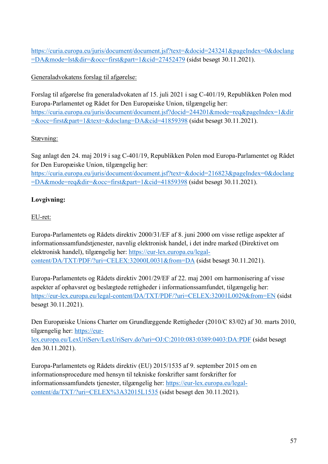https://curia.europa.eu/juris/document/document.jsf?text=&docid=243241&pageIndex=0&doclang =DA&mode=lst&dir=&occ=first&part=1&cid=27452479 (sidst besøgt 30.11.2021).

Generaladvokatens forslag til afgørelse:

Forslag til afgørelse fra generaladvokaten af 15. juli 2021 i sag C-401/19, Republikken Polen mod Europa-Parlamentet og Rådet for Den Europæiske Union, tilgængelig her: https://curia.europa.eu/juris/document/document.jsf?docid=244201&mode=req&pageIndex=1&dir =&occ=first&part=1&text=&doclang=DA&cid=41859398 (sidst besøgt 30.11.2021).

#### Stævning:

Sag anlagt den 24. maj 2019 i sag C-401/19, Republikken Polen mod Europa-Parlamentet og Rådet for Den Europæiske Union, tilgængelig her: https://curia.europa.eu/juris/document/document.jsf?text=&docid=216823&pageIndex=0&doclang =DA&mode=req&dir=&occ=first&part=1&cid=41859398 (sidst besøgt 30.11.2021).

#### **Lovgivning:**

#### EU-ret:

Europa-Parlamentets og Rådets direktiv 2000/31/EF af 8. juni 2000 om visse retlige aspekter af informationssamfundstjenester, navnlig elektronisk handel, i det indre marked (Direktivet om elektronisk handel), tilgængelig her: https://eur-lex.europa.eu/legalcontent/DA/TXT/PDF/?uri=CELEX:32000L0031&from=DA (sidst besøgt 30.11.2021).

Europa-Parlamentets og Rådets direktiv 2001/29/EF af 22. maj 2001 om harmonisering af visse aspekter af ophavsret og beslægtede rettigheder i informationssamfundet, tilgængelig her: https://eur-lex.europa.eu/legal-content/DA/TXT/PDF/?uri=CELEX:32001L0029&from=EN (sidst besøgt 30.11.2021).

Den Europæiske Unions Charter om Grundlæggende Rettigheder (2010/C 83/02) af 30. marts 2010, tilgængelig her: https://eurlex.europa.eu/LexUriServ/LexUriServ.do?uri=OJ:C:2010:083:0389:0403:DA:PDF (sidst besøgt den 30.11.2021).

Europa-Parlamentets og Rådets direktiv (EU) 2015/1535 af 9. september 2015 om en informationsprocedure med hensyn til tekniske forskrifter samt forskrifter for informationssamfundets tjenester, tilgængelig her: https://eur-lex.europa.eu/legalcontent/da/TXT/?uri=CELEX%3A32015L1535 (sidst besøgt den 30.11.2021).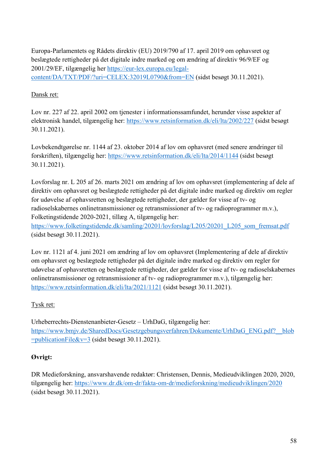Europa-Parlamentets og Rådets direktiv (EU) 2019/790 af 17. april 2019 om ophavsret og beslægtede rettigheder på det digitale indre marked og om ændring af direktiv 96/9/EF og 2001/29/EF, tilgængelig her https://eur-lex.europa.eu/legalcontent/DA/TXT/PDF/?uri=CELEX:32019L0790&from=EN (sidst besøgt 30.11.2021).

#### Dansk ret:

Lov nr. 227 af 22. april 2002 om tjenester i informationssamfundet, herunder visse aspekter af elektronisk handel, tilgængelig her: https://www.retsinformation.dk/eli/lta/2002/227 (sidst besøgt 30.11.2021).

Lovbekendtgørelse nr. 1144 af 23. oktober 2014 af lov om ophavsret (med senere ændringer til forskriften), tilgængelig her: https://www.retsinformation.dk/eli/lta/2014/1144 (sidst besøgt 30.11.2021).

Lovforslag nr. L 205 af 26. marts 2021 om ændring af lov om ophavsret (implementering af dele af direktiv om ophavsret og beslægtede rettigheder på det digitale indre marked og direktiv om regler for udøvelse af ophavsretten og beslægtede rettigheder, der gælder for visse af tv- og radioselskabernes onlinetransmissioner og retransmissioner af tv- og radioprogrammer m.v.), Folketingstidende 2020-2021, tillæg A, tilgængelig her:

https://www.folketingstidende.dk/samling/20201/lovforslag/L205/20201\_L205\_som\_fremsat.pdf (sidst besøgt 30.11.2021).

Lov nr. 1121 af 4. juni 2021 om ændring af lov om ophavsret (Implementering af dele af direktiv om ophavsret og beslægtede rettigheder på det digitale indre marked og direktiv om regler for udøvelse af ophavsretten og beslægtede rettigheder, der gælder for visse af tv- og radioselskabernes onlinetransmissioner og retransmissioner af tv- og radioprogrammer m.v.), tilgængelig her: https://www.retsinformation.dk/eli/lta/2021/1121 (sidst besøgt 30.11.2021).

#### Tysk ret:

Urheberrechts-Dienstenanbieter-Gesetz – UrhDaG, tilgængelig her: https://www.bmjv.de/SharedDocs/Gesetzgebungsverfahren/Dokumente/UrhDaG\_ENG.pdf?\_\_blob  $=$ publicationFile&v=3 (sidst besøgt 30.11.2021).

#### **Øvrigt:**

DR Medieforskning, ansvarshavende redaktør: Christensen, Dennis, Medieudviklingen 2020, 2020, tilgængelig her: https://www.dr.dk/om-dr/fakta-om-dr/medieforskning/medieudviklingen/2020 (sidst besøgt 30.11.2021).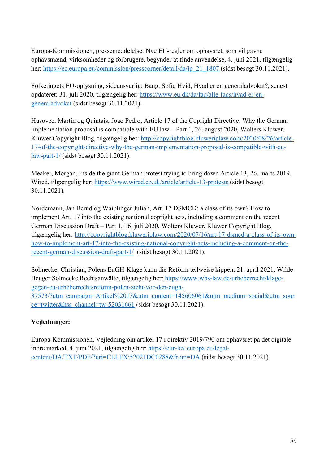Europa-Kommissionen, pressemeddelelse: Nye EU-regler om ophavsret, som vil gavne ophavsmænd, virksomheder og forbrugere, begynder at finde anvendelse, 4. juni 2021, tilgængelig her: https://ec.europa.eu/commission/presscorner/detail/da/ip\_21\_1807 (sidst besøgt 30.11.2021).

Folketingets EU-oplysning, sideansvarlig: Bang, Sofie Hvid, Hvad er en generaladvokat?, senest opdateret: 31. juli 2020, tilgængelig her: https://www.eu.dk/da/faq/alle-faqs/hvad-er-engeneraladvokat (sidst besøgt 30.11.2021).

Husovec, Martin og Quintais, Joao Pedro, Article 17 of the Copright Directive: Why the German implementation proposal is compatible with EU law – Part 1, 26. august 2020, Wolters Kluwer, Kluwer Copyright Blog, tilgængelig her: http://copyrightblog.kluweriplaw.com/2020/08/26/article-17-of-the-copyright-directive-why-the-german-implementation-proposal-is-compatible-with-eulaw-part-1/ (sidst besøgt 30.11.2021).

Meaker, Morgan, Inside the giant German protest trying to bring down Article 13, 26. marts 2019, Wired, tilgængelig her: https://www.wired.co.uk/article/article-13-protests (sidst besøgt 30.11.2021).

Nordemann, Jan Bernd og Waiblinger Julian, Art. 17 DSMCD: a class of its own? How to implement Art. 17 into the existing naitional copright acts, including a comment on the recent German Discussion Draft – Part 1, 16. juli 2020, Wolters Kluwer, Kluwer Copyright Blog, tilgængelig her: http://copyrightblog.kluweriplaw.com/2020/07/16/art-17-dsmcd-a-class-of-its-ownhow-to-implement-art-17-into-the-existing-national-copyright-acts-including-a-comment-on-therecent-german-discussion-draft-part-1/ (sidst besøgt 30.11.2021).

Solmecke, Christian, Polens EuGH-Klage kann die Reform teilweise kippen, 21. april 2021, Wilde Beuger Solmecke Rechtsanwälte, tilgængelig her: https://www.wbs-law.de/urheberrecht/klagegegen-eu-urheberrechtsreform-polen-zieht-vor-den-eugh-37573/?utm\_campaign=Artikel%2013&utm\_content=145606061&utm\_medium=social&utm\_sour ce=twitter&hss\_channel=tw-52031661 (sidst besøgt 30.11.2021).

#### **Vejledninger:**

Europa-Kommissionen, Vejledning om artikel 17 i direktiv 2019/790 om ophavsret på det digitale indre marked, 4. juni 2021, tilgængelig her: https://eur-lex.europa.eu/legalcontent/DA/TXT/PDF/?uri=CELEX:52021DC0288&from=DA (sidst besøgt 30.11.2021).